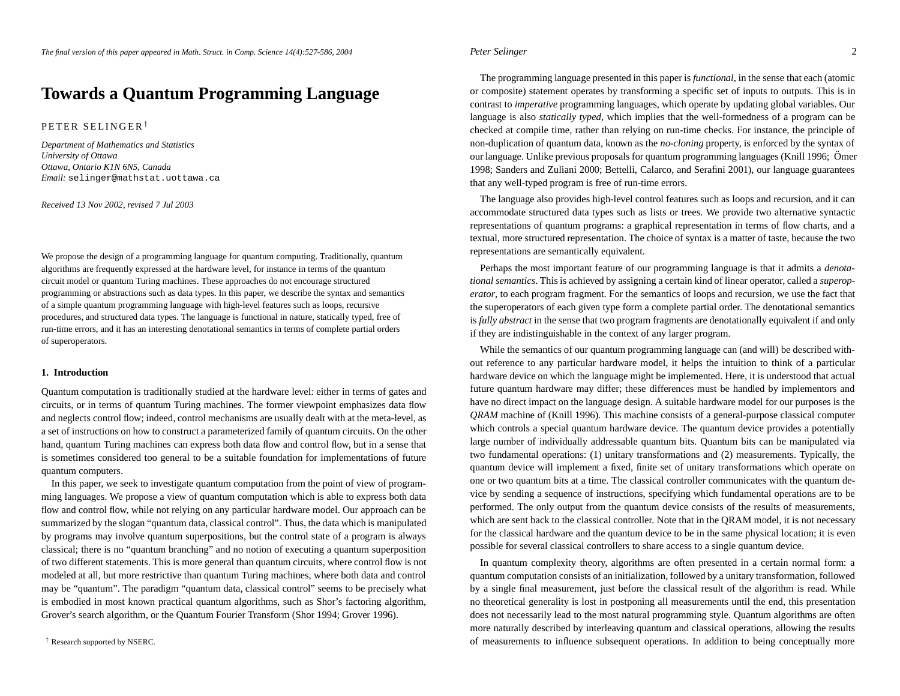# **Towards <sup>a</sup> Quantum Programming Language**

## PETER SELINGER<sup>†</sup>

*Department of Mathematics and StatisticsUniversity of Ottawa Ottawa, Ontario K1N 6N5, CanadaEmail:* selinger@mathstat.uottawa.ca

*Received 13 Nov 2002, revised 7 Jul 2003*

We propose the design of <sup>a</sup> programming language for quantum computing. Traditionally, quantumalgorithms are frequently expressed at the hardware level, for instance in terms of the quantumcircuit model or quantum Turing machines. These approaches do not encourage structured programming or abstractions such as data types. In this paper, we describe the syntax and semanticsof <sup>a</sup> simple quantum programming language with high-level features such as loops, recursive procedures, and structured data types. The language is functional in nature, statically typed, free ofrun-time errors, and it has an interesting denotational semantics in terms of complete partial ordersof superoperators.

## **1. Introduction**

Quantum computation is traditionally studied at the hardware level: either in terms of gates and circuits, or in terms of quantum Turing machines. The former viewpoint emphasizes data flow and neglects control flow; indeed, control mechanisms are usually dealt with at the meta-level, as <sup>a</sup> set of instructions on how to construct <sup>a</sup> parameterized family of quantum circuits. On the other hand, quantum Turing machines can express both data flow and control flow, but in <sup>a</sup> sense thatis sometimes considered too general to be <sup>a</sup> suitable foundation for implementations of futurequantum computers.

In this paper, we seek to investigate quantum computation from the point of view of programming languages. We propose <sup>a</sup> view of quantum computation which is able to express both data flow and control flow, while not relying on any particular hardware model. Our approach can be summarized by the slogan "quantum data, classical control". Thus, the data which is manipulated by programs may involve quantum superpositions, but the control state of <sup>a</sup> program is always classical; there is no "quantum branching" and no notion of executing <sup>a</sup> quantum superposition of two different statements. This is more general than quantum circuits, where control flow is not modeled at all, but more restrictive than quantum Turing machines, where both data and control may be "quantum". The paradigm "quantum data, classical control" seems to be precisely whatis embodied in most known practical quantum algorithms, such as Shor's factoring algorithm, Grover's search algorithm, or the Quantum Fourier Transform (Shor 1994; Grover 1996).

† Research supported by NSERC.

## *Peter Selinger*

The programming language presented in this paper is *functional*, in the sense that each (atomic or composite) statement operates by transforming <sup>a</sup> specific set of inputs to outputs. This is in contrast to *imperative* programming languages, which operate by updating <sup>g</sup>lobal variables. Our language is also *statically typed*, which implies that the well-formedness of <sup>a</sup> program can be checked at compile time, rather than relying on run-time checks. For instance, the principle ofnon-duplication of quantum data, known as the *no-cloning* property, is enforced by the syntax of our language. Unlike previous proposals for quantum programming languages (Knill 1996; Ömer 1998; Sanders and Zuliani 2000; Bettelli, Calarco, and Serafini 2001), our language guaranteesthat any well-typed program is free of run-time errors.

The language also provides high-level control features such as loops and recursion, and it can accommodate structured data types such as lists or trees. We provide two alternative syntactic representations of quantum programs: <sup>a</sup> graphical representation in terms of flow charts, and <sup>a</sup> textual, more structured representation. The choice of syntax is <sup>a</sup> matter of taste, because the tworepresentations are semantically equivalent.

Perhaps the most important feature of our programming language is that it admits <sup>a</sup> *denotational semantics*. This is achieved by assigning <sup>a</sup> certain kind of linear operator, called <sup>a</sup> *superoperator*, to each program fragment. For the semantics of loops and recursion, we use the fact thatthe superoperators of each given type form <sup>a</sup> complete partial order. The denotational semantics is *fully abstract* in the sense that two program fragments are denotationally equivalent if and onlyif they are indistinguishable in the context of any larger program.

While the semantics of our quantum programming language can (and will) be described without reference to any particular hardware model, it helps the intuition to think of <sup>a</sup> particular hardware device on which the language might be implemented. Here, it is understood that actualfuture quantum hardware may differ; these differences must be handled by implementors and have no direct impact on the language design. A suitable hardware model for our purposes is the *QRAM* machine of (Knill 1996). This machine consists of <sup>a</sup> general-purpose classical computer which controls <sup>a</sup> special quantum hardware device. The quantum device provides <sup>a</sup> potentially large number of individually addressable quantum bits. Quantum bits can be manipulated via two fundamental operations: (1) unitary transformations and (2) measurements. Typically, the quantum device will implement <sup>a</sup> fixed, finite set of unitary transformations which operate on one or two quantum bits at <sup>a</sup> time. The classical controller communicates with the quantum device by sending <sup>a</sup> sequence of instructions, specifying which fundamental operations are to be performed. The only output from the quantum device consists of the results of measurements, which are sent back to the classical controller. Note that in the QRAM model, it is not necessary for the classical hardware and the quantum device to be in the same physical location; it is evenpossible for several classical controllers to share access to <sup>a</sup> single quantum device.

In quantum complexity theory, algorithms are often presented in <sup>a</sup> certain normal form: <sup>a</sup> quantum computation consists of an initialization, followed by <sup>a</sup> unitary transformation, followed by <sup>a</sup> single final measurement, just before the classical result of the algorithm is read. While no theoretical generality is lost in postponing all measurements until the end, this presentation does not necessarily lead to the most natural programming style. Quantum algorithms are often more naturally described by interleaving quantum and classical operations, allowing the resultsof measurements to influence subsequent operations. In addition to being conceptually more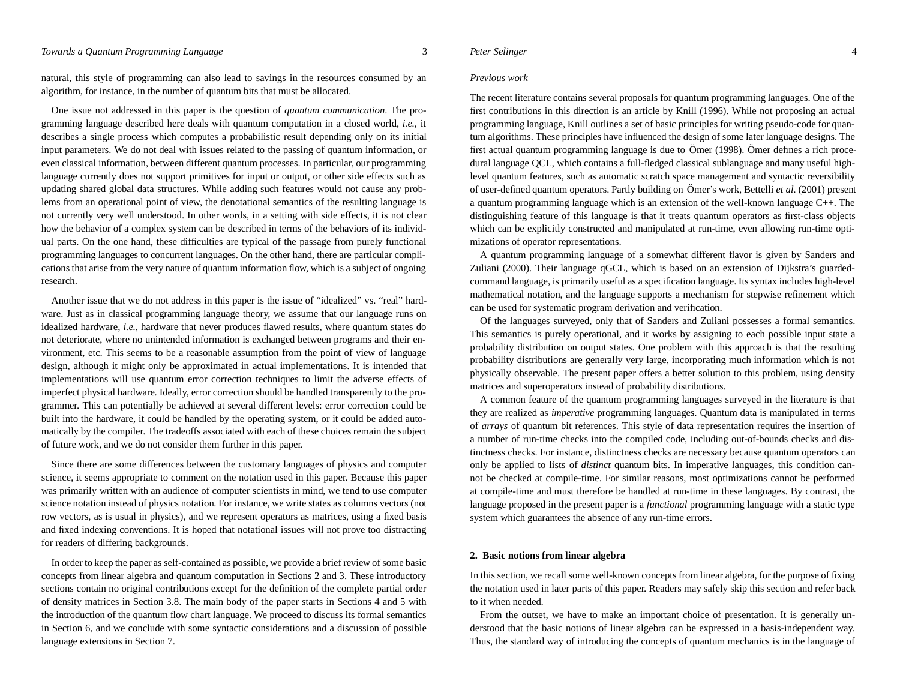natural, this style of programming can also lead to savings in the resources consumed by analgorithm, for instance, in the number of quantum bits that must be allocated.

One issue not addressed in this paper is the question of *quantum communication*. The programming language described here deals with quantum computation in <sup>a</sup> closed world, *i.e.*, itdescribes <sup>a</sup> single process which computes <sup>a</sup> probabilistic result depending only on its initialinput parameters. We do not deal with issues related to the passing of quantum information, oreven classical information, between different quantum processes. In particular, our programming language currently does not suppor<sup>t</sup> primitives for input or output, or other side effects such as updating shared global data structures. While adding such features would not cause any problems from an operational point of view, the denotational semantics of the resulting language is not currently very well understood. In other words, in <sup>a</sup> setting with side effects, it is not clearhow the behavior of <sup>a</sup> complex system can be described in terms of the behaviors of its individual parts. On the one hand, these difficulties are typical of the passage from purely functionalprogramming languages to concurrent languages. On the other hand, there are particular complications that arise from the very nature of quantum information flow, which is <sup>a</sup> subject of ongoingresearch.

Another issue that we do not address in this paper is the issue of "idealized" vs. "real" hardware. Just as in classical programming language theory, we assume that our language runs on idealized hardware, *i.e.*, hardware that never produces flawed results, where quantum states do not deteriorate, where no unintended information is exchanged between programs and their environment, etc. This seems to be <sup>a</sup> reasonable assumption from the point of view of language design, although it might only be approximated in actual implementations. It is intended thatimplementations will use quantum error correction techniques to limit the adverse effects of imperfect physical hardware. Ideally, error correction should be handled transparently to the programmer. This can potentially be achieved at several different levels: error correction could be built into the hardware, it could be handled by the operating system, or it could be added automatically by the compiler. The tradeoffs associated with each of these choices remain the subjectof future work, and we do not consider them further in this paper.

Since there are some differences between the customary languages of physics and computer science, it seems appropriate to comment on the notation used in this paper. Because this paper was primarily written with an audience of computer scientists in mind, we tend to use computerscience notation instead of physics notation. For instance, we write states as columns vectors (notrow vectors, as is usual in physics), and we represen<sup>t</sup> operators as matrices, using <sup>a</sup> fixed basis and fixed indexing conventions. It is hoped that notational issues will not prove too distractingfor readers of differing backgrounds.

In order to keep the paper as self-contained as possible, we provide <sup>a</sup> brief review of some basic concepts from linear algebra and quantum computation in Sections 2 and 3. These introductory sections contain no original contributions excep<sup>t</sup> for the definition of the complete partial orderof density matrices in Section 3.8. The main body of the paper starts in Sections 4 and 5 with the introduction of the quantum flow chart language. We proceed to discuss its formal semantics in Section 6, and we conclude with some syntactic considerations and <sup>a</sup> discussion of possiblelanguage extensions in Section 7.

#### *Peter Selinger* $r \overline{a}$  4

## *Previous work*

The recent literature contains several proposals for quantum programming languages. One of the first contributions in this direction is an article by Knill (1996). While not proposing an actualprogramming language, Knill outlines <sup>a</sup> set of basic principles for writing pseudo-code for quantum algorithms. These principles have influenced the design of some later language designs. Thefirst actual quantum programming language is due to Ömer (1998). Ömer defines a rich procedural language QCL, which contains <sup>a</sup> full-fledged classical sublanguage and many useful highlevel quantum features, such as automatic scratch space managemen<sup>t</sup> and syntactic reversibilityof user-defined quantum operators. Partly building on Ömer's work, Bettelli *et al.* (2001) present <sup>a</sup> quantum programming language which is an extension of the well-known language C++. The distinguishing feature of this language is that it treats quantum operators as first-class objects which can be explicitly constructed and manipulated at run-time, even allowing run-time optimizations of operator representations.

A quantum programming language of <sup>a</sup> somewhat different flavor is given by Sanders and Zuliani (2000). Their language qGCL, which is based on an extension of Dijkstra's guardedcommand language, is primarily useful as <sup>a</sup> specification language. Its syntax includes high-levelmathematical notation, and the language supports <sup>a</sup> mechanism for stepwise refinement whichcan be used for systematic program derivation and verification.

Of the languages surveyed, only that of Sanders and Zuliani possesses <sup>a</sup> formal semantics. This semantics is purely operational, and it works by assigning to each possible input state <sup>a</sup> probability distribution on output states. One problem with this approach is that the resulting probability distributions are generally very large, incorporating much information which is notphysically observable. The presen<sup>t</sup> paper offers <sup>a</sup> better solution to this problem, using densitymatrices and superoperators instead of probability distributions.

A common feature of the quantum programming languages surveyed in the literature is that they are realized as *imperative* programming languages. Quantum data is manipulated in terms of *arrays* of quantum bit references. This style of data representation requires the insertion of <sup>a</sup> number of run-time checks into the compiled code, including out-of-bounds checks and distinctness checks. For instance, distinctness checks are necessary because quantum operators can only be applied to lists of *distinct* quantum bits. In imperative languages, this condition cannot be checked at compile-time. For similar reasons, most optimizations cannot be performed at compile-time and must therefore be handled at run-time in these languages. By contrast, the language proposed in the presen<sup>t</sup> paper is <sup>a</sup> *functional* programming language with <sup>a</sup> static type system which guarantees the absence of any run-time errors.

## **2. Basic notions from linear algebra**

In this section, we recall some well-known concepts from linear algebra, for the purpose of fixing the notation used in later parts of this paper. Readers may safely skip this section and refer backto it when needed.

From the outset, we have to make an important choice of presentation. It is generally understood that the basic notions of linear algebra can be expressed in <sup>a</sup> basis-independent way. Thus, the standard way of introducing the concepts of quantum mechanics is in the language of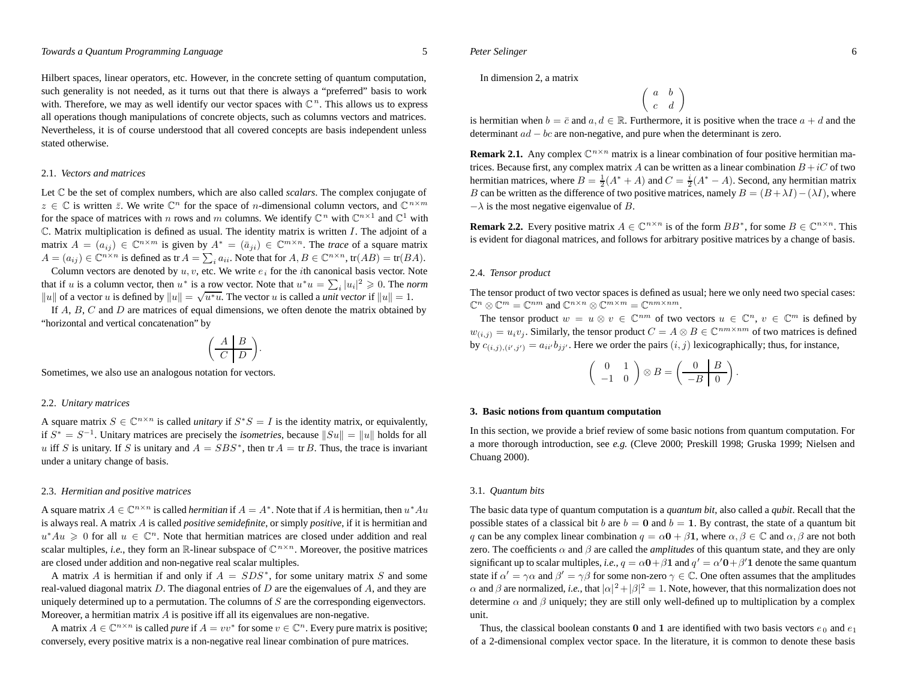$\epsilon$  5

Hilbert spaces, linear operators, etc. However, in the concrete setting of quantum computation, such generality is not needed, as it turns out that there is always <sup>a</sup> "preferred" basis to workwith. Therefore, we may as well identify our vector spaces with  $\mathbb{C}^n$ . This allows us to express all operations though manipulations of concrete objects, such as columns vectors and matrices. Nevertheless, it is of course understood that all covered concepts are basis independent unlessstated otherwise.

#### 2.1. *Vectors and matrices*

Let C be the set of complex numbers, which are also called *scalars*. The complex conjugate of  $z \in \mathbb{C}$  is written  $\overline{z}$ . We write  $\mathbb{C}^n$  for the space of *n*-dimensional column vectors, and  $\mathbb{C}^{n \times m}$ for the space of matrices with n rows and m columns. We identify  $\mathbb{C}^n$  with  $\mathbb{C}^{n\times1}$  and  $\mathbb{C}^1$  with  $\mathbb{C}^n$ .  $\mathbb C$ . Matrix multiplication is defined as usual. The identity matrix is written  $I$ . The adjoint of a matrix  $A = (a_{ij}) \in \mathbb{C}^{n \times m}$  is given by  $A^* = (\bar{a}_{ji}) \in \mathbb{C}^{m \times n}$ . The *trace* of a square matrix  $A = (a_{ij}) \in \mathbb{C}^{n \times n}$  is defined as tr  $A = \sum_i a_{ii}$ . Note that for  $A, B \in \mathbb{C}^{n \times n}$ , tr( $AB$ ) = tr( $BA$ ).

Column vectors are denoted by  $u, v$ , etc. We write  $e_i$  for the *i*th canonical basis vector. Note that if u is a column vector, then  $u^*$  is a row vector. Note that  $u^*u = \sum_i |u_i|^2 \ge 0$ . The *norm*  $||u||$  of a vector u is defined by  $||u|| = \sqrt{u^*u}$ . The vector u is called a *unit vector* if  $||u|| = 1$ .

If  $A, B, C$  and  $D$  are matrices of equal dimensions, we often denote the matrix obtained by "horizontal and vertical concatenation" by

$$
\left(\begin{array}{c|c} A & B \\ \hline C & D \end{array}\right).
$$

Sometimes, we also use an analogous notation for vectors.

## 2.2. *Unitary matrices*

A square matrix  $S \in \mathbb{C}^{n \times n}$  is called *unitary* if  $S^*S = I$  is the identity matrix, or equivalently, if  $S^* = S^{-1}$ . Unitary matrices are precisely the *isometries*, because  $||Su|| = ||u||$  holds for all  $||Su|| = ||u||$ u iff S is unitary. If S is unitary and  $A = SBS^*$ , then tr  $A = \text{tr }B$ . Thus, the trace is invariant under <sup>a</sup> unitary change of basis.

## 2.3. *Hermitian and positive matrices*

A square matrix  $A \in \mathbb{C}^{n \times n}$  is called *hermitian* if  $A = A^*$ . Note that if A is hermitian, then  $u^*Au$ is always real. A matrix <sup>A</sup> is called *positive semidefinite*, or simply *positive*, if it is hermitian and  $u^*Au \geq 0$  for all  $u \in \mathbb{C}^n$ . Note that hermitian matrices are closed under addition and real scalar multiples, *i.e.*, they form an  $\mathbb{R}$ -linear subspace of  $\mathbb{C}^{n \times n}$ . Moreover, the positive matrices are closed under addition and non-negative real scalar multiples.

A matrix A is hermitian if and only if  $A = SDS^*$ , for some unitary matrix S and some real-valued diagonal matrix D. The diagonal entries of D are the eigenvalues of A, and they are uniquely determined up to a permutation. The columns of  $S$  are the corresponding eigenvectors. Moreover, a hermitian matrix A is positive iff all its eigenvalues are non-negative.

A matrix  $A \in \mathbb{C}^{n \times n}$  is called *pure* if  $A = vv^*$  for some  $v \in \mathbb{C}^n$ . Every pure matrix is positive; conversely, every positive matrix is <sup>a</sup> non-negative real linear combination of pure matrices.

*Peter Selinger* $r \sim 6$ 

In dimension 2, <sup>a</sup> matrix

 $\left(\begin{array}{cc} a & b \\ c & d \end{array}\right)$ 

is hermitian when  $b = \bar{c}$  and  $a, d \in \mathbb{R}$ . Furthermore, it is positive when the trace  $a + d$  and the determinant  $ad - bc$  are non-negative, and pure when the determinant is zero.

**Remark 2.1.** Any complex  $\mathbb{C}^{n \times n}$  matrix is a linear combination of four positive hermitian matrices. Because first, any complex matrix A can be written as a linear combination  $B + iC$  of two hermitian matrices, where  $B = \frac{1}{2}(A^* + A)$  and  $C = \frac{i}{2}(A^* - A)$ . Second, any hermitian matrix B can be written as the difference of two positive matrices, namely  $B = (B + \lambda I) - (\lambda I)$ , where  $-\lambda$  is the most negative eigenvalue of B.

**Remark 2.2.** Every positive matrix  $A \in \mathbb{C}^{n \times n}$  is of the form  $BB^*$ , for some  $B \in \mathbb{C}^{n \times n}$ . This is evident for diagonal matrices, and follows for arbitrary positive matrices by <sup>a</sup> change of basis.

## 2.4. *Tensor product*

The tensor product of two vector spaces is defined as usual; here we only need two special cases: $\mathbb{C}^n \otimes \mathbb{C}^m = \mathbb{C}^{nm}$  and  $\mathbb{C}^{n \times n} \otimes \mathbb{C}^{m \times m} = \mathbb{C}^{nm \times nm}.$ 

The tensor product  $w = u \otimes v \in \mathbb{C}^{nm}$  of two vectors  $u \in \mathbb{C}^n$ ,  $v \in \mathbb{C}^m$  is defined by  $w_{(i,j)} = u_i v_j$ . Similarly, the tensor product  $C = A \otimes B \in \mathbb{C}^{nm \times nm}$  of two matrices is defined by  $c_{(i,j),(i',j')} = a_{ii'}b_{jj'}$ . Here we order the pairs  $(i,j)$  lexicographically; thus, for instance,

$$
\left(\begin{array}{cc} 0 & 1 \\ -1 & 0 \end{array}\right) \otimes B = \left(\begin{array}{cc} 0 & B \\ \hline -B & 0 \end{array}\right).
$$

## **3. Basic notions from quantum computation**

In this section, we provide <sup>a</sup> brief review of some basic notions from quantum computation. For<sup>a</sup> more thorough introduction, see *e.g.* (Cleve 2000; Preskill 1998; Gruska 1999; Nielsen andChuang 2000).

## 3.1. *Quantum bits*

The basic data type of quantum computation is <sup>a</sup> *quantum bit*, also called <sup>a</sup> *qubit*. Recall that the possible states of a classical bit b are  $b = 0$  and  $b = 1$ . By contrast, the state of a quantum bit q can be any complex linear combination  $q = \alpha \mathbf{0} + \beta \mathbf{1}$ , where  $\alpha, \beta \in \mathbb{C}$  and  $\alpha, \beta$  are not both zero. The coefficients  $\alpha$  and  $\beta$  are called the *amplitudes* of this quantum state, and they are only significant up to scalar multiples, *i.e.*,  $q = \alpha \mathbf{0} + \beta \mathbf{1}$  and  $q' = \alpha' \mathbf{0} + \beta' \mathbf{1}$  denote the same quantum state if  $\alpha' = \gamma \alpha$  and  $\beta' = \gamma \beta$  for some non-zero  $\gamma \in \mathbb{C}$ . One often assumes that the amplitudes  $\alpha$  and  $\beta$  are normalized, *i.e.*, that  $|\alpha|^2 + |\beta|^2 = 1$ . Note, however, that this normalization does not determine  $\alpha$  and  $\beta$  uniquely; they are still only well-defined up to multiplication by a complex unit.

Thus, the classical boolean constants 0 and 1 are identified with two basis vectors  $e_0$  and  $e_1$ of <sup>a</sup> 2-dimensional complex vector space. In the literature, it is common to denote these basis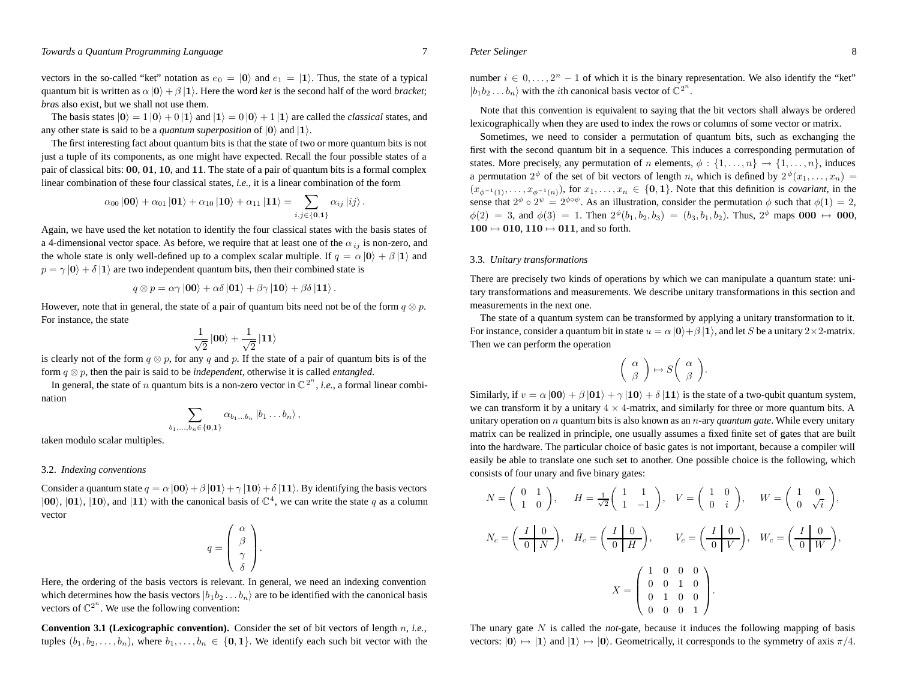## *Towards <sup>a</sup> Quantum Programming Language*

vectors in the so-called "ket" notation as  $e_0 = |0\rangle$  and  $e_1 = |1\rangle$ . Thus, the state of a typical quantum bit is written as  $\alpha |0\rangle + \beta |1\rangle$ . Here the word *ket* is the second half of the word *bracket*; *bra*<sup>s</sup> also exist, but we shall not use them.

The basis states  $|0\rangle = 1 |0\rangle + 0 |1\rangle$  and  $|1\rangle = 0 |0\rangle + 1 |1\rangle$  are called the *classical* states, and any other state is said to be a *quantum superposition* of  $|0\rangle$  and  $|1\rangle$ .

The first interesting fact about quantum bits is that the state of two or more quantum bits is notjust <sup>a</sup> tuple of its components, as one might have expected. Recall the four possible states of <sup>a</sup> pair of classical bits: <sup>00</sup>, <sup>01</sup>, <sup>10</sup>, and <sup>11</sup>. The state of <sup>a</sup> pair of quantum bits is <sup>a</sup> formal complex linear combination of these four classical states, *i.e.*, it is <sup>a</sup> linear combination of the form

$$
\alpha_{00}\ket{\mathbf{00}}+\alpha_{01}\ket{\mathbf{01}}+\alpha_{10}\ket{\mathbf{10}}+\alpha_{11}\ket{\mathbf{11}}=\sum_{i,j\in\{\mathbf{0},\mathbf{1}\}}\alpha_{ij}\ket{ij}.
$$

Again, we have used the ket notation to identify the four classical states with the basis states ofa 4-dimensional vector space. As before, we require that at least one of the  $\alpha_{ij}$  is non-zero, and the whole state is only well-defined up to a complex scalar multiple. If  $q = \alpha |0\rangle + \beta |1\rangle$  and  $p=\gamma |\mathbf{0}\rangle + \delta |\mathbf{1}\rangle$  are two independent quantum bits, then their combined state is

$$
q\otimes p=\alpha\gamma\ket{\mathbf{00}}+\alpha\delta\ket{\mathbf{01}}+\beta\gamma\ket{\mathbf{10}}+\beta\delta\ket{\mathbf{11}}.
$$

However, note that in general, the state of a pair of quantum bits need not be of the form  $q \otimes p$ . For instance, the state

$$
\frac{1}{\sqrt{2}}\ket{00}+\frac{1}{\sqrt{2}}\ket{11}
$$

is clearly not of the form  $q \otimes p$ , for any q and p. If the state of a pair of quantum bits is of the form <sup>q</sup> <sup>⊗</sup> <sup>p</sup>, then the pair is said to be *independent*, otherwise it is called *entangled*.

In general, the state of *n* quantum bits is a non-zero vector in  $\mathbb{C}^{2^n}$ , *i.e.*, a formal linear combination

$$
\sum_{b_1,\ldots,b_n\in\{\mathbf{0},\mathbf{1}\}}\alpha_{b_1\ldots b_n}\left|b_1\ldots b_n\right\rangle,
$$

taken modulo scalar multiples.

## 3.2. *Indexing conventions*

Consider a quantum state  $q = \alpha |00\rangle + \beta |01\rangle + \gamma |10\rangle + \delta |11\rangle$ . By identifying the basis vectors  $|00\rangle$ ,  $|01\rangle$ ,  $|10\rangle$ , and  $|11\rangle$  with the canonical basis of  $\mathbb{C}^4$ , we can write the state q as a column vector

$$
q = \left(\begin{array}{c} \alpha \\ \beta \\ \gamma \\ \delta \end{array}\right).
$$

 Here, the ordering of the basis vectors is relevant. In general, we need an indexing conventionwhich determines how the basis vectors  $|b_1b_2...b_n\rangle$  are to be identified with the canonical basis vectors of  $\mathbb{C}^{2^n}$ . We use the following convention:

**Convention** 3.1 (Lexicographic convention). Consider the set of bit vectors of length n, *i.e.*, tuples  $(b_1, b_2, \ldots, b_n)$ , where  $b_1, \ldots, b_n \in \{0, 1\}$ . We identify each such bit vector with the

## *Peter Selinger*

 $r \sim 8$ 

number  $i \in 0, \ldots, 2^n - 1$  of which it is the binary representation. We also identify the "ket"  $|b_1b_2...b_n\rangle$  with the *i*th canonical basis vector of  $\mathbb{C}^{2^n}$ .

Note that this convention is equivalent to saying that the bit vectors shall always be orderedlexicographically when they are used to index the rows or columns of some vector or matrix.

Sometimes, we need to consider <sup>a</sup> permutation of quantum bits, such as exchanging the first with the second quantum bit in <sup>a</sup> sequence. This induces <sup>a</sup> corresponding permutation ofstates. More precisely, any permutation of n elements,  $\phi: \{1, \ldots, n\} \to \{1, \ldots, n\}$ , induces a permutation  $2^{\phi}$  of the set of bit vectors of length n, which is defined by  $2^{\phi}(x_1, \ldots, x_n)$  =  $(x_{\phi^{-1}(1)},...,x_{\phi^{-1}(n)})$ , for  $x_1,...,x_n \in \{0,1\}$ . Note that this definition is *covariant*, in the sense that  $2^{\phi} \circ 2^{\psi} = 2^{\phi \circ \psi}$ . As an illustration, consider the permutation  $\phi$  such that  $\phi(1) = 2$ ,  $\phi(2) = 3$ , and  $\phi(3) = 1$ . Then  $2^{\phi}(b_1, b_2, b_3) = (b_3, b_1, b_2)$ . Thus,  $2^{\phi}$  maps  $000 \rightarrow 000$ ,<br>100  $\leftrightarrow$  010, 110  $\leftrightarrow$  011 and so forth  $100 \mapsto 010$ ,  $110 \mapsto 011$ , and so forth.

#### 3.3. *Unitary transformations*

There are precisely two kinds of operations by which we can manipulate <sup>a</sup> quantum state: unitary transformations and measurements. We describe unitary transformations in this section andmeasurements in the next one.

The state of <sup>a</sup> quantum system can be transformed by applying <sup>a</sup> unitary transformation to it. For instance, consider a quantum bit in state  $u = \alpha |0\rangle + \beta |1\rangle$ , and let S be a unitary 2×2-matrix. Then we can perform the operation

$$
\left(\begin{array}{c} \alpha \\ \beta \end{array}\right) \mapsto S\left(\begin{array}{c} \alpha \\ \beta \end{array}\right).
$$

Similarly, if  $v = \alpha |00\rangle + \beta |01\rangle + \gamma |10\rangle + \delta |11\rangle$  is the state of a two-qubit quantum system, we can transform it by a unitary  $4 \times 4$ -matrix, and similarly for three or more quantum bits. A unitary operation on  $n$  quantum bits is also known as an  $n$ -ary  $quantum$  *gate*. While every unitary matrix can be realized in principle, one usually assumes <sup>a</sup> fixed finite set of gates that are built into the hardware. The particular choice of basic gates is not important, because <sup>a</sup> compiler willeasily be able to translate one such set to another. One possible choice is the following, whichconsists of four unary and five binary gates:

$$
N = \begin{pmatrix} 0 & 1 \\ 1 & 0 \end{pmatrix}, \qquad H = \frac{1}{\sqrt{2}} \begin{pmatrix} 1 & 1 \\ 1 & -1 \end{pmatrix}, \quad V = \begin{pmatrix} 1 & 0 \\ 0 & i \end{pmatrix}, \qquad W = \begin{pmatrix} 1 & 0 \\ 0 & \sqrt{i} \end{pmatrix},
$$
  

$$
N_c = \left(\frac{I \mid 0}{0 \mid N}\right), \quad H_c = \left(\frac{I \mid 0}{0 \mid H}\right), \qquad V_c = \left(\frac{I \mid 0}{0 \mid V}\right), \quad W_c = \left(\frac{I \mid 0}{0 \mid W}\right),
$$
  

$$
X = \begin{pmatrix} 1 & 0 & 0 & 0 \\ 0 & 0 & 1 & 0 \\ 0 & 1 & 0 & 0 \\ 0 & 0 & 0 & 1 \end{pmatrix}.
$$

The unary gate  $N$  is called the *not*-gate, because it induces the following mapping of basis vectors:  $|0\rangle \mapsto |1\rangle$  and  $|1\rangle \mapsto |0\rangle$ . Geometrically, it corresponds to the symmetry of axis  $\pi/4$ .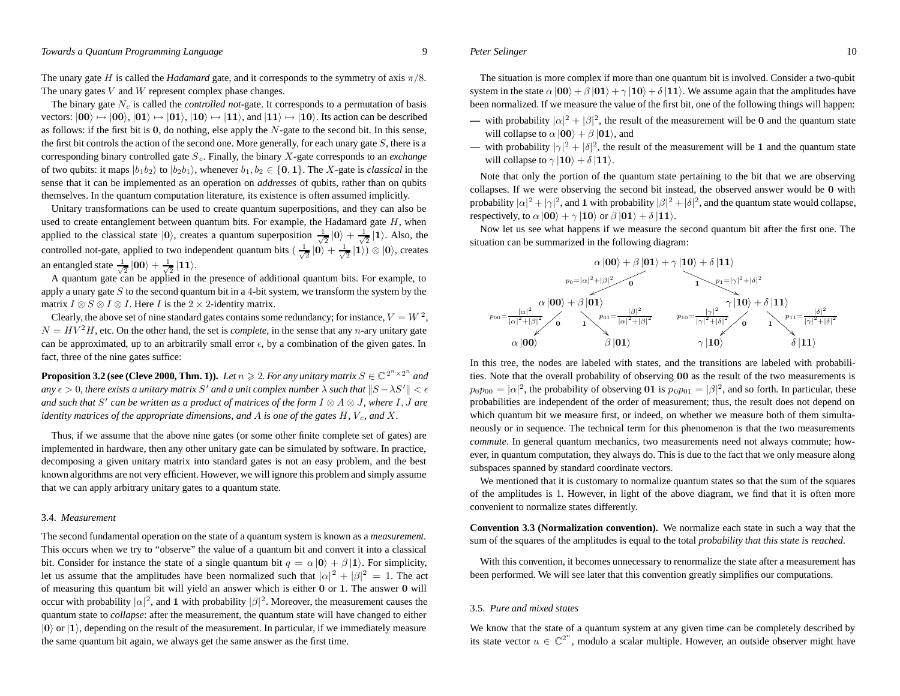The unary gate H is called the *Hadamard* gate, and it corresponds to the symmetry of axis  $\pi/8$ . The unary gates V and W represent complex phase changes.<br>The hinery orte N is called the controlled use sets It as

The binary gate  $N_c$  is called the *controlled not*-gate. It corresponds to a permutation of basis vectors:  $|00\rangle \mapsto |00\rangle$ ,  $|01\rangle \mapsto |01\rangle$ ,  $|10\rangle \mapsto |11\rangle$ , and  $|11\rangle \mapsto |10\rangle$ . Its action can be described as follows: if the first bit is  $0$ , do nothing, else apply the  $N$ -gate to the second bit. In this sense, the first bit controls the action of the second one. More generally, for each unary gate  $S$ , there is a corresponding binary controlled gate  $S_c$ . Finally, the binary X-gate corresponds to an *exchange* of two qubits: it maps  $|b_1b_2\rangle$  to  $|b_2b_1\rangle$ , whenever  $b_1, b_2 \in \{0, 1\}$ . The X-gate is *classical* in the sense that it can be implemented as an operation on *addresses* of qubits, rather than on qubits themselves. In the quantum computation literature, its existence is often assumed implicitly.

Unitary transformations can be used to create quantum superpositions, and they can also beused to create entanglement between quantum bits. For example, the Hadamard gate  $H$ , when applied to the classical state  $|0\rangle$ , creates a quantum superposition  $\frac{1}{\sqrt{2}}|0\rangle + \frac{1}{\sqrt{2}}|1\rangle$ . Also, the controlled not-gate, applied to two independent quantum bits  $(\frac{1}{\sqrt{2}}|\mathbf{0}\rangle + \frac{1}{\sqrt{2}}|\mathbf{1}\rangle) \otimes |\mathbf{0}\rangle$ , creates an entangled state  $\frac{1}{\sqrt{2}}|00\rangle +\frac{1}{\sqrt{2}}|11\rangle.$ 

 A quantum gate can be applied in the presence of additional quantum bits. For example, toapply a unary gate  $S$  to the second quantum bit in a 4-bit system, we transform the system by the matrix  $I \otimes S \otimes I \otimes I$ . Here I is the 2 × 2-identity matrix.

Clearly, the above set of nine standard gates contains some redundancy; for instance,  $V = W^2$ ,  $N = HV^2H$ , etc. On the other hand, the set is *complete*, in the sense that any n-ary unitary gate can be approximated, up to an arbitrarily small error  $\epsilon$ , by a combination of the given gates. In fact, three of the nine gates suffice:

**Proposition 3.2 (see (Cleve 2000, Thm. 1)).** Let  $n \ge 2$ . For any unitary matrix  $S \in \mathbb{C}^{2^n \times 2^n}$  and any  $\epsilon > 0$ , there exists a unitary matrix S' and a unit complex number  $\lambda$  such that  $||S - \lambda S'|| < \epsilon$ and such that S' can be written as a product of matrices of the form  $I \otimes A \otimes J$ , where  $I, J$  are identity matrices of the appropriate dimensions, and  $A$  is one of the gates  $H$ ,  $V_c$ , and  $X$ .

Thus, if we assume that the above nine gates (or some other finite complete set of gates) are implemented in hardware, then any other unitary gate can be simulated by software. In practice, decomposing <sup>a</sup> given unitary matrix into standard gates is not an easy problem, and the bestknown algorithms are not very efficient. However, we will ignore this problem and simply assumethat we can apply arbitrary unitary gates to <sup>a</sup> quantum state.

## 3.4. *Measurement*

The second fundamental operation on the state of <sup>a</sup> quantum system is known as <sup>a</sup> *measurement*. This occurs when we try to "observe" the value of <sup>a</sup> quantum bit and convert it into <sup>a</sup> classicalbit. Consider for instance the state of a single quantum bit  $q = \alpha |0\rangle + \beta |1\rangle$ . For simplicity, let us assume that the amplitudes have been normalized such that  $|\alpha|^2 + |\beta|^2 = 1$ . The act of measuring this quantum bit will yield an answer which is either <sup>0</sup> or <sup>1</sup>. The answer <sup>0</sup> will occur with probability  $|\alpha|^2$ , and 1 with probability  $|\beta|^2$ . Moreover, the measurement causes the quantum state to *collapse*: after the measurement, the quantum state will have changed to either  $|0\rangle$  or  $|1\rangle$ , depending on the result of the measurement. In particular, if we immediately measure the same quantum bit again, we always ge<sup>t</sup> the same answer as the first time.

## *Peter Selinger*

The situation is more complex if more than one quantum bit is involved. Consider <sup>a</sup> two-qubitsystem in the state  $\alpha |00\rangle + \beta |01\rangle + \gamma |10\rangle + \delta |11\rangle$ . We assume again that the amplitudes have been normalized. If we measure the value of the first bit, one of the following things will happen:

— with probability  $|\alpha|^2 + |\beta|^2$ , the result of the measurement will be 0 and the quantum state will collapse to  $\alpha$  |00 $\rangle + \beta$ |01 $\rangle$ , and

— with probability  $|\gamma|^2 + |\delta|^2$ , the result of the measurement will be 1 and the quantum state will collapse to  $\gamma |10\rangle + \delta |11\rangle$ .

Note that only the portion of the quantum state pertaining to the bit that we are observing collapses. If we were observing the second bit instead, the observed answer would be <sup>0</sup> with probability  $|\alpha|^2 + |\gamma|^2$ , and 1 with probability  $|\beta|^2 + |\delta|^2$ , and the quantum state would collapse, respectively, to  $\alpha |00\rangle + \gamma |10\rangle$  or  $\beta |01\rangle + \delta |11\rangle$ .

 Now let us see what happens if we measure the second quantum bit after the first one. Thesituation can be summarized in the following diagram:



In this tree, the nodes are labeled with states, and the transitions are labeled with probabilities. Note that the overall probability of observing <sup>00</sup> as the result of the two measurements is  $p_0p_{00} = |\alpha|^2$ , the probability of observing 01 is  $p_0p_{01} = |\beta|^2$ , and so forth. In particular, these probabilities are independent of the order of measurement; thus, the result does not depend on which quantum bit we measure first, or indeed, on whether we measure both of them simultaneously or in sequence. The technical term for this phenomenon is that the two measurements *commute*. In general quantum mechanics, two measurements need not always commute; however, in quantum computation, they always do. This is due to the fact that we only measure alongsubspaces spanned by standard coordinate vectors.

We mentioned that it is customary to normalize quantum states so that the sum of the squares of the amplitudes is 1. However, in light of the above diagram, we find that it is often moreconvenient to normalize states differently.

**Convention 3.3 (Normalization convention).** We normalize each state in such <sup>a</sup> way that thesum of the squares of the amplitudes is equal to the total *probability that this state is reached*.

With this convention, it becomes unnecessary to renormalize the state after <sup>a</sup> measurement hasbeen performed. We will see later that this convention greatly simplifies our computations.

#### 3.5. *Pure and mixed states*

We know that the state of <sup>a</sup> quantum system at any given time can be completely described byits state vector  $u \in \mathbb{C}^{2^n}$ , modulo a scalar multiple. However, an outside observer might have

 $\epsilon$  9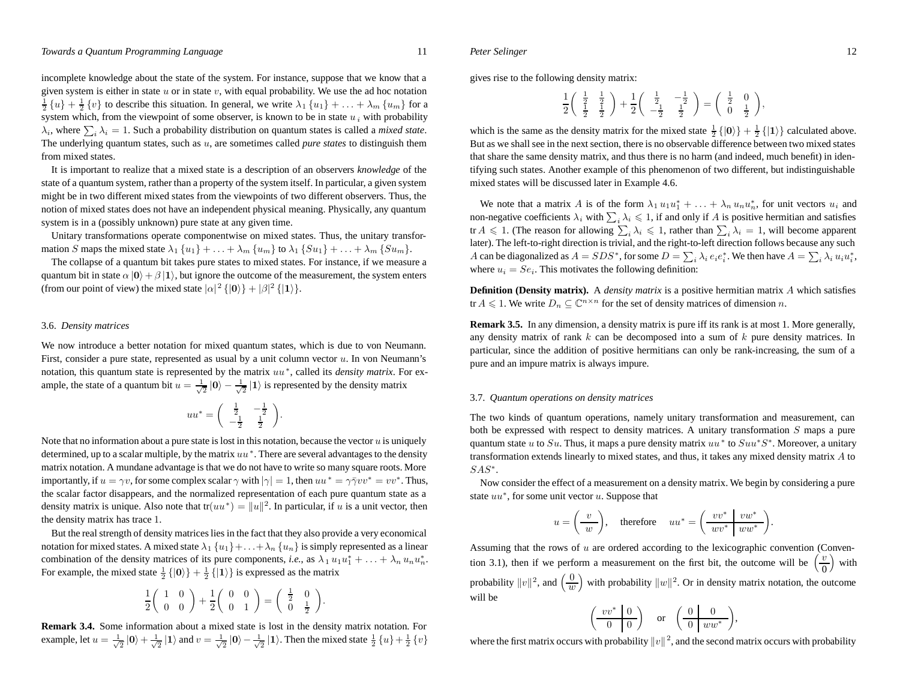incomplete knowledge about the state of the system. For instance, suppose that we know that <sup>a</sup>given system is either in state  $u$  or in state  $v$ , with equal probability. We use the ad hoc notation  $\frac{1}{2}$  { $u$ } +  $\frac{1}{2}$  { $v$ } to describe this situation. In general, we write  $\lambda_1$  { $u_1$ } +  $\dots$  +  $\lambda_m$  { $u_m$ } for a system which, from the viewpoint of some observer, is known to be in state  $u_i$  with probability system which, from the viewpoint of some observer, is known to be in state  $u_i$  with probability  $\lambda_i$ , where  $\sum_i \lambda_i = 1$ . Such a probability distribution on quantum states is called a *mixed state*. The underlying quantum states, such as u, are sometimes called *pure states* to distinguish them from mixed states.

It is important to realize that <sup>a</sup> mixed state is <sup>a</sup> description of an observers *knowledge* of the state of <sup>a</sup> quantum system, rather than <sup>a</sup> property of the system itself. In particular, <sup>a</sup> given system might be in two different mixed states from the viewpoints of two different observers. Thus, the notion of mixed states does not have an independent physical meaning. Physically, any quantumsystem is in <sup>a</sup> (possibly unknown) pure state at any given time.

Unitary transformations operate componentwise on mixed states. Thus, the unitary transformation S maps the mixed state  $\lambda_1 \{u_1\} + \ldots + \lambda_m \{u_m\}$  to  $\lambda_1 \{Su_1\} + \ldots + \lambda_m \{Su_m\}$ .

The collapse of a quantum bit takes pure states to mixed states. For instance, if we measure a The collapse of a quantum bit takes pure states to mixed states. For instance, if we measure a quantum bit in state  $\alpha |0\rangle + \beta |1\rangle$ , but ignore the outcome of the measurement, the system enters (from our point of view) the mixed state  $|\alpha|^2 \{ |\mathbf{0}\rangle \} + |\beta|^2 \{ |\mathbf{1}\rangle \}.$ 

#### 3.6. *Density matrices*

We now introduce <sup>a</sup> better notation for mixed quantum states, which is due to von Neumann. First, consider a pure state, represented as usual by a unit column vector  $u$ . In von Neumann's notation, this quantum state is represented by the matrix uu∗, called its *density matrix*. For example, the state of a quantum bit  $u=\frac{1}{\sqrt{2}}|0\rangle - \frac{1}{\sqrt{2}}|1\rangle$  is represented by the density matrix

$$
uu^* = \left( \begin{array}{cc} \frac{1}{2} & -\frac{1}{2} \\ -\frac{1}{2} & \frac{1}{2} \end{array} \right)
$$

Note that no information about a pure state is lost in this notation, because the vector  $u$  is uniquely determined, up to a scalar multiple, by the matrix  $uu^*$ . There are several advantages to the density matrix notation. A mundane advantage is that we do not have to write so many square roots. Moreimportantly, if  $u = \gamma v$ , for some complex scalar  $\gamma$  with  $|\gamma| = 1$ , then  $uu^* = \gamma \bar{\gamma} vv^* = vv^*$ . Thus, the scalar factor disappears, and the normalized representation of each pure quantum state as <sup>a</sup>density matrix is unique. Also note that  $tr(uu^*) = ||u||^2$ . In particular, if u is a unit vector, then the density matrix has trace <sup>1</sup>.

But the real strength of density matrices lies in the fact that they also provide <sup>a</sup> very economicalnotation for mixed states. A mixed state  $\lambda_1$   $\{u_1\}$  + . . . +  $\lambda_n$   $\{u_n\}$  is simply represented as a linear combination of the density matrices of its pure components, *i.e.*, as  $\lambda_1 u_1 u_1^* + \ldots + \lambda_n u_n u_n^*$ . For example, the mixed state  $\frac{1}{2}$  { $|0\rangle$ } +  $\frac{1}{2}$  { $|1\rangle$ } is expressed as the matrix

$$
\frac{1}{2}\begin{pmatrix} 1 & 0 \\ 0 & 0 \end{pmatrix} + \frac{1}{2}\begin{pmatrix} 0 & 0 \\ 0 & 1 \end{pmatrix} = \begin{pmatrix} \frac{1}{2} & 0 \\ 0 & \frac{1}{2} \end{pmatrix}.
$$

**Remark 3.4.** Some information about <sup>a</sup> mixed state is lost in the density matrix notation. Forexample, let  $u = \frac{1}{\sqrt{2}} |0\rangle + \frac{1}{\sqrt{2}} |1\rangle$  and  $v = \frac{1}{\sqrt{2}} |0\rangle - \frac{1}{\sqrt{2}} |1\rangle$ . Then the mixed state  $\frac{1}{2} \{u\} + \frac{1}{2} \{v\}$ 

## *Peter Selinger*

gives rise to the following density matrix:

$$
\frac{1}{2}\begin{pmatrix} \frac{1}{2} & \frac{1}{2} \\ \frac{1}{2} & \frac{1}{2} \end{pmatrix} + \frac{1}{2}\begin{pmatrix} \frac{1}{2} & -\frac{1}{2} \\ -\frac{1}{2} & \frac{1}{2} \end{pmatrix} = \begin{pmatrix} \frac{1}{2} & 0 \\ 0 & \frac{1}{2} \end{pmatrix},
$$

which is the same as the density matrix for the mixed state  $\frac{1}{2}$  {|0}} +  $\frac{1}{2}$  {|1}} calculated above. But as we shall see in the next section, there is no observable difference between two mixed states that share the same density matrix, and thus there is no harm (and indeed, much benefit) in identifying such states. Another example of this phenomenon of two different, but indistinguishablemixed states will be discussed later in Example 4.6.

We note that a matrix A is of the form  $\lambda_1 u_1 u_1^* + \ldots + \lambda_n u_n u_n^*$ , for unit vectors  $u_i$  and non-negative coefficients  $\lambda_i$  with  $\sum_i \lambda_i \le 1$ , if and only if A is positive hermitian and satisfies tr  $A \le 1$ . (The reason for allowing  $\sum_i \lambda_i \le 1$ , rather than  $\sum_i \lambda_i = 1$ , will become apparent later). The left-to-right direction is trivial, and the right-to-left direction follows because any suchA can be diagonalized as  $A = SDS^*$ , for some  $D = \sum_i \lambda_i e_i e_i^*$ . We then have  $A = \sum_i \lambda_i u_i u_i^*$ , where  $u_i = S e_i$ . This motivates the following definition:

**Definition (Density matrix).** A *density matrix* is a positive hermitian matrix A which satisfies tr  $A \leq 1$ . We write  $D_n \subseteq \mathbb{C}^{n \times n}$  for the set of density matrices of dimension n.

**Remark 3.5.** In any dimension, <sup>a</sup> density matrix is pure iff its rank is at most 1. More generally, any density matrix of rank  $k$  can be decomposed into a sum of  $k$  pure density matrices. In particular, since the addition of positive hermitians can only be rank-increasing, the sum of <sup>a</sup>pure and an impure matrix is always impure.

## 3.7. *Quantum operations on density matrices*

The two kinds of quantum operations, namely unitary transformation and measurement, canboth be expressed with respect to density matrices. A unitary transformation  $S$  maps a pure quantum state u to Su. Thus, it maps a pure density matrix  $uu^*$  to  $Suu^*S^*$ . Moreover, a unitary transformation extends linearly to mixed states, and thus, it takes any mixed density matrix  $A$  to  $SAS^*.$ 

 Now consider the effect of <sup>a</sup> measurement on <sup>a</sup> density matrix. We begin by considering <sup>a</sup> purestate  $uu^*$ , for some unit vector  $u$ . Suppose that

$$
u = \left(\frac{v}{w}\right), \quad \text{therefore} \quad uu^* = \left(\frac{vv^*}{wv^*} \frac{vw^*}{ww^*}\right)
$$

Assuming that the rows of u are ordered according to the lexicographic convention (Convention 3.1), then if we perform a measurement on the first bit, the outcome will be  $\left(\frac{v}{0}\right)$  with probability  $||v||^2$ , and  $\left(\frac{0}{w}\right)$  with probability  $||w||^2$ . Or in density matrix notation, the outcome will be

$$
\left(\begin{array}{c|c} vv^* & 0 \\ \hline 0 & 0 \end{array}\right) \quad \text{or} \quad \left(\begin{array}{c|c} 0 & 0 \\ \hline 0 & ww^* \end{array}\right)
$$

where the first matrix occurs with probability  $||v||^2$ , and the second matrix occurs with probability

 $e$  11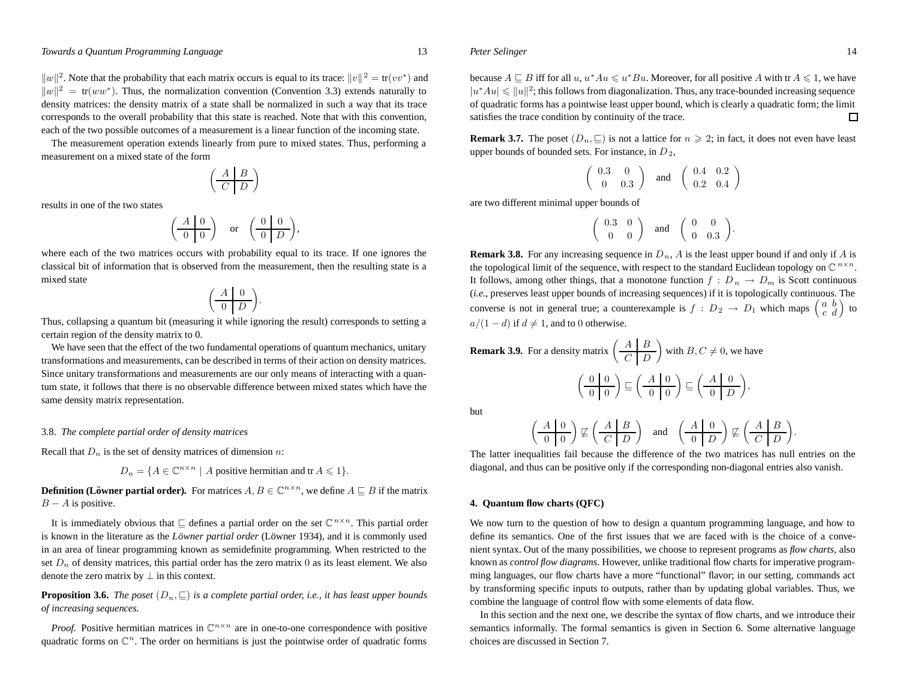$||w||^2$ . Note that the probability that each matrix occurs is equal to its trace:  $||v||^2 = \text{tr}(vv^*)$  and  $||w||^2 = \text{tr}(ww^*)$ . Thus, the normalization convention (Convention 3.3) extends naturally to density matrices: the density matrix of <sup>a</sup> state shall be normalized in such <sup>a</sup> way that its trace corresponds to the overall probability that this state is reached. Note that with this convention, each of the two possible outcomes of <sup>a</sup> measurement is <sup>a</sup> linear function of the incoming state.

The measurement operation extends linearly from pure to mixed states. Thus, performing <sup>a</sup>measurement on <sup>a</sup> mixed state of the form

$$
\left(\begin{array}{c|c}A & B \\ \hline C & D\end{array}\right)
$$

results in one of the two states

$$
\left(\begin{array}{c|c}\nA & 0 \\
\hline\n0 & 0\n\end{array}\right) \quad \text{or} \quad \left(\begin{array}{c|c}\n0 & 0 \\
\hline\n0 & D\n\end{array}\right),
$$

where each of the two matrices occurs with probability equal to its trace. If one ignores the classical bit of information that is observed from the measurement, then the resulting state is <sup>a</sup>mixed state

$$
\left(\begin{array}{cc|c}A & 0 \\ \hline 0 & D\end{array}\right).
$$

Thus, collapsing <sup>a</sup> quantum bit (measuring it while ignoring the result) corresponds to setting <sup>a</sup>certain region of the density matrix to 0.

We have seen that the effect of the two fundamental operations of quantum mechanics, unitary transformations and measurements, can be described in terms of their action on density matrices. Since unitary transformations and measurements are our only means of interacting with <sup>a</sup> quantum state, it follows that there is no observable difference between mixed states which have thesame density matrix representation.

#### 3.8. *The complete partial order of density matrices*

Recall that  $D_n$  is the set of density matrices of dimension n:

$$
D_n = \{ A \in \mathbb{C}^{n \times n} \mid A \text{ positive hermitian and tr } A \leq 1 \}.
$$

**Definition (Löwner partial order).** For matrices  $A, B \in \mathbb{C}^{n \times n}$ , we define  $A \sqsubseteq B$  if the matrix  $B - A$  is positive.

It is immediately obvious that  $\subseteq$  defines a partial order on the set  $\mathbb{C}^{n \times n}$ . This partial order is known in the literature as the *Lowner partial order ¨* (L¨owner 1934), and it is commonly used in an area of linear programming known as semidefinite programming. When restricted to theset  $D_n$  of density matrices, this partial order has the zero matrix 0 as its least element. We also denote the zero matrix by  $\perp$  in this context.

**Proposition 3.6.** The poset  $(D_n, \subseteq)$  is a complete partial order, i.e., it has least upper bounds *of increasing sequences.*

*Proof.* Positive hermitian matrices in  $\mathbb{C}^{n \times n}$  are in one-to-one correspondence with positive quadratic forms on  $\mathbb{C}^n$ . The order on hermitians is just the pointwise order of quadratic forms

because  $A \subseteq B$  iff for all  $u, u^*Au \leq u^*Bu$ . Moreover, for all positive A with tr  $A \leq 1$ , we have  $|u^*Au| \le ||u||^2$ ; this follows from diagonalization. Thus, any trace-bounded increasing sequence of quadratic forms has <sup>a</sup> pointwise least upper bound, which is clearly <sup>a</sup> quadratic form; the limitsatisfies the trace condition by continuity of the trace.  $\Box$ 

**Remark 3.7.** The poset  $(D_n, \subseteq)$  is not a lattice for  $n \ge 2$ ; in fact, it does not even have least upper bounds of bounded sets. For instance, in  $D_2$ ,

$$
\left(\begin{array}{cc}0.3&0\\0&0.3\end{array}\right)\quad\text{and}\quad\left(\begin{array}{cc}0.4&0.2\\0.2&0.4\end{array}\right)
$$

are two different minimal upper bounds of

$$
\left(\begin{array}{cc}0.3 & 0\\0 & 0\end{array}\right) \quad \text{and} \quad \left(\begin{array}{cc}0 & 0\\0 & 0.3\end{array}\right).
$$

**Remark 3.8.** For any increasing sequence in  $D_n$ , A is the least upper bound if and only if A is the topological limit of the sequence, with respect to the standard Euclidean topology on  $\mathbb{C}^{n \times n}$ . It follows, among other things, that a monotone function  $f : D_n \to D_m$  is Scott continuous<br>(i.e. presentes legat upper bounds of increasing sequences) if it is topologically continuous. The It follows, among other things, that a monotone function  $f: D_n \to D_m$  is Scott continuous.<br>(*i.e.*, preserves least upper bounds of increasing sequences) if it is topologically continuous. The converse is not in general true; a counterexample is  $f : D_2 \to D_1$  which maps  $\begin{pmatrix} a & b \\ c & d \end{pmatrix}$  to  $a/(1-d)$  if  $d \neq 1$ , and to 0 otherwise.

**Remark 3.9.** For a density matrix 
$$
\left(\begin{array}{c|c} A & B \\ \hline C & D \end{array}\right)
$$
 with  $B, C \neq 0$ , we have  

$$
\left(\begin{array}{c|c} 0 & 0 \\ \hline 0 & 0 \end{array}\right) \sqsubseteq \left(\begin{array}{c|c} A & 0 \\ \hline 0 & 0 \end{array}\right) \sqsubseteq \left(\begin{array}{c|c} A & 0 \\ \hline 0 & D \end{array}\right),
$$

but

$$
\left(\begin{array}{c|c} A & 0 \\ \hline 0 & 0 \end{array}\right) \not\sqsubseteq \left(\begin{array}{c|c} A & B \\ \hline C & D \end{array}\right) \quad \text{and} \quad \left(\begin{array}{c|c} A & 0 \\ \hline 0 & D \end{array}\right) \not\sqsubseteq \left(\begin{array}{c|c} A & B \\ \hline C & D \end{array}\right).
$$

The latter inequalities fail because the difference of the two matrices has null entries on thediagonal, and thus can be positive only if the corresponding non-diagonal entries also vanish.

## **4. Quantum flow charts (QFC)**

We now turn to the question of how to design <sup>a</sup> quantum programming language, and how to define its semantics. One of the first issues that we are faced with is the choice of <sup>a</sup> convenient syntax. Out of the many possibilities, we choose to represen<sup>t</sup> programs as *flow charts*, also known as *control flow diagrams*. However, unlike traditional flow charts for imperative programming languages, our flow charts have <sup>a</sup> more "functional" flavor; in our setting, commands actby transforming specific inputs to outputs, rather than by updating global variables. Thus, wecombine the language of control flow with some elements of data flow.

In this section and the next one, we describe the syntax of flow charts, and we introduce their semantics informally. The formal semantics is given in Section 6. Some alternative languagechoices are discussed in Section 7.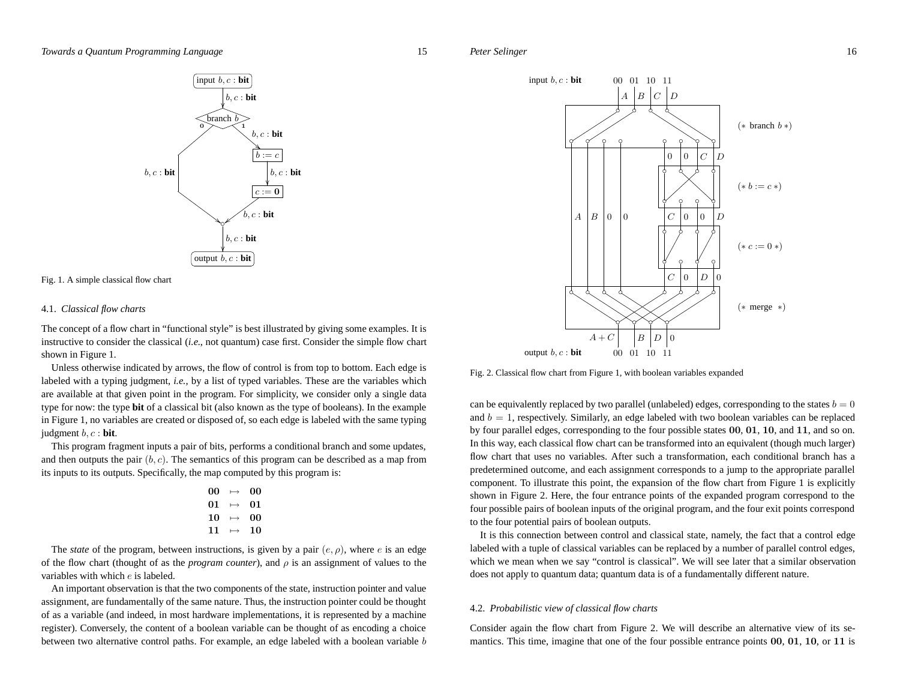



#### 4.1. *Classical flow charts*

The concep<sup>t</sup> of <sup>a</sup> flow chart in "functional style" is best illustrated by giving some examples. It is instructive to consider the classical (*i.e.*, not quantum) case first. Consider the simple flow chartshown in Figure 1.

Unless otherwise indicated by arrows, the flow of control is from top to bottom. Each edge is labeled with <sup>a</sup> typing judgment, *i.e.*, by <sup>a</sup> list of typed variables. These are the variables which are available at that given point in the program. For simplicity, we consider only <sup>a</sup> single data type for now: the type **bit** of <sup>a</sup> classical bit (also known as the type of booleans). In the example in Figure 1, no variables are created or disposed of, so each edge is labeled with the same typingjudgment b, <sup>c</sup> : **bit**.

This program fragment inputs <sup>a</sup> pair of bits, performs <sup>a</sup> conditional branch and some updates, and then outputs the pair  $(b, c)$ . The semantics of this program can be described as a map from its inputs to its outputs. Specifically, the map computed by this program is:

| oo | $\mapsto$ | ററ |
|----|-----------|----|
| 01 | $\mapsto$ | 01 |
| 10 | $\mapsto$ | oo |
| 11 | $\mapsto$ | 10 |
|    |           |    |

The *state* of the program, between instructions, is given by a pair  $(e, \rho)$ , where e is an edge of the flow chart (thought of as the *program counter*), and  $\rho$  is an assignment of values to the variables with which  $e$  is labeled.

An important observation is that the two components of the state, instruction pointer and value assignment, are fundamentally of the same nature. Thus, the instruction pointer could be thoughtof as <sup>a</sup> variable (and indeed, in most hardware implementations, it is represented by <sup>a</sup> machine register). Conversely, the content of <sup>a</sup> boolean variable can be thought of as encoding <sup>a</sup> choicebetween two alternative control paths. For example, an edge labeled with a boolean variable b





Fig. 2. Classical flow chart from Figure 1, with boolean variables expanded

can be equivalently replaced by two parallel (unlabeled) edges, corresponding to the states  $b = 0$ and  $b = 1$ , respectively. Similarly, an edge labeled with two boolean variables can be replaced by four parallel edges, corresponding to the four possible states <sup>00</sup>, <sup>01</sup>, <sup>10</sup>, and <sup>11</sup>, and so on. In this way, each classical flow chart can be transformed into an equivalent (though much larger)flow chart that uses no variables. After such <sup>a</sup> transformation, each conditional branch has <sup>a</sup> predetermined outcome, and each assignment corresponds to <sup>a</sup> jump to the appropriate parallelcomponent. To illustrate this point, the expansion of the flow chart from Figure 1 is explicitly shown in Figure 2. Here, the four entrance points of the expanded program correspond to the four possible pairs of boolean inputs of the original program, and the four exit points correspondto the four potential pairs of boolean outputs.

It is this connection between control and classical state, namely, the fact that <sup>a</sup> control edge labeled with <sup>a</sup> tuple of classical variables can be replaced by <sup>a</sup> number of parallel control edges, which we mean when we say "control is classical". We will see later that a similar observation does not apply to quantum data; quantum data is of <sup>a</sup> fundamentally different nature.

## 4.2. *Probabilistic view of classical flow charts*

Consider again the flow chart from Figure 2. We will describe an alternative view of its semantics. This time, imagine that one of the four possible entrance points 00, 01, 10, or 11 is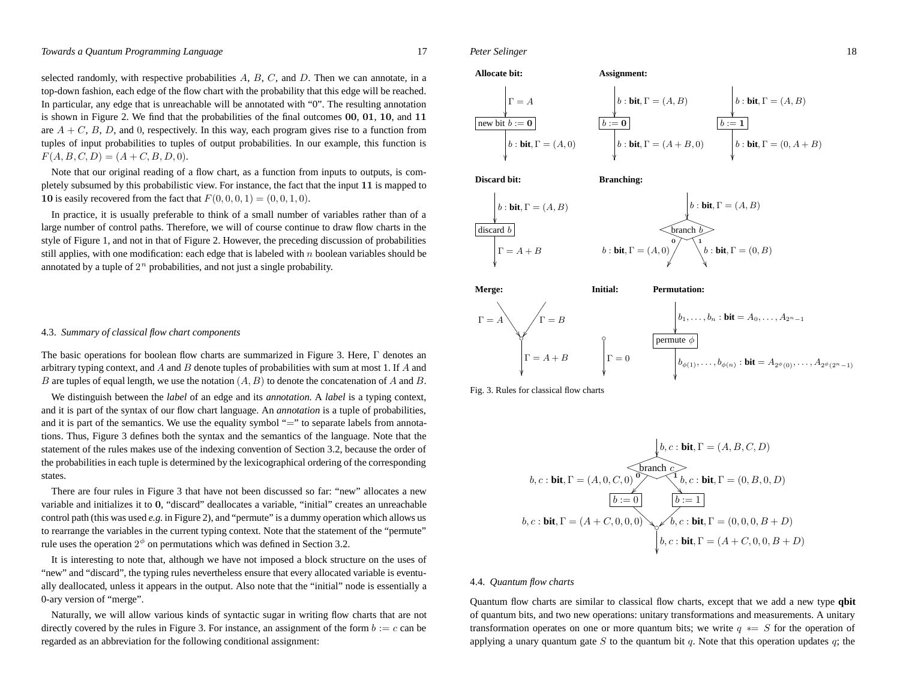selected randomly, with respective probabilities  $A$ ,  $B$ ,  $C$ , and  $D$ . Then we can annotate, in a top-down fashion, each edge of the flow chart with the probability that this edge will be reached. In particular, any edge that is unreachable will be annotated with "0". The resulting annotation is shown in Figure 2. We find that the probabilities of the final outcomes <sup>00</sup>, <sup>01</sup>, <sup>10</sup>, and <sup>11</sup>are  $A + C$ ,  $B$ ,  $D$ , and 0, respectively. In this way, each program gives rise to a function from tuples of input probabilities to tuples of output probabilities. In our example, this function is $F(A, B, C, D) = (A + C, B, D, 0).$ 

Note that our original reading of <sup>a</sup> flow chart, as <sup>a</sup> function from inputs to outputs, is completely subsumed by this probabilistic view. For instance, the fact that the input 11 is mappe<sup>d</sup> to **10** is easily recovered from the fact that  $F(0, 0, 0, 1) = (0, 0, 1, 0)$ .

In practice, it is usually preferable to think of <sup>a</sup> small number of variables rather than of <sup>a</sup> large number of control paths. Therefore, we will of course continue to draw flow charts in the style of Figure 1, and not in that of Figure 2. However, the preceding discussion of probabilitiesstill applies, with one modification: each edge that is labeled with  $n$  boolean variables should be annotated by a tuple of  $2^n$  probabilities, and not just a single probability.

## 4.3. *Summary of classical flow chart components*

The basic operations for boolean flow charts are summarized in Figure 3. Here, Γ denotes an arbitrary typing context, and A and B denote tuples of probabilities with sum at most 1. If A and B are tuples of equal length, we use the notation  $(A, B)$  to denote the concatenation of A and B.

We distinguish between the *label* of an edge and its *annotation*. <sup>A</sup> *label* is <sup>a</sup> typing context, and it is par<sup>t</sup> of the syntax of our flow chart language. An *annotation* is <sup>a</sup> tuple of probabilities, and it is part of the semantics. We use the equality symbol "=" to separate labels from annotations. Thus, Figure 3 defines both the syntax and the semantics of the language. Note that the statement of the rules makes use of the indexing convention of Section 3.2, because the order of the probabilities in each tuple is determined by the lexicographical ordering of the correspondingstates.

There are four rules in Figure 3 that have not been discussed so far: "new" allocates <sup>a</sup> new variable and initializes it to <sup>0</sup>, "discard" deallocates <sup>a</sup> variable, "initial" creates an unreachable control path (this was used *e.g.* in Figure 2), and "permute" is <sup>a</sup> dummy operation which allows us to rearrange the variables in the current typing context. Note that the statement of the "permute"rule uses the operation  $2^{\phi}$  on permutations which was defined in Section 3.2.

It is interesting to note that, although we have not imposed <sup>a</sup> block structure on the uses of"new" and "discard", the typing rules nevertheless ensure that every allocated variable is eventually deallocated, unless it appears in the output. Also note that the "initial" node is essentially <sup>a</sup>0-ary version of "merge".

Naturally, we will allow various kinds of syntactic sugar in writing flow charts that are notdirectly covered by the rules in Figure 3. For instance, an assignment of the form  $b := c$  can be regarded as an abbreviation for the following conditional assignment:

*Peter Selinger*

$$
\mathbf{e}^{\mathbf{h}\mathbf{i}t}
$$



**Discard bit:**

**Branching:**







$$
b, c : \text{bit}, \Gamma = (A, B, C, D)
$$
  
\n
$$
b, c : \text{bit}, \Gamma = (A, 0, C, 0)
$$
  
\n
$$
b := 0
$$
  
\n
$$
b, c : \text{bit}, \Gamma = (0, B, 0, D)
$$
  
\n
$$
b := 1
$$
  
\n
$$
b, c : \text{bit}, \Gamma = (0, 0, 0, B + D)
$$
  
\n
$$
b, c : \text{bit}, \Gamma = (0, 0, 0, B + D)
$$
  
\n
$$
b, c : \text{bit}, \Gamma = (A + C, 0, 0, B + D)
$$
  
\n
$$
b, c : \text{bit}, \Gamma = (A + C, 0, 0, B + D)
$$

#### 4.4. *Quantum flow charts*

Quantum flow charts are similar to classical flow charts, excep<sup>t</sup> that we add <sup>a</sup> new type **qbit** of quantum bits, and two new operations: unitary transformations and measurements. A unitarytransformation operates on one or more quantum bits; we write  $q \ast = S$  for the operation of applying a unary quantum gate S to the quantum bit  $q$ . Note that this operation updates  $q$ ; the

 $e$  17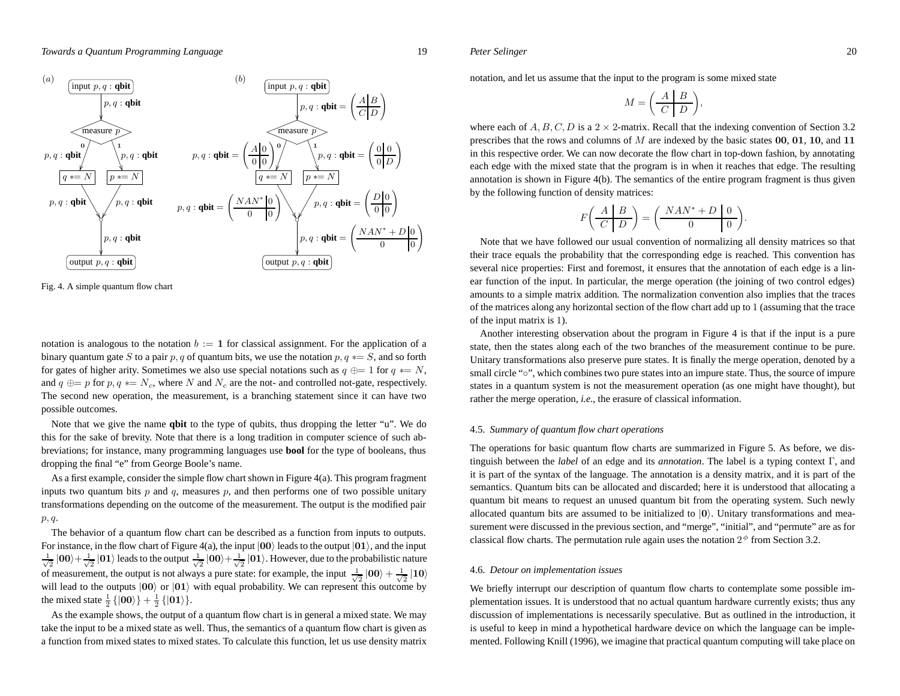

Fig. 4. A simple quantum flow chart

notation is analogous to the notation  $b := 1$  for classical assignment. For the application of a binary quantum gate S to a pair  $p, q$  of quantum bits, we use the notation  $p, q \rightleftharpoons S$ , and so forth for gates of higher arity. Sometimes we also use special notations such as  $q \oplus 1$  for  $q \leftarrow N$ , and  $q \oplus = p$  for  $p, q \cong N_c$ , where N and  $N_c$  are the not- and controlled not-gate, respectively. The second new operation, the measurement, is <sup>a</sup> branching statement since it can have twopossible outcomes.

Note that we give the name **qbit** to the type of qubits, thus dropping the letter "u". We do this for the sake of brevity. Note that there is <sup>a</sup> long tradition in computer science of such abbreviations; for instance, many programming languages use **bool** for the type of booleans, thus dropping the final "e" from George Boole's name.

As a first example, consider the simple flow chart shown in Figure  $4(a)$ . This program fragment inputs two quantum bits  $p$  and  $q$ , measures  $p$ , and then performs one of two possible unitary transformations depending on the outcome of the measurement. The output is the modified pairp, q.

The behavior of <sup>a</sup> quantum flow chart can be described as <sup>a</sup> function from inputs to outputs. For instance, in the flow chart of Figure 4(a), the input  $|00\rangle$  leads to the output  $|01\rangle$ , and the input  $\frac{1}{\sqrt{2}} |00\rangle + \frac{1}{\sqrt{2}} |01\rangle$  leads to the output  $\frac{1}{\sqrt{2}} |00\rangle + \frac{1}{\sqrt{2}} |01\rangle$ . However, due to the probabilistic nature of measurement, the output is not always a pure state: for example, the input  $\frac{1}{\sqrt{2}} |0$ the mixed state  $\frac{1}{2} \{ |00\rangle \} + \frac{1}{2} \{ |01\rangle \}.$ 

 As the example shows, the output of <sup>a</sup> quantum flow chart is in general <sup>a</sup> mixed state. We may take the input to be <sup>a</sup> mixed state as well. Thus, the semantics of <sup>a</sup> quantum flow chart is given as<sup>a</sup> function from mixed states to mixed states. To calculate this function, let us use density matrix *Peter Selinger*

notation, and let us assume that the input to the program is some mixed state

$$
M = \left(\begin{array}{c|c} A & B \\ \hline C & D \end{array}\right),
$$

where each of  $A, B, C, D$  is a  $2 \times 2$ -matrix. Recall that the indexing convention of Section 3.2 prescribes that the rows and columns of  $M$  are indexed by the basic states  $00, 01, 10$ , and 11 in this prepartive order We gap pow decorate the flow chart in top down feeling by eppetiting in this respective order. We can now decorate the flow chart in top-down fashion, by annotating each edge with the mixed state that the program is in when it reaches that edge. The resulting annotation is shown in Figure 4(b). The semantics of the entire program fragment is thus givenby the following function of density matrices:

$$
F\left(\begin{array}{c|c}A & B \\ \hline C & D \end{array}\right) = \left(\begin{array}{c|c}NAN^* + D & 0 \\ \hline 0 & 0 \end{array}\right)
$$

 Note that we have followed our usual convention of normalizing all density matrices so thattheir trace equals the probability that the corresponding edge is reached. This convention has several nice properties: First and foremost, it ensures that the annotation of each edge is <sup>a</sup> linear function of the input. In particular, the merge operation (the joining of two control edges) amounts to <sup>a</sup> simple matrix addition. The normalization convention also implies that the traces of the matrices along any horizontal section of the flow chart add up to <sup>1</sup> (assuming that the trace of the input matrix is <sup>1</sup>).

Another interesting observation about the program in Figure 4 is that if the input is <sup>a</sup> pure state, then the states along each of the two branches of the measurement continue to be pure. Unitary transformations also preserve pure states. It is finally the merge operation, denoted by <sup>a</sup>small circle "o", which combines two pure states into an impure state. Thus, the source of impure states in <sup>a</sup> quantum system is not the measurement operation (as one might have thought), butrather the merge operation, *i.e.*, the erasure of classical information.

### 4.5. *Summary of quantum flow chart operations*

The operations for basic quantum flow charts are summarized in Figure 5. As before, we distinguish between the *label* of an edge and its *annotation*. The label is <sup>a</sup> typing context Γ, and it is par<sup>t</sup> of the syntax of the language. The annotation is <sup>a</sup> density matrix, and it is par<sup>t</sup> of the semantics. Quantum bits can be allocated and discarded; here it is understood that allocating <sup>a</sup> quantum bit means to reques<sup>t</sup> an unused quantum bit from the operating system. Such newlyallocated quantum bits are assumed to be initialized to  $|0\rangle$ . Unitary transformations and measurement were discussed in the previous section, and "merge", "initial", and "permute" are as forclassical flow charts. The permutation rule again uses the notation  $2^{\phi}$  from Section 3.2.

#### 4.6. *Detour on implementation issues*

We briefly interrupt our description of quantum flow charts to contemplate some possible implementation issues. It is understood that no actual quantum hardware currently exists; thus any discussion of implementations is necessarily speculative. But as outlined in the introduction, itis useful to keep in mind <sup>a</sup> hypothetical hardware device on which the language can be implemented. Following Knill (1996), we imagine that practical quantum computing will take place on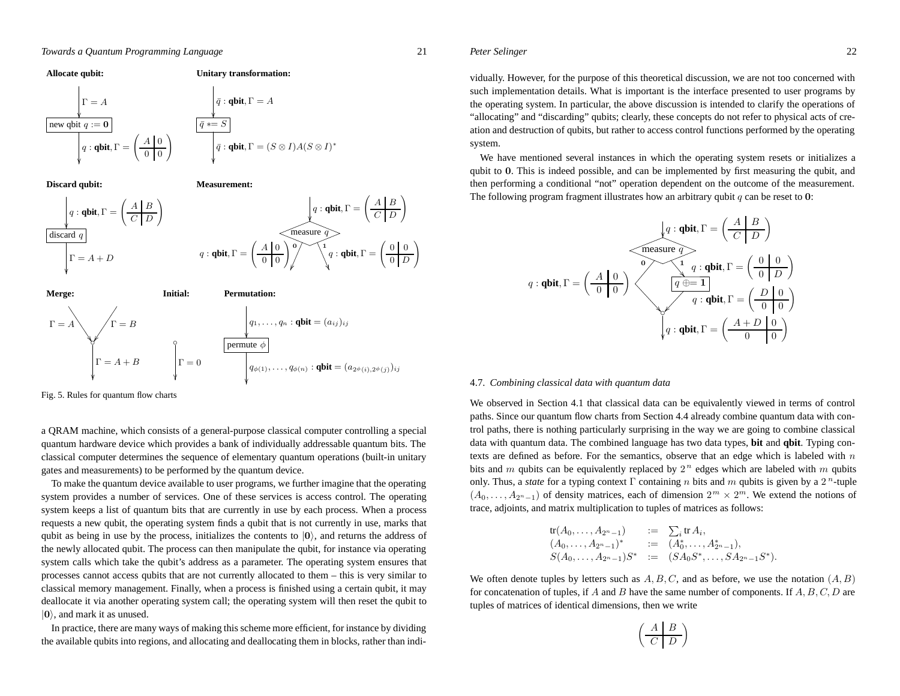**Allocate qubit:**

## **Unitary transformation:**



**Discard qubit:**

**Measurement:**



 $e q$ 0 $q:$  **qbit**,  $\Gamma$  =  $\Big($ A $\frac{A}{\cdot}$  0 0 $0<sub>0</sub>$ ) 1 $q:$  **qbit**,  $\Gamma$  =  $\Big($ 

measure

 $q:$  **qbit**,  $\Gamma =$ 

 $\left(\right)$ ABCD)<br>)

> $\begin{bmatrix} 0 \\ 0 \end{bmatrix}$  $0 \mid D$ )



Fig. 5. Rules for quantum flow charts

<sup>a</sup> QRAM machine, which consists of <sup>a</sup> general-purpose classical computer controlling <sup>a</sup> specialquantum hardware device which provides <sup>a</sup> bank of individually addressable quantum bits. The classical computer determines the sequence of elementary quantum operations (built-in unitarygates and measurements) to be performed by the quantum device.

To make the quantum device available to user programs, we further imagine that the operating system provides <sup>a</sup> number of services. One of these services is access control. The operating system keeps <sup>a</sup> list of quantum bits that are currently in use by each process. When <sup>a</sup> process requests <sup>a</sup> new qubit, the operating system finds <sup>a</sup> qubit that is not currently in use, marks thatqubit as being in use by the process, initializes the contents to  $|0\rangle$ , and returns the address of the newly allocated qubit. The process can then manipulate the qubit, for instance via operating system calls which take the qubit's address as <sup>a</sup> parameter. The operating system ensures thatprocesses cannot access qubits that are not currently allocated to them – this is very similar to classical memory management. Finally, when <sup>a</sup> process is finished using <sup>a</sup> certain qubit, it may deallocate it via another operating system call; the operating system will then reset the qubit to $|0\rangle$ , and mark it as unused.

In practice, there are many ways of making this scheme more efficient, for instance by dividingthe available qubits into regions, and allocating and deallocating them in blocks, rather than indi-

### *Peter Selinger*

vidually. However, for the purpose of this theoretical discussion, we are not too concerned with such implementation details. What is important is the interface presented to user programs by the operating system. In particular, the above discussion is intended to clarify the operations of "allocating" and "discarding" qubits; clearly, these concepts do not refer to physical acts of creation and destruction of qubits, but rather to access control functions performed by the operatingsystem.

We have mentioned several instances in which the operating system resets or initializes <sup>a</sup> qubit to <sup>0</sup>. This is indeed possible, and can be implemented by first measuring the qubit, and then performing <sup>a</sup> conditional "not" operation dependent on the outcome of the measurement. The following program fragment illustrates how an arbitrary qubit  $q$  can be reset to  $\mathbf{0}$ :



#### 4.7. *Combining classical data with quantum data*

We observed in Section 4.1 that classical data can be equivalently viewed in terms of controlpaths. Since our quantum flow charts from Section 4.4 already combine quantum data with control paths, there is nothing particularly surprising in the way we are going to combine classicaldata with quantum data. The combined language has two data types, **bit** and **qbit**. Typing contexts are defined as before. For the semantics, observe that an edge which is labeled with  $n$ bits and m qubits can be equivalently replaced by  $2^n$  edges which are labeled with m qubits only. Thus, a *state* for a typing context  $\Gamma$  containing *n* bits and *m* qubits is given by a 2<sup>*n*</sup>-tuple  $(A_0, \ldots, A_{2^n-1})$  of density matrices, each of dimension  $2^m \times 2^m$ . We extend the notions of trace, adjoints, and matrix multiplication to tuples of matrices as follows:

$$
\begin{array}{rcl}\n\text{tr}(A_0,\ldots,A_{2n-1}) & := & \sum_i \text{tr}\, A_i, \\
(A_0,\ldots,A_{2n-1})^* & := & (A_0^*,\ldots,A_{2n-1}^*), \\
S(A_0,\ldots,A_{2n-1})S^* & := & (SA_0S^*,\ldots,SA_{2n-1}S^*).\n\end{array}
$$

We often denote tuples by letters such as  $A, B, C$ , and as before, we use the notation  $(A, B)$ for concatenation of tuples, if A and B have the same number of components. If  $A, B, C, D$  are tuples of matrices of identical dimensions, then we write

$$
\left(\begin{array}{c|c} A & B \\ \hline C & D \end{array}\right)
$$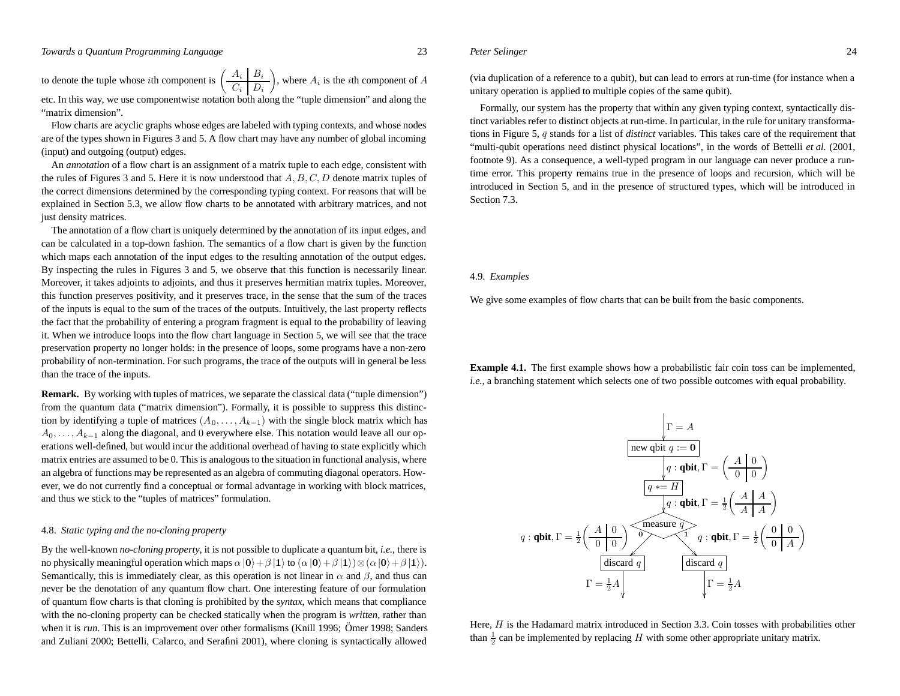to denote the tuple whose *i*th component is  $\left(\begin{array}{c|c} A_i & B_i \\ \hline C_i & D_i \end{array}\right)$  $\left(\frac{A_i}{C_i} \middle| \begin{array}{c} B_i \\ D_i \end{array}\right)$ , where  $A_i$  is the *i*th component of  $A$ etc. In this way, we use componentwise notation both along the "tuple dimension" and along the

"matrix dimension".

Flow charts are acyclic graphs whose edges are labeled with typing contexts, and whose nodes are of the types shown in Figures 3 and 5. A flow chart may have any number of global incoming(input) and outgoing (output) edges.

An *annotation* of <sup>a</sup> flow chart is an assignment of <sup>a</sup> matrix tuple to each edge, consistent with the rules of Figures 3 and 5. Here it is now understood that  $A, B, C, D$  denote matrix tuples of the correct dimensions determined by the corresponding typing context. For reasons that will be explained in Section 5.3, we allow flow charts to be annotated with arbitrary matrices, and notjust density matrices.

The annotation of <sup>a</sup> flow chart is uniquely determined by the annotation of its input edges, and can be calculated in <sup>a</sup> top-down fashion. The semantics of <sup>a</sup> flow chart is given by the function which maps each annotation of the input edges to the resulting annotation of the output edges. By inspecting the rules in Figures 3 and 5, we observe that this function is necessarily linear. Moreover, it takes adjoints to adjoints, and thus it preserves hermitian matrix tuples. Moreover, this function preserves positivity, and it preserves trace, in the sense that the sum of the traces of the inputs is equal to the sum of the traces of the outputs. Intuitively, the last property reflects the fact that the probability of entering <sup>a</sup> program fragment is equal to the probability of leaving it. When we introduce loops into the flow chart language in Section 5, we will see that the trace preservation property no longer holds: in the presence of loops, some programs have <sup>a</sup> non-zero probability of non-termination. For such programs, the trace of the outputs will in general be lessthan the trace of the inputs.

**Remark.** By working with tuples of matrices, we separate the classical data ("tuple dimension") from the quantum data ("matrix dimension"). Formally, it is possible to suppress this distinction by identifying a tuple of matrices  $(A_0, \ldots, A_{k-1})$  with the single block matrix which has  $A_0, \ldots, A_{k-1}$  along the diagonal, and 0 everywhere else. This notation would leave all our operations well-defined, but would incur the additional overhead of having to state explicitly which matrix entries are assumed to be 0. This is analogous to the situation in functional analysis, where an algebra of functions may be represented as an algebra of commuting diagonal operators. However, we do not currently find <sup>a</sup> conceptual or formal advantage in working with block matrices, and thus we stick to the "tuples of matrices" formulation.

#### 4.8. *Static typing and the no-cloning property*

By the well-known *no-cloning property*, it is not possible to duplicate <sup>a</sup> quantum bit, *i.e.*, there is no physically meaningful operation which maps  $\alpha |0\rangle + \beta |1\rangle$  to  $(\alpha |0\rangle + \beta |1\rangle) \otimes (\alpha |0\rangle + \beta |1\rangle)$ . Semantically, this is immediately clear, as this operation is not linear in  $\alpha$  and  $\beta$ , and thus can never be the denotation of any quantum flow chart. One interesting feature of our formulation of quantum flow charts is that cloning is prohibited by the *syntax*, which means that compliance with the no-cloning property can be checked statically when the program is *written*, rather thanwhen it is *run*. This is an improvement over other formalisms (Knill 1996; Ömer 1998; Sanders and Zuliani 2000; Bettelli, Calarco, and Serafini 2001), where cloning is syntactically allowed

## *Peter Selinger*

(via duplication of <sup>a</sup> reference to <sup>a</sup> qubit), but can lead to errors at run-time (for instance when <sup>a</sup>unitary operation is applied to multiple copies of the same qubit).

Formally, our system has the property that within any given typing context, syntactically distinct variables refer to distinct objects at run-time. In particular, in the rule for unitary transformations in Figure 5,  $\bar{q}$  stands for a list of *distinct* variables. This takes care of the requirement that "multi-qubit operations need distinct physical locations", in the words of Bettelli *et al.* (2001, footnote 9). As <sup>a</sup> consequence, <sup>a</sup> well-typed program in our language can never produce <sup>a</sup> runtime error. This property remains true in the presence of loops and recursion, which will be introduced in Section 5, and in the presence of structured types, which will be introduced inSection 7.3.

## 4.9. *Examples*

We give some examples of flow charts that can be built from the basic components.

**Example 4.1.** The first example shows how a probabilistic fair coin toss can be implemented, *i.e.*, <sup>a</sup> branching statement which selects one of two possible outcomes with equal probability.



Here,  $H$  is the Hadamard matrix introduced in Section 3.3. Coin tosses with probabilities other than  $\frac{1}{2}$  can be implemented by replacing H with some other appropriate unitary matrix.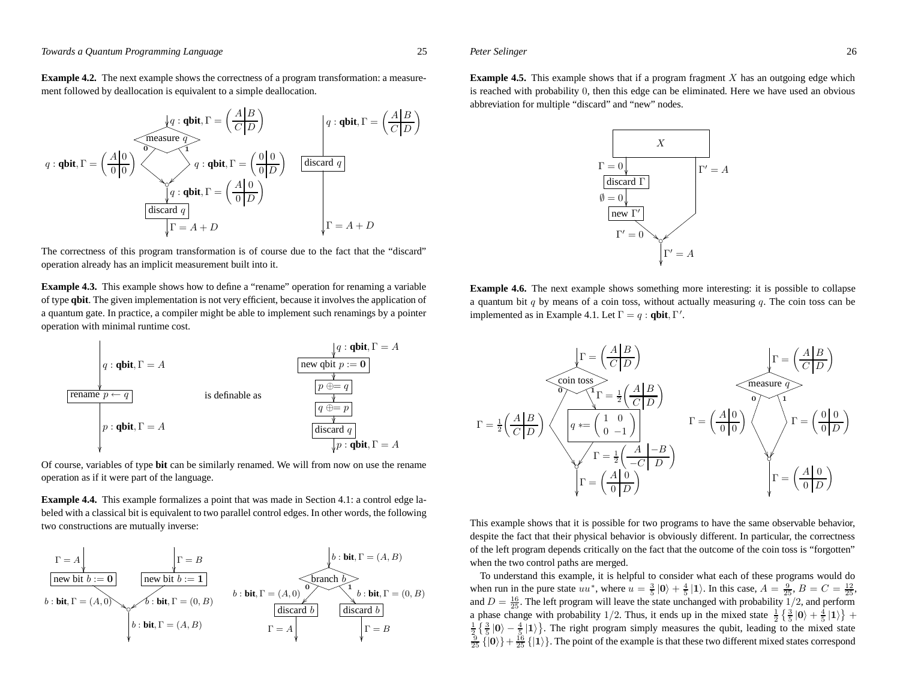**Example 4.2.** The next example shows the correctness of <sup>a</sup> program transformation: <sup>a</sup> measurement followed by deallocation is equivalent to <sup>a</sup> simple deallocation.



The correctness of this program transformation is of course due to the fact that the "discard"operation already has an implicit measurement built into it.

**Example 4.3.** This example shows how to define a "rename" operation for renaming a variable of type **qbit**. The <sup>g</sup>iven implementation is not very efficient, because it involves the application of <sup>a</sup> quantum gate. In practice, <sup>a</sup> compiler might be able to implement such renamings by <sup>a</sup> pointeroperation with minimal runtime cost.



Of course, variables of type **bit** can be similarly renamed. We will from now on use the rename operation as if it were par<sup>t</sup> of the language.

**Example 4.4.** This example formalizes a point that was made in Section 4.1: a control edge labeled with <sup>a</sup> classical bit is equivalent to two parallel control edges. In other words, the followingtwo constructions are mutually inverse:



**Example 4.5.** This example shows that if a program fragment  $X$  has an outgoing edge which is reached with probability <sup>0</sup>, then this edge can be eliminated. Here we have used an obvious abbreviation for multiple "discard" and "new" nodes.



**Example 4.6.** The next example shows something more interesting: it is possible to collapse a quantum bit  $q$  by means of a coin toss, without actually measuring  $q$ . The coin toss can be implemented as in Example 4.1. Let  $\Gamma = q : \textbf{qbit}, \Gamma'$ .



This example shows that it is possible for two programs to have the same observable behavior, despite the fact that their physical behavior is obviously different. In particular, the correctness of the left program depends critically on the fact that the outcome of the coin toss is "forgotten"when the two control paths are merged.

To understand this example, it is helpful to consider what each of these programs would dowhen run in the pure state  $uu^*$ , where  $u=\frac{3}{5}|0\rangle +\frac{4}{5}|1\rangle$ . In this case,  $A=\frac{9}{25}$ ,  $B=C=\frac{12}{25}$ , and  $D=\frac{16}{25}$ . The left program will leave the state unchanged with probability 1/2, and perform a phase change with probability  $1/2$ . Thus, it ends up in the mixed state  $\frac{1}{2} \left\{ \frac{3}{5} |0\rangle + \frac{4}{5} |1\rangle \right\}$ a phase change with probability 1/2. Thus, it ends up in the mixed state  $\frac{1}{2} \left\{ \frac{3}{5} |0\rangle + \frac{4}{5} |1\rangle \right\}$ . The right program simply measures the qubit, leading to the mixed state  $\frac{9}{25} \{|0\rangle\} + \frac{16}{25} \{|1\rangle\}$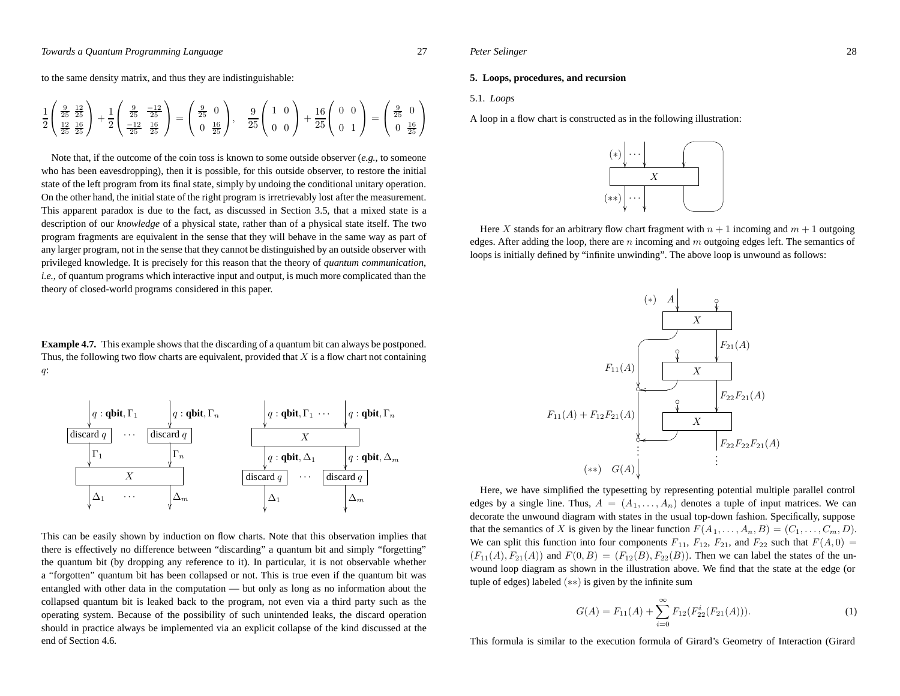$\epsilon$  27

to the same density matrix, and thus they are indistinguishable:

$$
\frac{1}{2} \begin{pmatrix} \frac{9}{25} & \frac{12}{25} \\ \frac{12}{25} & \frac{16}{25} \end{pmatrix} + \frac{1}{2} \begin{pmatrix} \frac{9}{25} & \frac{-12}{25} \\ \frac{-12}{25} & \frac{16}{25} \end{pmatrix} = \begin{pmatrix} \frac{9}{25} & 0 \\ 0 & \frac{16}{25} \end{pmatrix}, \quad \frac{9}{25} \begin{pmatrix} 1 & 0 \\ 0 & 0 \end{pmatrix} + \frac{16}{25} \begin{pmatrix} 0 & 0 \\ 0 & 1 \end{pmatrix} = \begin{pmatrix} \frac{9}{25} & 0 \\ 0 & \frac{16}{25} \end{pmatrix}
$$

Note that, if the outcome of the coin toss is known to some outside observer (*e.g.*, to someone who has been eavesdropping), then it is possible, for this outside observer, to restore the initial state of the left program from its final state, simply by undoing the conditional unitary operation. On the other hand, the initial state of the right program is irretrievably lost after the measurement. This apparen<sup>t</sup> paradox is due to the fact, as discussed in Section 3.5, that <sup>a</sup> mixed state is <sup>a</sup> description of our *knowledge* of <sup>a</sup> <sup>p</sup>hysical state, rather than of <sup>a</sup> <sup>p</sup>hysical state itself. The two program fragments are equivalent in the sense that they will behave in the same way as par<sup>t</sup> of any larger program, not in the sense that they cannot be distinguished by an outside observer with privileged knowledge. It is precisely for this reason that the theory of *quantum communication*, *i.e.*, of quantum programs which interactive input and output, is much more complicated than thetheory of closed-world programs considered in this paper.

**Example 4.7.** This example shows that the discarding of a quantum bit can always be postponed. Thus, the following two flow charts are equivalent, provided that  $X$  is a flow chart not containing q:



This can be easily shown by induction on flow charts. Note that this observation implies thatthere is effectively no difference between "discarding" <sup>a</sup> quantum bit and simply "forgetting" the quantum bit (by dropping any reference to it). In particular, it is not observable whether <sup>a</sup> "forgotten" quantum bit has been collapsed or not. This is true even if the quantum bit was entangled with other data in the computation — but only as long as no information about the collapsed quantum bit is leaked back to the program, not even via <sup>a</sup> third party such as the operating system. Because of the possibility of such unintended leaks, the discard operation should in practice always be implemented via an explicit collapse of the kind discussed at theend of Section 4.6.

*Peter Selinger*

## **5. Loops, procedures, and recursion**

5.1. *Loops*

A loop in <sup>a</sup> flow chart is constructed as in the following illustration:



Here X stands for an arbitrary flow chart fragment with  $n + 1$  incoming and  $m + 1$  outgoing edges. After adding the loop, there are *n* incoming and *m* outgoing edges left. The semantics of loops is initially defined by "infinite unwinding". The above loop is unwound as follows:



Here, we have simplified the typesetting by representing potential multiple parallel controledges by a single line. Thus,  $A = (A_1, \ldots, A_n)$  denotes a tuple of input matrices. We can decorate the unwound diagram with states in the usual top-down fashion. Specifically, supposethat the semantics of X is given by the linear function  $F(A_1, \ldots, A_n, B) = (C_1, \ldots, C_m, D)$ . We can split this function into four components  $F_{11}$ ,  $F_{12}$ ,  $F_{21}$ , and  $F_{22}$  such that  $F(A, 0) =$  $(F_{11}(A), F_{21}(A))$  and  $F(0, B) = (F_{12}(B), F_{22}(B))$ . Then we can label the states of the unwound loop diagram as shown in the illustration above. We find that the state at the edge (ortuple of edges) labeled (∗∗) is <sup>g</sup>iven by the infinite sum

$$
G(A) = F_{11}(A) + \sum_{i=0}^{\infty} F_{12}(F_{22}^i(F_{21}(A))).
$$
 (1)

This formula is similar to the execution formula of Girard's Geometry of Interaction (Girard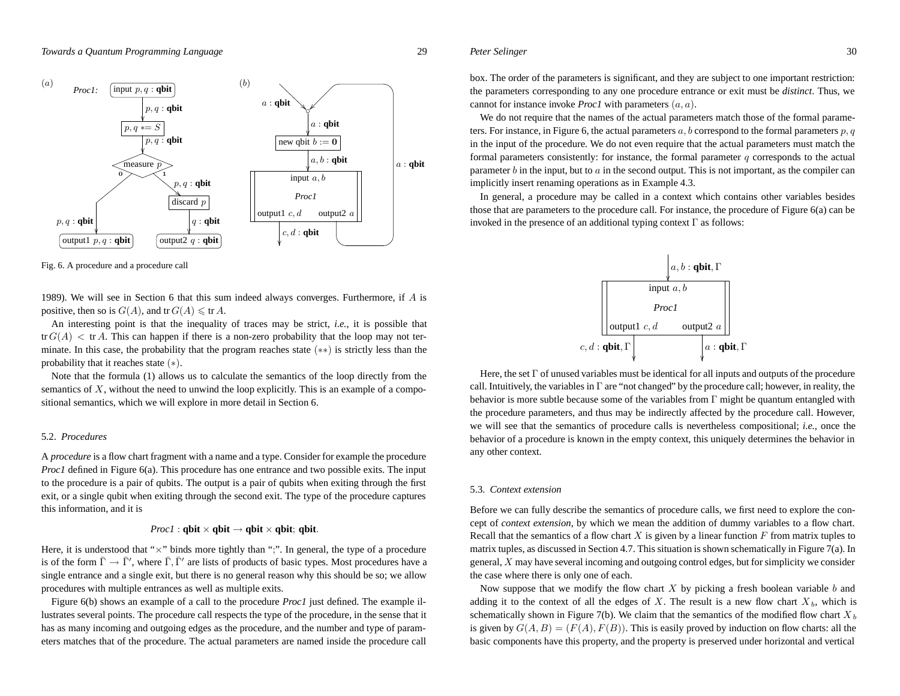

*Peter Selinger*



Fig. 6. A procedure and <sup>a</sup> procedure call

1989). We will see in Section 6 that this sum indeed always converges. Furthermore, if A is positive, then so is  $G(A)$ , and tr  $G(A) \leq \text{tr } A$ .

An interesting point is that the inequality of traces may be strict, *i.e.*, it is possible thattr  $G(A) <$  tr A. This can happen if there is a non-zero probability that the loop may not terminate. In this case, the probability that the program reaches state (∗∗) is strictly less than the probability that it reaches state (∗).

Note that the formula (1) allows us to calculate the semantics of the loop directly from thesemantics of  $X$ , without the need to unwind the loop explicitly. This is an example of a compositional semantics, which we will explore in more detail in Section 6.

## 5.2. *Procedures*

A *procedure* is a flow chart fragment with a name and a type. Consider for example the procedure *Proc1* defined in Figure 6(a). This procedure has one entrance and two possible exits. The input to the procedure is <sup>a</sup> pair of qubits. The output is <sup>a</sup> pair of qubits when exiting through the first exit, or <sup>a</sup> single qubit when exiting through the second exit. The type of the procedure capturesthis information, and it is

# $\text{Proof}: \textbf{qbit} \times \textbf{qbit} \rightarrow \textbf{qbit} \times \textbf{qbit}; \textbf{qbit}.$

Here, it is understood that " $\times$ " binds more tightly than ";". In general, the type of a procedure is of the form  $\bar{\Gamma} \to \bar{\Gamma}'$ , where  $\bar{\Gamma}, \bar{\Gamma}'$  are lists of products of basic types. Most procedures have a single artence and a single axit, but there is no general reason why this should be so; we allow single entrance and <sup>a</sup> single exit, but there is no general reason why this should be so; we allowprocedures with multiple entrances as well as multiple exits.

Figure 6(b) shows an example of <sup>a</sup> call to the procedure *Proc1* just defined. The example illustrates several points. The procedure call respects the type of the procedure, in the sense that ithas as many incoming and outgoing edges as the procedure, and the number and type of parameters matches that of the procedure. The actual parameters are named inside the procedure call

box. The order of the parameters is significant, and they are subject to one important restriction:the parameters corresponding to any one procedure entrance or exit must be *distinct*. Thus, we cannot for instance invoke *Proc1* with parameters (a, <sup>a</sup>).

We do not require that the names of the actual parameters match those of the formal parameters. For instance, in Figure 6, the actual parameters  $a, b$  correspond to the formal parameters  $p, q$  in the input of the procedure. We do not even require that the actual parameters must match theformal parameters consistently: for instance, the formal parameter  $q$  corresponds to the actual parameter b in the input, but to  $a$  in the second output. This is not important, as the compiler can implicitly insert renaming operations as in Example 4.3.

In general, <sup>a</sup> procedure may be called in <sup>a</sup> context which contains other variables besides those that are parameters to the procedure call. For instance, the procedure of Figure 6(a) can beinvoked in the presence of an additional typing context  $\Gamma$  as follows:



Here, the set  $\Gamma$  of unused variables must be identical for all inputs and outputs of the procedure call. Intuitively, the variables in  $\Gamma$  are "not changed" by the procedure call; however, in reality, the behavior is more subtle because some of the variables from <sup>Γ</sup> might be quantum entangled with the procedure parameters, and thus may be indirectly affected by the procedure call. However, we will see that the semantics of procedure calls is nevertheless compositional; *i.e.*, once the behavior of <sup>a</sup> procedure is known in the empty context, this uniquely determines the behavior inany other context.

#### 5.3. *Context extension*

Before we can fully describe the semantics of procedure calls, we first need to explore the concep<sup>t</sup> of *context extension*, by which we mean the addition of dummy variables to <sup>a</sup> flow chart. Recall that the semantics of a flow chart X is given by a linear function F from matrix tuples to matrix tuples, as discussed in Section 4.7. This situation is shown schematically in Figure 7(a). In general, X may have several incoming and outgoing control edges, but for simplicity we consider the case where there is only one of each.

Now suppose that we modify the flow chart X by picking a fresh boolean variable b and adding it to the context of all the edges of X. The result is a new flow chart  $X_b$ , which is schematically shown in Figure 7(b). We claim that the semantics of the modified flow chart  $X_b$ is given by  $G(A, B) = (F(A), F(B))$ . This is easily proved by induction on flow charts: all the basic components have this property, and the property is preserved under horizontal and vertical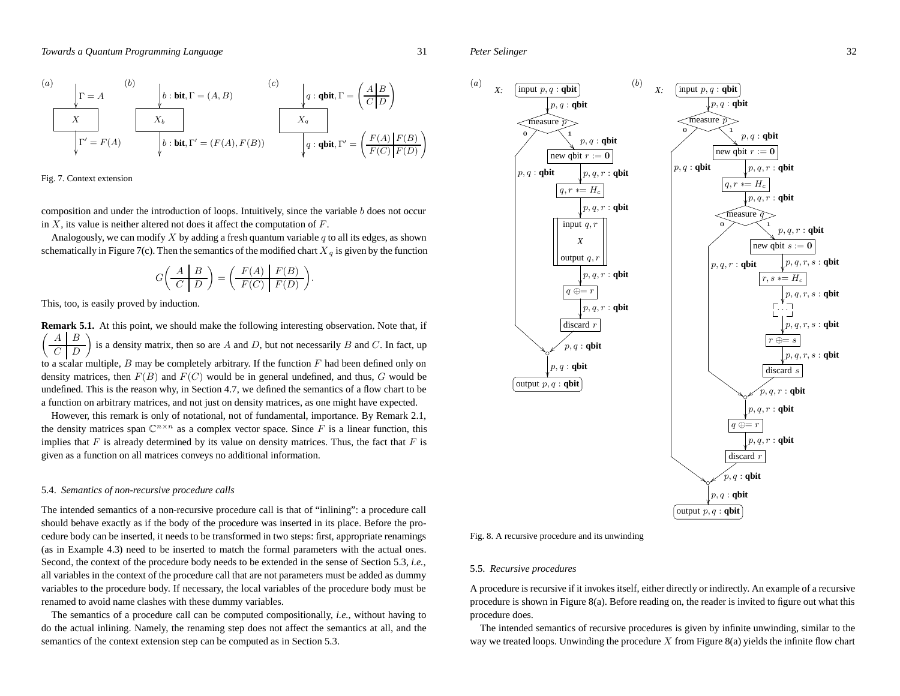



Fig. 7. Context extension

composition and under the introduction of loops. Intuitively, since the variable  $b$  does not occur in X, its value is neither altered not does it affect the computation of  $F$ .

Analogously, we can modify X by adding a fresh quantum variable q to all its edges, as shown schematically in Figure 7(c). Then the semantics of the modified chart  $X_q$  is given by the function

$$
G\left(\begin{array}{c|c}A & B \\ \hline C & D \end{array}\right) = \left(\begin{array}{c|c}F(A) & F(B) \\ \hline F(C) & F(D) \end{array}\right).
$$

This, too, is easily proved by induction.

**Remark 5.1.** At this point, we should make the following interesting observation. Note that, if $\overline{C}$  $C \mid D$  and a scalar multiple, B may be completely arbitrary. If the function F had been defined only on is a density matrix, then so are  $A$  and  $D$ , but not necessarily  $B$  and  $C$ . In fact, up density matrices, then  $F(B)$  and  $F(C)$  would be in general undefined, and thus, G would be undefined. This is the reason why, in Section 4.7, we defined the semantics of <sup>a</sup> flow chart to be<sup>a</sup> function on arbitrary matrices, and not just on density matrices, as one might have expected.

However, this remark is only of notational, not of fundamental, importance. By Remark 2.1, the density matrices span  $\mathbb{C}^{n \times n}$  as a complex vector space. Since F is a linear function, this implies that F is already determined by its value on density matrices. Thus, the fact that F is given as <sup>a</sup> function on all matrices conveys no additional information.

#### 5.4. *Semantics of non-recursive procedure calls*

The intended semantics of <sup>a</sup> non-recursive procedure call is that of "inlining": <sup>a</sup> procedure callshould behave exactly as if the body of the procedure was inserted in its place. Before the procedure body can be inserted, it needs to be transformed in two steps: first, appropriate renamings (as in Example 4.3) need to be inserted to match the formal parameters with the actual ones. Second, the context of the procedure body needs to be extended in the sense of Section 5.3, *i.e.*, all variables in the context of the procedure call that are not parameters must be added as dummy variables to the procedure body. If necessary, the local variables of the procedure body must berenamed to avoid name clashes with these dummy variables.

The semantics of <sup>a</sup> procedure call can be computed compositionally, *i.e.*, without having to do the actual inlining. Namely, the renaming step does not affect the semantics at all, and thesemantics of the context extension step can be computed as in Section 5.3.

*Peter Selinger*



Fig. 8. A recursive procedure and its unwinding

#### 5.5. *Recursive procedures*

A procedure is recursive if it invokes itself, either directly or indirectly. An example of <sup>a</sup> recursive procedure is shown in Figure 8(a). Before reading on, the reader is invited to figure out what thisprocedure does.

The intended semantics of recursive procedures is given by infinite unwinding, similar to theway we treated loops. Unwinding the procedure  $X$  from Figure 8(a) yields the infinite flow chart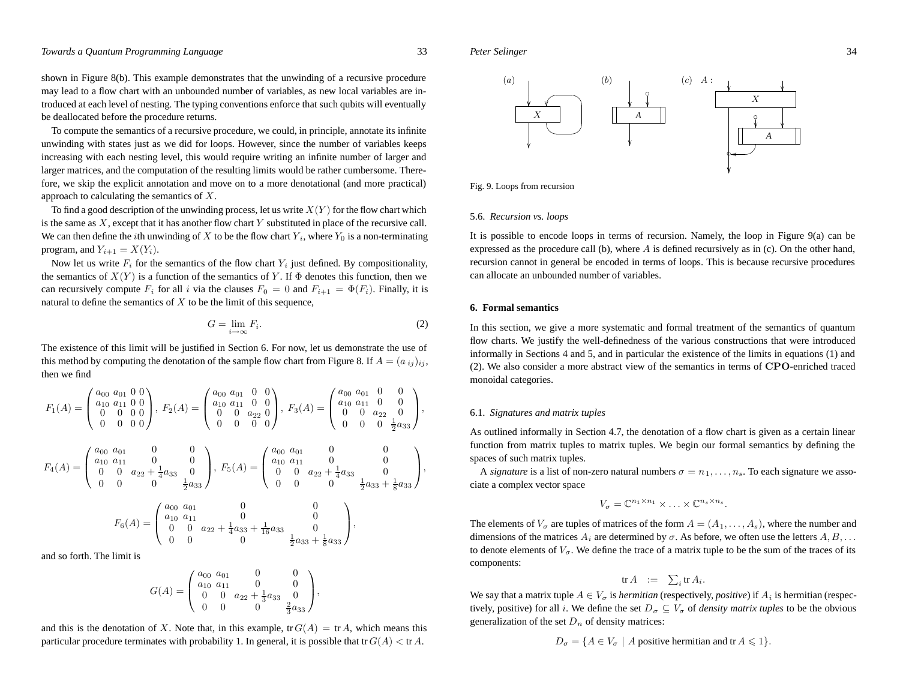$\epsilon$  33

*Peter Selinger*

shown in Figure 8(b). This example demonstrates that the unwinding of <sup>a</sup> recursive procedure may lead to <sup>a</sup> flow chart with an unbounded number of variables, as new local variables are introduced at each level of nesting. The typing conventions enforce that such qubits will eventuallybe deallocated before the procedure returns.

To compute the semantics of <sup>a</sup> recursive procedure, we could, in principle, annotate its infinite unwinding with states just as we did for loops. However, since the number of variables keeps increasing with each nesting level, this would require writing an infinite number of larger and larger matrices, and the computation of the resulting limits would be rather cumbersome. Therefore, we skip the explicit annotation and move on to <sup>a</sup> more denotational (and more practical)approach to calculating the semantics of  $X$ .

To find a good description of the unwinding process, let us write  $X(Y)$  for the flow chart which is the same as  $X$ , except that it has another flow chart  $Y$  substituted in place of the recursive call. We can then define the *i*th unwinding of X to be the flow chart  $Y_i$ , where  $Y_0$  is a non-terminating program, and  $Y_{i+1}=X(Y_i)$ .

Now let us write  $F_i$  for the semantics of the flow chart  $Y_i$  just defined. By compositionality, the semantics of  $X(Y)$  is a function of the semantics of Y. If  $\Phi$  denotes this function, then we can recursively compute  $F_i$  for all i via the clauses  $F_0 = 0$  and  $F_{i+1} = \Phi(F_i)$ . Finally, it is natural to define the semantics of  $X$  to be the limit of this sequence,

$$
G = \lim_{i \to \infty} F_i.
$$
 (2)

 The existence of this limit will be justified in Section 6. For now, let us demonstrate the use ofthis method by computing the denotation of the sample flow chart from Figure 8. If  $A = (a_{ij})_{ij}$ , then we find

$$
F_1(A) = \begin{pmatrix} a_{00} & a_{01} & 0 & 0 \\ a_{10} & a_{11} & 0 & 0 \\ 0 & 0 & 0 & 0 \\ 0 & 0 & 0 & 0 \end{pmatrix}, F_2(A) = \begin{pmatrix} a_{00} & a_{01} & 0 & 0 \\ a_{10} & a_{11} & 0 & 0 \\ 0 & 0 & a_{22} & 0 \\ 0 & 0 & 0 & 0 \end{pmatrix}, F_3(A) = \begin{pmatrix} a_{00} & a_{01} & 0 & 0 \\ a_{10} & a_{11} & 0 & 0 \\ 0 & 0 & a_{22} & 0 \\ 0 & 0 & 0 & \frac{1}{2}a_{33} \end{pmatrix},
$$

$$
F_4(A) = \begin{pmatrix} a_{00} & a_{01} & 0 & 0 \ a_{10} & a_{11} & 0 & 0 \ 0 & 0 & a_{22} + \frac{1}{4}a_{33} & 0 \ 0 & 0 & 0 & \frac{1}{2}a_{33} \end{pmatrix}, F_5(A) = \begin{pmatrix} a_{00} & a_{01} & 0 & 0 \ a_{10} & a_{11} & 0 & 0 \ 0 & 0 & a_{22} + \frac{1}{4}a_{33} & 0 \ 0 & 0 & 0 & \frac{1}{2}a_{33} + \frac{1}{8}a_{33} \end{pmatrix},
$$

$$
F_6(A) = \begin{pmatrix} a_{00} & a_{01} & 0 & 0 \\ a_{10} & a_{11} & 0 & 0 \\ 0 & 0 & a_{22} + \frac{1}{4}a_{33} + \frac{1}{16}a_{33} & 0 \\ 0 & 0 & 0 & \frac{1}{2}a_{33} + \frac{1}{8}a_{33} \end{pmatrix},
$$

and so forth. The limit is

$$
G(A) = \begin{pmatrix} a_{00} & a_{01} & 0 & 0 \ a_{10} & a_{11} & 0 & 0 \ 0 & 0 & a_{22} + \frac{1}{3}a_{33} & 0 \ 0 & 0 & 0 & \frac{2}{3}a_{33} \end{pmatrix},
$$

and this is the denotation of X. Note that, in this example, tr  $G(A) = \text{tr } A$ , which means this particular procedure terminates with probability 1. In general, it is possible that  $tr G(A) < tr A$ .



Fig. 9. Loops from recursion

#### 5.6. *Recursion vs. loops*

It is possible to encode loops in terms of recursion. Namely, the loop in Figure 9(a) can beexpressed as the procedure call (b), where  $A$  is defined recursively as in (c). On the other hand, recursion cannot in general be encoded in terms of loops. This is because recursive procedurescan allocate an unbounded number of variables.

## **6. Formal semantics**

In this section, we give <sup>a</sup> more systematic and formal treatment of the semantics of quantum flow charts. We justify the well-definedness of the various constructions that were introduced informally in Sections 4 and 5, and in particular the existence of the limits in equations (1) and (2). We also consider <sup>a</sup> more abstract view of the semantics in terms of CPO-enriched tracedmonoidal categories.

#### 6.1. *Signatures and matrix tuples*

As outlined informally in Section 4.7, the denotation of <sup>a</sup> flow chart is given as <sup>a</sup> certain linear function from matrix tuples to matrix tuples. We begin our formal semantics by defining thespaces of such matrix tuples.

A *signature* is a list of non-zero natural numbers  $\sigma = n_1, \ldots, n_s$ . To each signature we associate <sup>a</sup> complex vector space

$$
V_{\sigma} = \mathbb{C}^{n_1 \times n_1} \times \ldots \times \mathbb{C}^{n_s \times n_s}
$$

The elements of  $V_{\sigma}$  are tuples of matrices of the form  $A = (A_1, \ldots, A_s)$ , where the number and dimensions of the matrices  $A_i$  are determined by  $\sigma$ . As before, we often use the letters  $A, B, \ldots$ to denote elements of  $V_{\sigma}$ . We define the trace of a matrix tuple to be the sum of the traces of its components:

$$
\operatorname{tr} A \quad := \quad \sum_i \operatorname{tr} A_i.
$$

We say that a matrix tuple  $A \in V_{\sigma}$  is *hermitian* (respectively, *positive*) if  $A_i$  is hermitian (respectively, positive) for all i. We define the set  $D_{\sigma} \subseteq V_{\sigma}$  of *density matrix tuples* to be the obvious generalization of the set  $D_n$  of density matrices:

$$
D_{\sigma} = \{ A \in V_{\sigma} \mid A \text{ positive hermitian and tr } A \leq 1 \}.
$$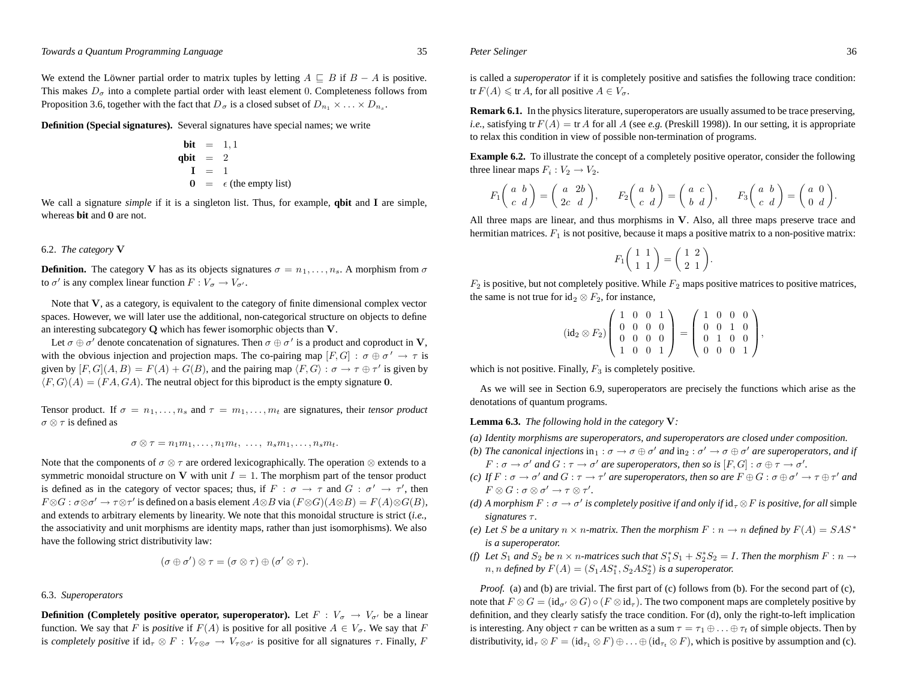We extend the Löwner partial order to matrix tuples by letting  $A \sqsubseteq B$  if  $B - A$  is positive. This makes  $D_{\sigma}$  into a complete partial order with least element 0. Completeness follows from Proposition 3.6, together with the fact that  $D_{\sigma}$  is a closed subset of  $D_{n_1} \times \ldots \times D_{n_s}$ .

**Definition (Special signatures).** Several signatures have special names; we write

| <b>bit</b>  | = | 1, 1                        |
|-------------|---|-----------------------------|
| <b>qbit</b> | = | 2                           |
| <b>I</b>    | = | 1                           |
| <b>0</b>    | = | $\epsilon$ (the empty list) |

We call <sup>a</sup> signature *simple* if it is <sup>a</sup> singleton list. Thus, for example, **qbit** and <sup>I</sup> are simple, whereas **bit** and <sup>0</sup> are not.

## 6.2. *The category* <sup>V</sup>

**Definition.** The category V has as its objects signatures  $\sigma = n_1, \ldots, n_s$ . A morphism from  $\sigma$ to  $\sigma'$  is any complex linear function  $F: V_{\sigma} \to V_{\sigma'}$ .

Note that  $V$ , as a category, is equivalent to the category of finite dimensional complex vector spaces. However, we will later use the additional, non-categorical structure on objects to definean interesting subcategory  $Q$  which has fewer isomorphic objects than  $V$ .

Let  $\sigma \oplus \sigma'$  denote concatenation of signatures. Then  $\sigma \oplus \sigma'$  is a product and coproduct in V, with the obvious injection and projection maps. The co-pairing map  $[F, G] : \sigma \oplus \sigma' \to \tau$  is<br>given by  $[F, G](A, B) = F(A) + G(B)$  and the pairing map  $(F, G) : \sigma \to \tau'$  is given by given by  $[F, G](A, B) = F(A) + G(B)$ , and the pairing map  $\langle F, G \rangle : \sigma \to \tau \oplus \tau'$  is given by<br> $\langle F, G \rangle (A) = (FA, CA)$ . The poutral object for this biproduct is the empty signature 0.  $\langle F, G \rangle(A) = (FA, GA)$ . The neutral object for this biproduct is the empty signature 0.

Tensor product. If  $\sigma = n_1, \ldots, n_s$  and  $\tau = m_1, \ldots, m_t$  are signatures, their *tensor product*  $\sigma \otimes \tau$  is defined as

$$
\sigma \otimes \tau = n_1 m_1, \ldots, n_1 m_t, \ldots, n_s m_1, \ldots, n_s m_t.
$$

Note that the components of  $\sigma \otimes \tau$  are ordered lexicographically. The operation  $\otimes$  extends to a symmetric monoidal structure on V with unit  $I = 1$ . The morphism part of the tensor product is defined as in the category of vector spaces; thus, if  $F : \sigma \to \tau$  and  $G : \sigma' \to \tau'$ , then<br> $E \otimes G : \sigma \otimes \tau' \to \sigma \otimes \tau'$  is defined on a basis alamant  $A \otimes B$  via  $(E \otimes G)(A \otimes B) = E(A) \otimes C(B)$  $F \otimes G : \sigma \otimes \sigma' \to \tau \otimes \tau'$  is defined on a basis element  $A \otimes B$  via  $(F \otimes G)(A \otimes B) = F(A) \otimes G(B)$ ,<br>and autords to exhittent alamants by linearity. We note that this manaidal structure is strict (i.e. and extends to arbitrary elements by linearity. We note that this monoidal structure is strict (*i.e.*, the associativity and unit morphisms are identity maps, rather than just isomorphisms). We alsohave the following strict distributivity law:

$$
(\sigma\oplus\sigma')\otimes\tau=(\sigma\otimes\tau)\oplus(\sigma'\otimes\tau).
$$

## 6.3. *Superoperators*

**Definition (Completely positive operator, superoperator).** Let  $F : V_{\sigma} \to V_{\sigma'}$  be a linear function. We say that  $F$  is positive if  $F(A)$  is positive for all positive  $A \subset V$ . We say that  $F$ function. We say that F is *positive* if  $F(A)$  is positive for all positive  $A \in V_{\sigma}$ . We say that F is *completely positive* if  $id_{\tau} \otimes F : V_{\tau \otimes \sigma} \to V_{\tau \otimes \sigma'}$  is positive for all signatures  $\tau$ . Finally, F

## *Peter Selinger*

is called <sup>a</sup> *superoperator* if it is completely positive and satisfies the following trace condition: tr  $F(A) \leq \text{tr } A$ , for all positive  $A \in V_{\sigma}$ .

**Remark 6.1.** In the physics literature, superoperators are usually assumed to be trace preserving, *i.e.*, satisfying tr  $F(A) = \text{tr } A$  for all A (see *e.g.* (Preskill 1998)). In our setting, it is appropriate to relax this condition in view of possible non-termination of programs.

**Example 6.2.** To illustrate the concept of a completely positive operator, consider the following three linear maps  $F_i : V_2 \to V_2$ .

$$
F_1\begin{pmatrix} a & b \\ c & d \end{pmatrix} = \begin{pmatrix} a & 2b \\ 2c & d \end{pmatrix}, \qquad F_2\begin{pmatrix} a & b \\ c & d \end{pmatrix} = \begin{pmatrix} a & c \\ b & d \end{pmatrix}, \qquad F_3\begin{pmatrix} a & b \\ c & d \end{pmatrix} = \begin{pmatrix} a & 0 \\ 0 & d \end{pmatrix}.
$$

All three maps are linear, and thus morphisms in <sup>V</sup>. Also, all three maps preserve trace and hermitian matrices.  $F_1$  is not positive, because it maps a positive matrix to a non-positive matrix:

$$
F_1\left(\begin{array}{c}1 & 1\\1 & 1\end{array}\right)=\left(\begin{array}{c}1 & 2\\2 & 1\end{array}\right).
$$

 $F_2$  is positive, but not completely positive. While  $F_2$  maps positive matrices to positive matrices, the same is not true for  $id_2 \otimes F_2$ , for instance,

| $(id_2 \otimes F_2)$ $\left(\begin{array}{rrrr} 1 & 0 & 0 & 1 \\ 0 & 0 & 0 & 0 \\ 0 & 0 & 0 & 0 \\ 1 & 0 & 0 & 1 \end{array}\right) = \left(\begin{array}{rrrr} 1 & 0 & 0 & 1 \\ 0 & 0 & 0 & 0 \\ 0 & 0 & 0 & 1 \end{array}\right)$ |  |  |  |                                                                                                                  |  |  |
|-------------------------------------------------------------------------------------------------------------------------------------------------------------------------------------------------------------------------------------|--|--|--|------------------------------------------------------------------------------------------------------------------|--|--|
|                                                                                                                                                                                                                                     |  |  |  |                                                                                                                  |  |  |
|                                                                                                                                                                                                                                     |  |  |  |                                                                                                                  |  |  |
|                                                                                                                                                                                                                                     |  |  |  | $\left(\begin{array}{cccc} 1 & 0 & 0 & 0 \\ 0 & 0 & 1 & 0 \\ 0 & 1 & 0 & 0 \\ 0 & 0 & 0 & 1 \end{array}\right),$ |  |  |

which is not positive. Finally,  $F_3$  is completely positive.

As we will see in Section 6.9, superoperators are precisely the functions which arise as thedenotations of quantum programs.

**Lemma 6.3.** *The following hold in the category* <sup>V</sup>*:*

- (a) Identity morphisms are superoperators, and superoperators are closed under composition.
- *(b) The canonical injections* in<sub>1</sub>:  $\sigma \to \sigma \oplus \sigma'$  *and* in<sub>2</sub>:  $\sigma' \to \sigma \oplus \sigma'$  *are superoperators, and if*  $\overline{F} \circ \overline{F} \circ \overline{F} \circ \overline{F} \circ \overline{F} \circ \overline{F} \circ \overline{F} \circ \overline{F}$  $F: \sigma \to \sigma'$  and  $G: \tau \to \sigma'$  are superoperators, then so is  $[F, G]: \sigma \oplus \tau \to \sigma'$ .<br>  $F: \tau \to \tau'$  and  $G: \tau \to \tau'$  are guneroperators, then so are  $F \oplus G: \tau \oplus \tau'$ .
- *(c) If*  $F : \sigma \to \sigma'$  and  $G : \tau \to \tau'$  are superoperators, then so are  $F \oplus G : \sigma \oplus \sigma' \to \tau \oplus \tau'$  and  $F \otimes G : \sigma \otimes \sigma' \to \tau \otimes \sigma'$  $F \otimes G : \sigma \otimes \sigma' \to$
- $F \otimes G : \sigma \otimes \sigma' \to \tau \otimes \tau'.$ <br>(d) A morphism  $F : \sigma \to \sigma'$  is completely positive if and only if  $id_{\tau} \otimes F$  is positive, for all simple<br>construes  $\tau$ *signatures* <sup>τ</sup>*.*
- *(e)* Let *S* be a unitary  $n \times n$ -matrix. Then the morphism  $F : n \to n$  defined by  $F(A) = SAS^*$ *is <sup>a</sup> superoperator.*
- *(f)* Let  $S_1$  and  $S_2$  be  $n \times n$ -matrices such that  $S_1^*S_1 + S_2^*S_2 = I$ . Then the morphism  $F : n \to \infty$  $n, n$  *defined by*  $F(A) = (S_1AS_1^*, S_2AS_2^*)$  *is a superoperator.*

*Proof.* (a) and (b) are trivial. The first part of (c) follows from (b). For the second part of (c), note that  $F \otimes G = (\mathrm{id}_{\sigma'} \otimes G) \circ (F \otimes \mathrm{id}_{\tau})$ . The two component maps are completely positive by definition, and they clearly satisfy the trace condition. For (d), only the right-to-left implicationis interesting. Any object  $\tau$  can be written as a sum  $\tau = \tau_1 \oplus \ldots \oplus \tau_t$  of simple objects. Then by distributivity, id $_{\tau} \otimes F = (\mathrm{id}_{\tau_1} \otimes F) \oplus \ldots \oplus (\mathrm{id}_{\tau_t} \otimes F)$ , which is positive by assumption and (c).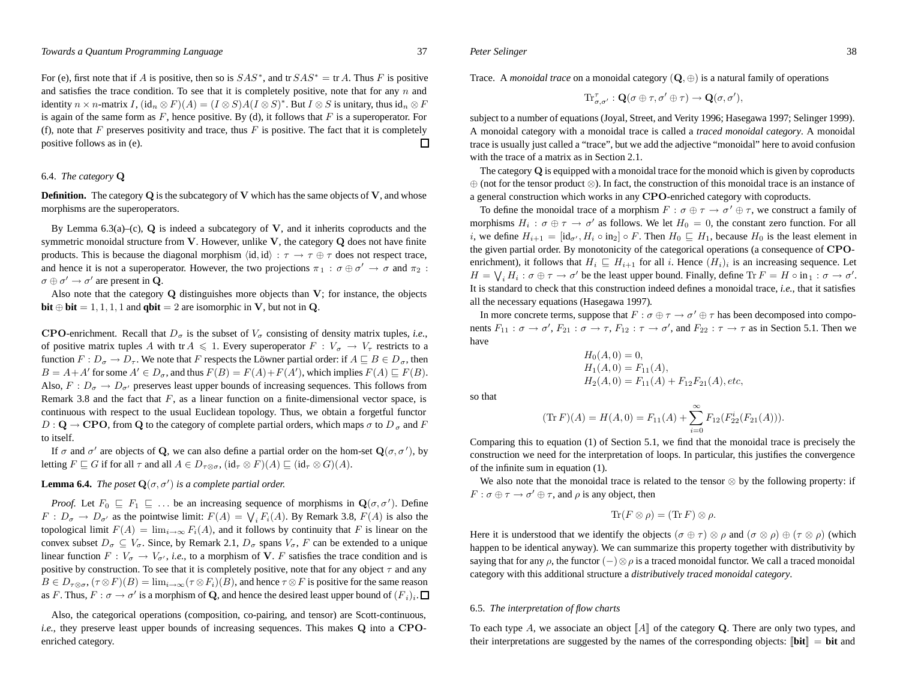For (e), first note that if A is positive, then so is  $SAS^*$ , and tr  $SAS^* = \text{tr }A$ . Thus F is positive and satisfies the trace condition. To see that it is completely positive, note that for any  $n$  and identity  $n \times n$ -matrix  $I$ ,  $(id_n \otimes F)(A) = (I \otimes S)A(I \otimes S)^*$ . But  $I \otimes S$  is unitary, thus  $id_n \otimes F$ is again of the same form as  $F$ , hence positive. By (d), it follows that  $F$  is a superoperator. For (f), note that  $F$  preserves positivity and trace, thus  $F$  is positive. The fact that it is completely positive follows as in (e).

#### 6.4. *The category*Q

**Definition.** The category  $Q$  is the subcategory of  $V$  which has the same objects of  $V$ , and whose morphisms are the superoperators.

By Lemma 6.3(a)–(c),  $\bf{Q}$  is indeed a subcategory of  $\bf{V}$ , and it inherits coproducts and the symmetric monoidal structure from V. However, unlike V, the category  $Q$  does not have finite products. This is because the diagonal morphism  $\langle id, id \rangle : \tau \to \tau \oplus \tau$  does not respect trace, and hence it is not a superoperator. However, the two projections  $\pi_1$  :  $\sigma \oplus \sigma' \to \sigma$  and  $\pi_2$  :  $\sigma \oplus \sigma' \to \sigma'$  are present in **Q**.

Also note that the category Q distinguishes more objects than V; for instance, the objects  $A \otimes \mathbf{h}$  and  $A \otimes \mathbf{h}$  and  $A \otimes \mathbf{h}$  and  $A \otimes \mathbf{h}$  and  $A \otimes \mathbf{h}$  and  $A \otimes \mathbf{h}$  and  $A \otimes \mathbf{h}$  and  $A \otimes \mathbf{h}$ **bit**  $\oplus$  **bit** = 1, 1, 1, 1 and **qbit** = 2 are isomorphic in **V**, but not in **Q**.

CPO-enrichment. Recall that  $D_{\sigma}$  is the subset of  $V_{\sigma}$  consisting of density matrix tuples, *i.e.*, of positive matrix tuples A with tr  $A \leq 1$ . Every superoperator  $F : V_{\sigma} \to V_{\tau}$  restricts to a function  $F : D_{\sigma} \to D_{\tau}$ . We note that F respects the Löwner partial order: if  $A \sqsubseteq B \in D_{\sigma}$ , then  $B = A + A'$  for some  $A' \in D_{\sigma}$ , and thus  $F(B) = F(A) + F(A')$ , which implies  $F(A) \sqsubseteq F(B)$ . Also,  $F: D_{\sigma} \to D_{\sigma'}$  preserves least upper bounds of increasing sequences. This follows from Remark 3.8 and the fact that  $F$ , as a linear function on a finite-dimensional vector space, is continuous with respec<sup>t</sup> to the usual Euclidean topology. Thus, we obtain <sup>a</sup> forgetful functor $D: \mathbf{Q} \to \mathbf{CPO}$ , from  $\mathbf{Q}$  to the category of complete partial orders, which maps  $\sigma$  to  $D_{\sigma}$  and  $F$ to itself.

If  $\sigma$  and  $\sigma'$  are objects of Q, we can also define a partial order on the hom-set  $Q(\sigma, \sigma')$ , by letting  $F \sqsubseteq G$  if for all  $\tau$  and all  $A \in D_{\tau \otimes \sigma}$ ,  $(\mathrm{id}_{\tau} \otimes F)(A) \sqsubseteq (\mathrm{id}_{\tau} \otimes G)(A)$ .

## **Lemma 6.4.** *The poset*  $\mathbf{Q}(\sigma, \sigma')$  *is a complete partial order.*

*Proof.* Let  $F_0 \subseteq F_1 \subseteq \dots$  be an increasing sequence of morphisms in  $\mathbf{Q}(\sigma, \sigma')$ . Define  $F: D_{\sigma} \to D_{\sigma'}$  as the pointwise limit:  $F(A) = \bigvee_i F_i(A)$ . By Remark 3.8,  $F(A)$  is also the topological limit  $F(A) = \lim_{i \to \infty} F_i(A)$ , and it follows by continuity that F is linear on the convex subset  $D_{\sigma} \subseteq V_{\sigma}$ . Since, by Remark 2.1,  $D_{\sigma}$  spans  $V_{\sigma}$ , F can be extended to a unique linear function  $F : V_{\sigma} \to V_{\sigma'}$ , *i.e.*, to a morphism of **V**. F satisfies the trace condition and is positive by construction. To see that it is completely positive, note that for any object  $\tau$  and any  $B \in D_{\tau \otimes \sigma}$ ,  $(\tau \otimes F)(B) = \lim_{i \to \infty} (\tau \otimes F_i)(B)$ , and hence  $\tau \otimes F$  is positive for the same reason as F. Thus,  $F : \sigma \to \sigma'$  is a morphism of **Q**, and hence the desired least upper bound of  $(F_i)_i$ .

Also, the categorical operations (composition, co-pairing, and tensor) are Scott-continuous, *i.e.*, they preserve least upper bounds of increasing sequences. This makes **Q** into a CPO-enriched category.

*Peter Selinger*

Trace. A *monoidal trace* on a monoidal category  $(Q, \oplus)$  is a natural family of operations

$$
\text{Tr}^{\tau}_{\sigma,\sigma'}: \mathbf{Q}(\sigma \oplus \tau, \sigma' \oplus \tau) \to \mathbf{Q}(\sigma, \sigma'),
$$

subject to <sup>a</sup> number of equations (Joyal, Street, and Verity 1996; Hasegawa 1997; Selinger 1999). A monoidal category with <sup>a</sup> monoidal trace is called <sup>a</sup> *traced monoidal category*. <sup>A</sup> monoidal trace is usually just called <sup>a</sup> "trace", but we add the adjective "monoidal" here to avoid confusionwith the trace of <sup>a</sup> matrix as in Section 2.1.

The category  $Q$  is equipped with a monoidal trace for the monoid which is given by coproducts ⊕ (not for the tensor product ⊗). In fact, the construction of this monoidal trace is an instance ofa general construction which works in any  $\mathbf{CPO}\text{-enriched category}$  with coproducts.

To define the monoidal trace of a morphism  $F : \sigma \oplus \tau \to \sigma' \oplus \tau$ , we construct a family of morphisms  $H_i: \sigma \oplus \tau \to \sigma'$  as follows. We let  $H_0 = 0$ , the constant zero function. For all i, we define  $H_{i+1} = [\text{id}_{\sigma'}, H_i \circ \text{in}_2] \circ F$ . Then  $H_0 \sqsubseteq H_1$ , because  $H_0$  is the least element in the given partial order. By monotonicity of the categorical operations (a consequence of CPO enrichment), it follows that  $H_i \subseteq H_{i+1}$  for all i. Hence  $(H_i)_i$  is an increasing sequence. Let  $H = \bigvee_i H_i : \sigma \oplus \tau \to \sigma'$  be the least upper bound. Finally, define Tr  $F = H \circ \text{in}_1 : \sigma \to \sigma'$ . It is standard to check that this construction indeed defines <sup>a</sup> monoidal trace, *i.e.*, that it satisfiesall the necessary equations (Hasegawa 1997).

In more concrete terms, suppose that  $F : \sigma \oplus \tau \to \sigma' \oplus \tau$  has been decomposed into compo-In more concrete terms, suppose that  $F : \sigma \oplus \tau \to \sigma' \oplus \tau$  has been decomposed into components  $F_{11} : \sigma \to \sigma'$ ,  $F_{21} : \sigma \to \tau$ ,  $F_{12} : \tau \to \sigma'$ , and  $F_{22} : \tau \to \tau$  as in Section 5.1. Then we have have

$$
H_0(A, 0) = 0,
$$
  
\n
$$
H_1(A, 0) = F_{11}(A),
$$
  
\n
$$
H_2(A, 0) = F_{11}(A) + F_{12}F_{21}(A), etc,
$$

so that

$$
(\text{Tr}\,F)(A) = H(A,0) = F_{11}(A) + \sum_{i=0}^{\infty} F_{12}(F_{22}^i(F_{21}(A))).
$$

 Comparing this to equation (1) of Section 5.1, we find that the monoidal trace is precisely the construction we need for the interpretation of loops. In particular, this justifies the convergenceof the infinite sum in equation (1).

We also note that the monoidal trace is related to the tensor⊗ by the following property: if  $F : \sigma \oplus \tau \to \sigma' \oplus \tau$ , and  $\rho$  is any object, then

$$
\text{Tr}(F\otimes\rho)=(\text{Tr}\,F)\otimes\rho.
$$

Here it is understood that we identify the objects  $(\sigma \oplus \tau) \otimes \rho$  and  $(\sigma \otimes \rho) \oplus (\tau \otimes \rho)$  (which happen to be identical anyway). We can summarize this property together with distributivity bysaying that for any  $\rho$ , the functor  $(-)\otimes \rho$  is a traced monoidal functor. We call a traced monoidal category with this additional structure <sup>a</sup> *distributively traced monoidal category*.

#### 6.5. *The interpretation of flow charts*

To each type A, we associate an object  $[[A]]$  of the category Q. There are only two types, and their interpretations are suggested by the names of the corresponding objects: [[**bit**]] <sup>=</sup> **bit** and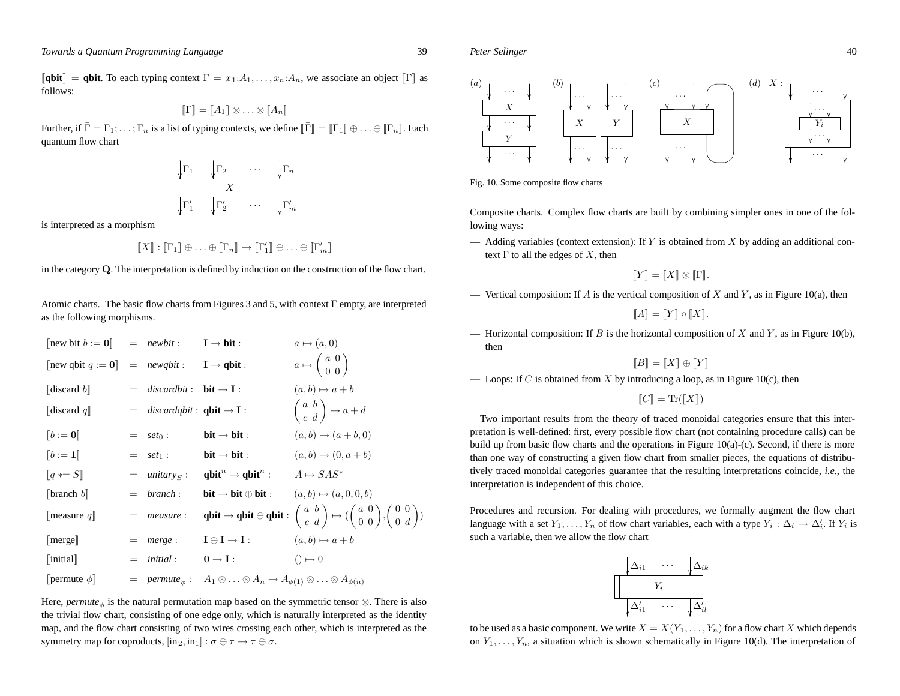$\epsilon$  39

 $[\![\textbf{qbit}]\!] = \textbf{qbit}$ . To each typing context  $\Gamma = x_1 : A_1, \dots, x_n : A_n$ , we associate an object  $[\![\Gamma]\!]$  as follows:

$$
\llbracket \Gamma \rrbracket = \llbracket A_1 \rrbracket \otimes \ldots \otimes \llbracket A_n \rrbracket
$$

Further, if  $\bar{\Gamma} = \Gamma_1; \ldots; \Gamma_n$  is a list of typing contexts, we define  $[\![\bar{\Gamma}]\!] = [\![\Gamma_1]\!] \oplus \ldots \oplus [\![\Gamma_n]\!]$ . Each quantum flow chart



is interpreted as <sup>a</sup> morphism

$$
\llbracket X \rrbracket : \llbracket \Gamma_1 \rrbracket \oplus \ldots \oplus \llbracket \Gamma_n \rrbracket \to \llbracket \Gamma'_1 \rrbracket \oplus \ldots \oplus \llbracket \Gamma'_m \rrbracket
$$

in the category  $Q$ . The interpretation is defined by induction on the construction of the flow chart.

Atomic charts. The basic flow charts from Figures 3 and 5, with context Γ empty, are interpreted as the following morphisms.

| $\left[\text{new bit } b := 0\right] = newbit: \qquad \mathbf{I} \rightarrow \mathbf{bit}$ : |                                                        |                                                                                                                                | $a \mapsto (a, 0)$                                                                                                                                                                                                                                               |
|----------------------------------------------------------------------------------------------|--------------------------------------------------------|--------------------------------------------------------------------------------------------------------------------------------|------------------------------------------------------------------------------------------------------------------------------------------------------------------------------------------------------------------------------------------------------------------|
| [new qbit $q := 0$ ] = newqbit: $\mathbf{I} \rightarrow \mathbf{qbit}$ :                     |                                                        |                                                                                                                                | $a \mapsto \left(\begin{array}{cc} a & 0 \\ 0 & 0 \end{array}\right)$                                                                                                                                                                                            |
| discard $b$                                                                                  | $=$ discardbit: <b>bit</b> $\rightarrow$ <b>I</b> :    |                                                                                                                                | $(a,b) \mapsto a+b$                                                                                                                                                                                                                                              |
| discard q                                                                                    | $=$ discardqbit : <b>qbit</b> $\rightarrow$ <b>I</b> : |                                                                                                                                | $\begin{pmatrix} a & b \\ c & d \end{pmatrix} \mapsto a + d$                                                                                                                                                                                                     |
| $\llbracket b := \mathbf{0} \rrbracket$                                                      | $=$ set <sub>0</sub> :                                 | $bit \rightarrow bit$ :                                                                                                        | $(a,b) \mapsto (a+b,0)$                                                                                                                                                                                                                                          |
| $\llbracket b := \mathbf{1} \rrbracket$                                                      | $= set_1:$ bit $\rightarrow$ bit :                     |                                                                                                                                | $(a,b) \mapsto (0, a+b)$                                                                                                                                                                                                                                         |
| $\overline{q} \equiv S$                                                                      |                                                        | $=$ unitary <sub>S</sub> : <b>qbit</b> <sup>n</sup> $\rightarrow$ <b>qbit</b> <sup>n</sup> : $A \mapsto SAS^*$                 |                                                                                                                                                                                                                                                                  |
| $\left\Vert \text{branch } b \right\Vert$                                                    | $= branch$ :                                           | <b>bit</b> $\rightarrow$ <b>bit</b> $\oplus$ <b>bit</b> : $(a, b) \mapsto (a, 0, 0, b)$                                        |                                                                                                                                                                                                                                                                  |
| measure $q$                                                                                  | $=$ measure :                                          |                                                                                                                                | $\mathbf{qbit} \rightarrow \mathbf{qbit} \oplus \mathbf{qbit}: \ \left( \begin{array}{cc} a & b \\ c & d \end{array} \right) \mapsto (\left( \begin{array}{cc} a & 0 \\ 0 & 0 \end{array} \right), \left( \begin{array}{cc} 0 & 0 \\ 0 & d \end{array} \right))$ |
| [merge]                                                                                      | $=$ merge: $I \oplus I \rightarrow I$ :                |                                                                                                                                | $(a, b) \mapsto a + b$                                                                                                                                                                                                                                           |
| $\ $ initial $\ $                                                                            | $=$ initial : $0 \rightarrow I$ :                      |                                                                                                                                | $() \mapsto 0$                                                                                                                                                                                                                                                   |
| $\blacksquare$ permute $\phi \blacksquare$                                                   |                                                        | $=$ permute <sub><math>\phi</math></sub> : $A_1 \otimes \ldots \otimes A_n \to A_{\phi(1)} \otimes \ldots \otimes A_{\phi(n)}$ |                                                                                                                                                                                                                                                                  |
|                                                                                              |                                                        |                                                                                                                                |                                                                                                                                                                                                                                                                  |

Here, *permute*<sub>φ</sub> is the natural permutation map based on the symmetric tensor ⊗. There is also the trivial flow chart, consisting of one edge only, which is naturally interpreted as the identity map, and the flow chart consisting of two wires crossing each other, which is interpreted as thesymmetry map for coproducts,  $[\text{in}_2, \text{in}_1] : \sigma \oplus \tau \to \tau \oplus \sigma$ .

## *Peter Selinger*



Fig. 10. Some composite flow charts

Composite charts. Complex flow charts are built by combining simpler ones in one of the following ways:

— Adding variables (context extension): If Y is obtained from X by adding an additional context  $\Gamma$  to all the adges of X, than text  $\Gamma$  to all the edges of X, then

$$
\llbracket Y \rrbracket = \llbracket X \rrbracket \otimes \llbracket \Gamma \rrbracket.
$$

**—** Vertical composition: If <sup>A</sup> is the vertical composition of <sup>X</sup> and <sup>Y</sup> , as in Figure 10(a), then

 $\llbracket A \rrbracket = \llbracket Y \rrbracket \circ \llbracket X \rrbracket.$ 

— Horizontal composition: If B is the horizontal composition of X and Y, as in Figure 10(b), then then

$$
\llbracket B \rrbracket = \llbracket X \rrbracket \oplus \llbracket Y \rrbracket
$$

**—** Loops: If <sup>C</sup> is obtained from <sup>X</sup> by introducing <sup>a</sup> loop, as in Figure 10(c), then

 $\llbracket C \rrbracket = \text{Tr}(\llbracket X \rrbracket)$ 

Two important results from the theory of traced monoidal categories ensure that this interpretation is well-defined: first, every possible flow chart (not containing procedure calls) can be build up from basic flow charts and the operations in Figure 10(a)-(c). Second, if there is more than one way of constructing <sup>a</sup> given flow chart from smaller pieces, the equations of distributively traced monoidal categories guarantee that the resulting interpretations coincide, *i.e.*, theinterpretation is independent of this choice.

Procedures and recursion. For dealing with procedures, we formally augmen<sup>t</sup> the flow chartlanguage with a set  $Y_1, \ldots, Y_n$  of flow chart variables, each with a type  $Y_i : \bar{\Delta}_i \to \bar{\Delta}'_i$ . If  $Y_i$  is such <sup>a</sup> variable, then we allow the flow chart



to be used as a basic component. We write  $X = X(Y_1, \ldots, Y_n)$  for a flow chart X which depends on  $Y_1, \ldots, Y_n$ , a situation which is shown schematically in Figure 10(d). The interpretation of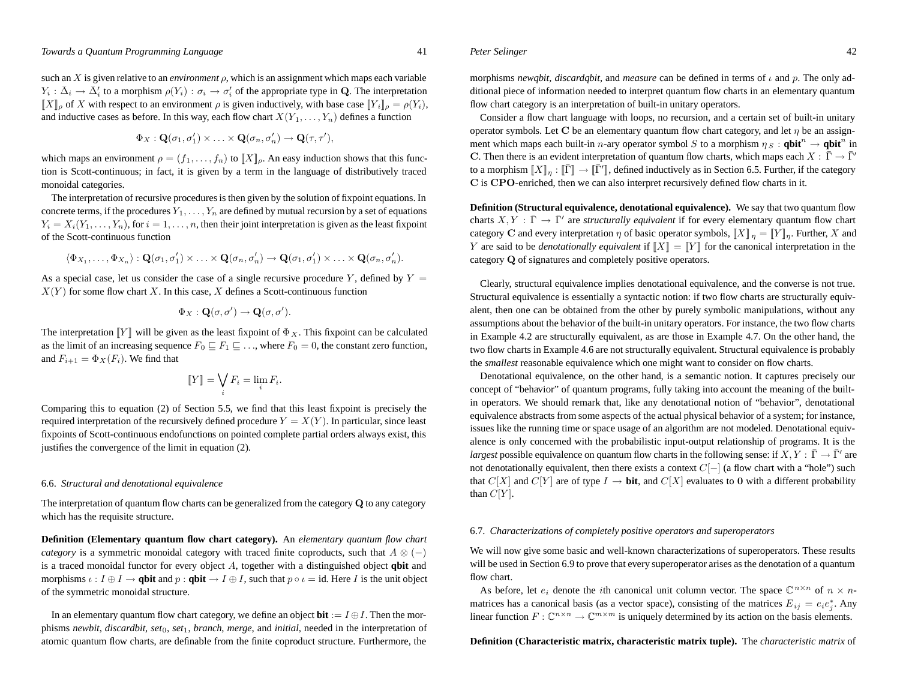such an X is given relative to an *environment*  $\rho$ , which is an assignment which maps each variable  $Y_i: \bar{\Delta}_i \to \bar{\Delta}'_i$  to a morphism  $\rho(Y_i): \sigma_i \to \sigma'_i$  of the appropriate type in **Q**. The interpretation  $[X]_\rho$  of X with respect to an environment  $\rho$  is given inductively, with base case  $[Y_i]_\rho = \rho(Y_i)$ , and inductive cases as before. In this way, each flow chart  $X(Y_1, \ldots, Y_n)$  defines a function

$$
\Phi_X: \mathbf{Q}(\sigma_1, \sigma'_1) \times \ldots \times \mathbf{Q}(\sigma_n, \sigma'_n) \to \mathbf{Q}(\tau, \tau'),
$$

which maps an environment  $\rho = (f_1, \ldots, f_n)$  to  $\llbracket X \rrbracket_{\rho}$ . An easy induction shows that this function is Scott-continuous; in fact, it is given by <sup>a</sup> term in the language of distributively tracedmonoidal categories.

The interpretation of recursive procedures is then given by the solution of fixpoint equations. Inconcrete terms, if the procedures  $Y_1, \ldots, Y_n$  are defined by mutual recursion by a set of equations  $Y_i = X_i(Y_1, \ldots, Y_n)$ , for  $i = 1, \ldots, n$ , then their joint interpretation is given as the least fixpoint of the Scott-continuous function

$$
\langle \Phi_{X_1}, \ldots, \Phi_{X_n} \rangle : \mathbf{Q}(\sigma_1, \sigma'_1) \times \ldots \times \mathbf{Q}(\sigma_n, \sigma'_n) \to \mathbf{Q}(\sigma_1, \sigma'_1) \times \ldots \times \mathbf{Q}(\sigma_n, \sigma'_n).
$$

As a special case, let us consider the case of a single recursive procedure Y, defined by  $Y =$  $X(Y)$  for some flow chart X. In this case, X defines a Scott-continuous function

$$
\Phi_X: \mathbf{Q}(\sigma, \sigma') \to \mathbf{Q}(\sigma, \sigma').
$$

The interpretation  $\llbracket Y \rrbracket$  will be given as the least fixpoint of  $\Phi_X$ . This fixpoint can be calculated as the limit of an increasing sequence  $F_0 \sqsubseteq F_1 \sqsubseteq \ldots$ , where  $F_0 = 0$ , the constant zero function, and  $F_{i+1} = \Phi_X(F_i)$ . We find that

$$
\llbracket Y \rrbracket = \bigvee_i F_i = \lim_i F_i
$$

Comparing this to equation (2) of Section 5.5, we find that this least fixpoint is precisely therequired interpretation of the recursively defined procedure  $Y=X(Y)$ . In particular, since least fixpoints of Scott-continuous endofunctions on pointed complete partial orders always exist, thisjustifies the convergence of the limit in equation (2).

## 6.6. *Structural and denotational equivalence*

The interpretation of quantum flow charts can be generalized from the category  $Q$  to any category which has the requisite structure.

**Definition (Elementary quantum flow chart category).** An *elementary quantum flow chart category* is a symmetric monoidal category with traced finite coproducts, such that  $A \otimes (-)$ is a traced monoidal functor for every object A, together with a distinguished object **qbit** and morphisms  $\iota : I \oplus I \to \text{qbit}$  and  $p : \text{qbit} \to I \oplus I$ , such that  $p \circ \iota = \text{id}$ . Here I is the unit object of the symmetric monoidal structure.

In an elementary quantum flow chart category, we define an object **bit** := <sup>I</sup> <sup>⊕</sup>I. Then the morphisms *newbit*, *discardbit*, *set*0, *set*1, *branch*, *merge*, and *initial*, needed in the interpretation of atomic quantum flow charts, are definable from the finite coproduct structure. Furthermore, the

*Peter Selinger*

morphisms *newqbit*, *discardqbit*, and *measure* can be defined in terms of <sup>ι</sup> and <sup>p</sup>. The only additional piece of information needed to interpret quantum flow charts in an elementary quantumflow chart category is an interpretation of built-in unitary operators.

Consider <sup>a</sup> flow chart language with loops, no recursion, and <sup>a</sup> certain set of built-in unitaryoperator symbols. Let C be an elementary quantum flow chart category, and let  $\eta$  be an assignment which maps each built-in *n*-ary operator symbol S to a morphism  $\eta_S : \textbf{qbit}^n \to \textbf{qbit}^n$  in<br>  $\textbf{C}$ . Then there is an avident interpretation of quantum flow charts, which maps each  $X : \bar{\Gamma} \to \bar{\Gamma}'$ **C.** Then there is an evident interpretation of quantum flow charts, which maps each  $X : \overline{\Gamma} \to \overline{\Gamma}'$ to a morphism  $[X]_{\eta}: [\bar{\Gamma}] \to [\bar{\Gamma}']$ , defined inductively as in Section 6.5. Further, if the category  $\Gamma$  is  $\Gamma$  and  $\Gamma$  are considered then we can also interpret requirely defined flow charts in it. C is CPO-enriched, then we can also interpret recursively defined flow charts in it.

**Definition (Structural equivalence, denotational equivalence).** We say that two quantum flowcharts  $X, Y : \overline{\Gamma} \to \overline{\Gamma}'$  are *structurally equivalent* if for every elementary quantum flow chart category **C** and every interpretation  $\eta$  of basic operator symbols,  $[[X]]_{\eta} = [[Y]]_{\eta}$ . Further, X and Y are said to be *denotationally equivalent* if  $[[X]] = [[Y]]$  for the canonical interpretation in the categoryQ of signatures and completely positive operators.

Clearly, structural equivalence implies denotational equivalence, and the converse is not true. Structural equivalence is essentially <sup>a</sup> syntactic notion: if two flow charts are structurally equivalent, then one can be obtained from the other by purely symbolic manipulations, without any assumptions about the behavior of the built-in unitary operators. For instance, the two flow charts in Example 4.2 are structurally equivalent, as are those in Example 4.7. On the other hand, the two flow charts in Example 4.6 are not structurally equivalent. Structural equivalence is probablythe *smallest* reasonable equivalence which one might want to consider on flow charts.

Denotational equivalence, on the other hand, is <sup>a</sup> semantic notion. It captures precisely our concep<sup>t</sup> of "behavior" of quantum programs, fully taking into account the meaning of the builtin operators. We should remark that, like any denotational notion of "behavior", denotationalequivalence abstracts from some aspects of the actual physical behavior of <sup>a</sup> system; for instance, issues like the running time or space usage of an algorithm are not modeled. Denotational equivalence is only concerned with the probabilistic input-output relationship of programs. It is the*largest* possible equivalence on quantum flow charts in the following sense: if  $X, Y : \bar{\Gamma} \to \bar{\Gamma}'$  are not denotationally equivalent, then there exists a context  $C[-]$  (a flow chart with a "hole") such that  $C[X]$  and  $C[Y]$  are of type  $I \to \textbf{bit}$ , and  $C[X]$  evaluates to 0 with a different probability than  $C[Y]$ .

## 6.7. *Characterizations of completely positive operators and superoperators*

We will now give some basic and well-known characterizations of superoperators. These results will be used in Section 6.9 to prove that every superoperator arises as the denotation of <sup>a</sup> quantumflow chart.

As before, let  $e_i$  denote the *i*th canonical unit column vector. The space  $\mathbb{C}^{n \times n}$  of  $n \times$ As before, let  $e_i$  denote the *i*th canonical unit column vector. The space  $\mathbb{C}^{n \times n}$  of  $n \times n$ -<br>matrices has a canonical basis (as a vector space), consisting of the matrices  $E_{ij} = e_i e_j^*$ . Any linear function  $F: \mathbb{C}^{n \times n} \to \mathbb{C}^{m \times m}$  is uniquely determined by its action on the basis elements.

**Definition (Characteristic matrix, characteristic matrix tuple).** The *characteristic matrix* of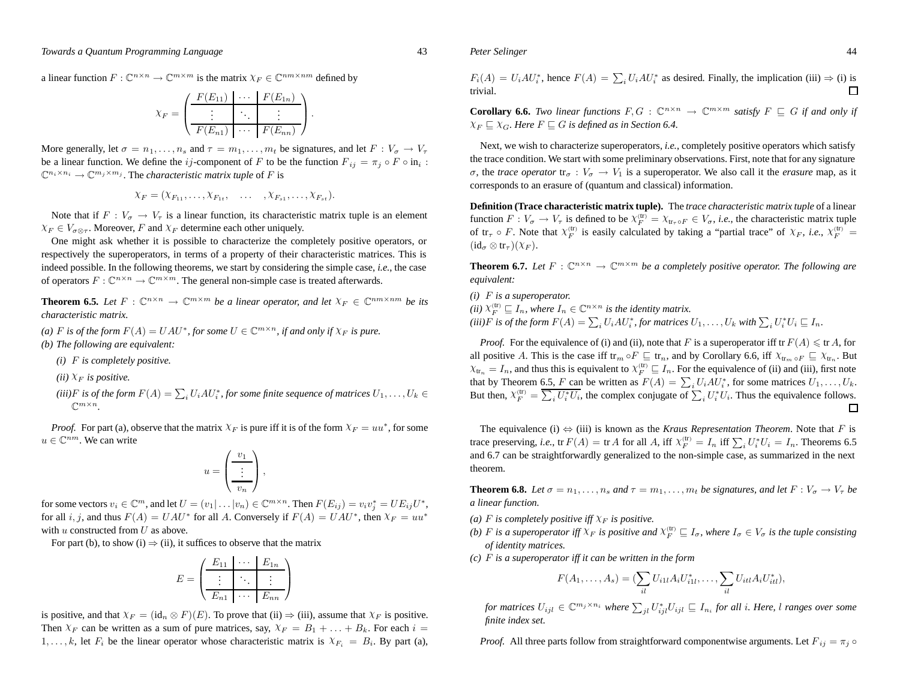a linear function  $F: \mathbb{C}^{n \times n} \to \mathbb{C}^{m \times m}$  is the matrix  $\chi_F \in \mathbb{C}^{nm \times nm}$  defined by

$$
\chi_F = \left( \begin{array}{c|c|c} F(E_{11}) & \cdots & F(E_{1n}) \\ \hline \vdots & \ddots & \vdots \\ \hline F(E_{n1}) & \cdots & F(E_{nn}) \end{array} \right).
$$

More generally, let  $\sigma = n_1, \dots, n_s$  and  $\tau = m_1, \dots, m_t$  be signatures, and let  $F : V_{\sigma} \to V_{\tau}$ be a linear function. We define the *ij*-component of F to be the function  $F_{ij} = \pi_j \circ F \circ \text{in}_i$ :  $\mathbb{C}^{n_i \times n_i} \to \mathbb{C}^{m_j \times m_j}$ . The *characteristic matrix tuple* of F is

$$
\chi_F = (\chi_{F_{11}}, \ldots, \chi_{F_{1t}}, \ldots, \chi_{F_{s1}}, \ldots, \chi_{F_{st}}).
$$

Note that if  $F:V_{\sigma}\to V_{\tau}$  is a linear function, its characteristic matrix tuple is an element  $\chi_F \in V_{\sigma \otimes \tau}$ . Moreover, F and  $\chi_F$  determine each other uniquely.

 One might ask whether it is possible to characterize the completely positive operators, orrespectively the superoperators, in terms of <sup>a</sup> property of their characteristic matrices. This is indeed possible. In the following theorems, we start by considering the simple case, *i.e.*, the caseof operators  $F: \mathbb{C}^{n \times n} \to \mathbb{C}^{m \times m}$ . The general non-simple case is treated afterwards.

**Theorem 6.5.** Let  $F : \mathbb{C}^{n \times n} \to \mathbb{C}^{m \times m}$  be a linear operator, and let  $X_F \in \mathbb{C}^{nm \times nm}$  be its *characteristic matrix.*

(a) F is of the form  $F(A) = UAU^*$ , for some  $U \in \mathbb{C}^{m \times n}$ , if and only if  $\chi_F$  is pure.

- *(b) The following are equivalent:*
	- *(i)*F *is completely positive.*

 $(iii)$   $X_F$  *is positive.* 

(iii)F is of the form  $F(A) = \sum_i U_iAU_i^*$ , for some finite sequence of matrices  $U_1, \ldots, U_k \in$  $\mathbb{C}^{m \times n}.$ 

*Proof.* For part (a), observe that the matrix  $X_F$  is pure iff it is of the form  $X_F = uu^*$ , for some  $u \in \mathbb{C}^{nm}$ . We can write

$$
u = \left(\begin{array}{c} v_1 \\ \vdots \\ \hline v_n \end{array}\right),
$$

for some vectors  $v_i \in \mathbb{C}^m$ , and let  $U = (v_1 | \dots | v_n) \in \mathbb{C}^{m \times n}$ . Then  $F(E_{ij}) = v_i v_j^* = U E_{ij} U^*$ , for all  $i, j$ , and thus  $F(A) = UAU^*$  for all A. Conversely if  $F(A) = UAU^*$ , then  $X_F = uu^*$ with u constructed from  $U$  as above.

For part (b), to show (i)  $\Rightarrow$  (ii), it suffices to observe that the matrix

$$
E = \begin{pmatrix} E_{11} & \cdots & E_{1n} \\ \vdots & \ddots & \vdots \\ E_{n1} & \cdots & E_{nn} \end{pmatrix}
$$

is positive, and that  $X_F = (\mathrm{id}_n \otimes F)(E)$ . To prove that  $(\mathrm{ii}) \Rightarrow (\mathrm{iii})$ , assume that  $X_F$  is positive.<br>Then  $X_F$  son be unitten as a sum of pure matrices, sex,  $X_F = P$ ,  $\vdash_{\Box}$  Expressed  $\Diamond$ Then  $\chi_F$  can be written as a sum of pure matrices, say,  $\chi_F = B_1 + \ldots + B_k$ . For each  $i =$ 1,..., k, let  $F_i$  be the linear operator whose characteristic matrix is  $\chi_{F_i} = B_i$ . By part (a), *Peter Selinger*

 $F_i(A) = U_i A U_i^*$ , hence  $F(A) = \sum_i U_i A U_i^*$  as desired. Finally, the implication (iii)  $\Rightarrow$  (i) is  $\Box$ trivial.

**Corollary 6.6.** *Two linear functions*  $F, G : \mathbb{C}^{n \times n} \to \mathbb{C}^{m \times m}$  *satisfy*  $F \subseteq G$  *if and only if*  $X_F \sqsubseteq X_G$ *. Here*  $F \sqsubseteq G$  *is defined as in Section 6.4.* 

Next, we wish to characterize superoperators, *i.e.*, completely positive operators which satisfy the trace condition. We start with some preliminary observations. First, note that for any signature $\sigma$ , the *trace operator*  $tr_{\sigma}: V_{\sigma} \to V_1$  is a superoperator. We also call it the *erasure* map, as it corresponds to an erasure of (quantum and classical) information.

**Definition (Trace characteristic matrix tuple).** The *trace characteristic matrix tuple* of <sup>a</sup> linear function  $F : V_{\sigma} \to V_{\tau}$  is defined to be  $\chi_F^{\text{(tr)}} = \chi_{\text{tr}_{\tau} \circ F} \in V_{\sigma}$ , *i.e.*, the characteristic matrix tuple of  $tr_{\tau} \circ F$ . Note that  $\chi_F^{(tr)}$  is easily calculated by taking a "partial trace" of  $\chi_F$ , *i.e.*,  $\chi_F^{(tr)} =$  $(\mathrm{id}_{\sigma}\otimes \mathrm{tr}_{\tau})(X_F).$ 

**Theorem 6.7.** Let  $F : \mathbb{C}^{n \times n} \to \mathbb{C}^{m \times m}$  be a completely positive operator. The following are *equivalent:*

*(i)*  $F$  *is a superoperator.* 

 $I_n(ii)$   $X_F^{(tr)} \sqsubseteq I_n$ , where  $I_n \in \mathbb{C}^{n \times n}$  is the identity matrix.

 $(iii)$ F is of the form  $F(A) = \sum_i U_iAU_i^*$ , for matrices  $U_1, \ldots, U_k$  with  $\sum_i U_i^*U_i \sqsubseteq I_n$ .

*Proof.* For the equivalence of (i) and (ii), note that F is a superoperator iff tr  $F(A) \leq \text{tr } A$ , for all positive A. This is the case iff  $\text{tr}_m \circ F \subseteq \text{tr}_n$ , and by Corollary 6.6, iff  $\chi_{\text{tr}_m \circ F} \subseteq \chi_{\text{tr}_n}$ . But  $\chi_{tr_n} = I_n$ , and thus this is equivalent to  $\chi_F^{(tr)} \subseteq I_n$ . For the equivalence of (ii) and (iii), first note that by Theorem 6.5, F can be written as  $F(A) = \sum_i U_i A U_i^*$ , for some matrices  $U_1, \ldots, U_k$ . But then,  $X_F^{(tr)} = \overline{\sum_i U_i^* U_i}$ , the complex conjugate of  $\sum_i U_i^* U_i$ . Thus the equivalence follows.

The equivalence (i)  $\Leftrightarrow$  (iii) is known as the *Kraus Representation Theorem*. Note that *F* is trace preserving, *i.e.*, tr  $F(A) = \text{tr } A$  for all  $A$ , iff  $\chi_F^{(tr)} = I_n$  iff  $\sum_i U_i^* U_i = I_n$ . Theorems 6.5 and 6.7 can be straightforwardly generalized to the non-simple case, as summarized in the nexttheorem.

**Theorem 6.8.** *Let*  $\sigma = n_1, \ldots, n_s$  *and*  $\tau = m_1, \ldots, m_t$  *be signatures, and let*  $F: V_{\sigma} \to V_{\tau}$  *be <sup>a</sup> linear function.*

- *(a)*  $F$  *is completely positive iff*  $X_F$  *is positive.*
- (b) F is a superoperator iff  $\chi_F$  is positive and  $\chi_F^{\text{(tr)}} \sqsubseteq I_\sigma$ , where  $I_\sigma \in V_\sigma$  is the tuple consisting *of identity matrices.*
- *(c)*F *is <sup>a</sup> superoperator iff it can be written in the form*

$$
F(A_1, ..., A_s) = (\sum_{il} U_{i1l} A_i U_{i1l}^*, ..., \sum_{il} U_{itl} A_i U_{itl}^*),
$$

 $f$ or *matrices*  $U_{ijl} \in \mathbb{C}^{m_j \times n_i}$  *where*  $\sum_{jl} U^*_{ijl} U_{ijl} \subseteq I_{n_i}$  for all *i. Here, l ranges over some finite index set.*

*Proof.* All three parts follow from straightforward componentwise arguments. Let  $F_{ij} = \pi_j \circ$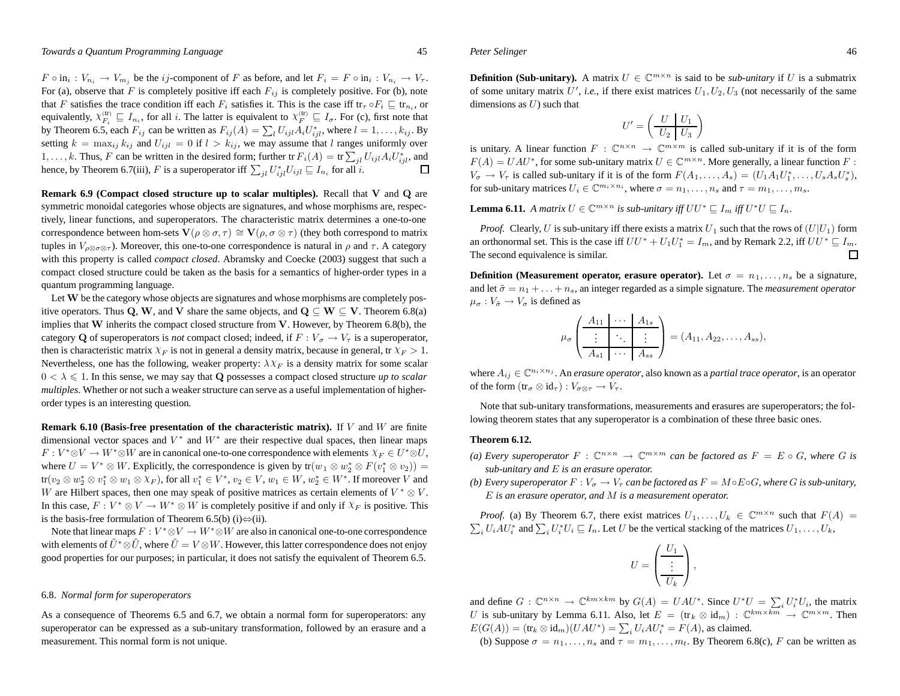$F \circ \text{in}_i : V_{n_i} \to V_{m_j}$  be the *ij*-component of F as before, and let  $F_i = F \circ \text{in}_i : V_{n_i} \to V_{\tau}$ . For (a), observe that F is completely positive iff each  $F_{ij}$  is completely positive. For (b), note that F satisfies the trace condition iff each  $F_i$  satisfies it. This is the case iff  $\text{tr}_{\tau} \circ F_i \sqsubseteq \text{tr}_{n_i}$ , or equivalently,  $\chi_{F_i}^{(tr)} \sqsubseteq I_{n_i}$ , for all i. The latter is equivalent to  $\chi_F^{(tr)} \sqsubseteq I_{\sigma}$ . For (c), first note that by Theorem 6.5, each  $F_{ij}$  can be written as  $F_{ij}(A) = \sum_l U_{ijl} \dot{A_i} U_{ijl}^*$ , where  $l = 1, \ldots, k_{ij}$ . By setting  $k = \max_{ij} k_{ij}$  and  $U_{ijl} = 0$  if  $l > k_{ij}$ , we may assume that l ranges uniformly over 1,..., k. Thus, F can be written in the desired form; further tr  $F_i(A) = \text{tr} \sum_{jl} U_{ijl} A_i U_{ijl}^*$ , and hence, by Theorem 6.7(iii),  $F$  is a superoperator iff  $\sum_{jl} U^*_{ijl} U_{ijl} \sqsubseteq I_{n_i}$  for all *i*.  $\Box$ 

**Remark 6.9** (Compact closed structure up to scalar multiples). Recall that V and Q are symmetric monoidal categories whose objects are signatures, and whose morphisms are, respectively, linear functions, and superoperators. The characteristic matrix determines <sup>a</sup> one-to-onecorrespondence between hom-sets  $\mathbf{V}(\rho \otimes \sigma, \tau) \cong \mathbf{V}(\rho, \sigma \otimes \tau)$  (they both correspond to matrix tuples in  $V_{\rho\otimes \sigma\otimes \tau}$ ). Moreover, this one-to-one correspondence is natural in  $\rho$  and  $\tau$ . A category with this property is called *compac<sup>t</sup> closed*. Abramsky and Coecke (2003) sugges<sup>t</sup> that such <sup>a</sup> compac<sup>t</sup> closed structure could be taken as the basis for <sup>a</sup> semantics of higher-order types in <sup>a</sup>quantum programming language.

Let W be the category whose objects are signatures and whose morphisms are completely pos-<br>ve operators Thus O W and V share the same objects and O C W C V Theorem 6.8(a) itive operators. Thus Q, W, and V share the same objects, and  $Q \subseteq W \subseteq V$ . Theorem 6.8(a) implies that W inherits the compact closed structure from V. However, by Theorem 6.8(b), the category O of superpretators is *not* compact closed: indeed if  $F: V_a \to V_a$  is a superpretator category **Q** of superoperators is *not* compact closed; indeed, if  $F : V_{\sigma} \to V_{\tau}$  is a superoperator, then is characteristic matrix  $X_F$  is not in general a density matrix, because in general, tr  $X_F > 1$ . Nevertheless, one has the following, weaker property:  $\lambda \chi_F$  is a density matrix for some scalar  $0 < \lambda \leq 1$ . In this sense, we may say that **Q** possesses a compact closed structure *up to scalar multiples*. Whether or not such <sup>a</sup> weaker structure can serve as <sup>a</sup> useful implementation of higherorder types is an interesting question.

**Remark 6.10** (Basis-free presentation of the characteristic matrix). If V and W are finite dimensional vector crosses and  $V^*$  and  $W^*$  are their respective dual graces, than linear management dimensional vector spaces and  $V^*$  and  $W^*$  are their respective dual spaces, then linear maps  $F: V^* \otimes V \to W^* \otimes W$  are in canonical one-to-one correspondence with elements  $\chi_F \in U^* \otimes U$ ,<br>where  $U = V^* \otimes W$ , Evaliative the correspondence is given by to  $(\chi_{\mu\nu}, \otimes w^* \otimes E(x^* \otimes w)))$ where  $U=V^* \otimes W$ . Explicitly, the correspondence is given by tr $(w_1 \otimes w_2^* \otimes F(v_1^* \otimes v_2))$ tr( $v_2 \otimes w_2^* \otimes v_1^* \otimes w_1 \otimes \chi_F$ ), for all  $v_1^* \in V^*$ ,  $v_2 \in V$ ,  $w_1 \in W$ ,  $w_2^* \in W^*$ . If moreover V and W are Hilbert spaces, then one may speak of positive matrices as certain elements of  $V^* \otimes V$ .<br>In this ages  $F: V^* \otimes V \to W^* \otimes W$  is aggregately positive if and only if  $\chi$  is positive. This In this case,  $F: V^* \otimes V \to W^* \otimes W$  is completely positive if and only if  $\chi_F$  is positive. This is the hosis free formulation of Theorem 6.5(b) (i) is the basis-free formulation of Theorem 6.5(b) (i)⇔(ii).

Note that linear maps  $F : V^* \otimes V \to W^* \otimes W$  are also in canonical one-to-one correspondence<br>the largest of  $\tilde{U}^* \otimes \tilde{U}$ , where  $\tilde{U} = V \otimes W$ . However, this latter correspondence does not only with elements of  $\tilde{U}$ \*⊗ $\tilde{U}$ , where  $\tilde{U}=V\otimes W.$  However, this latter correspondence does not enjoy good properties for our purposes; in particular, it does not satisfy the equivalent of Theorem 6.5.

#### 6.8. *Normal form for superoperators*

As <sup>a</sup> consequence of Theorems 6.5 and 6.7, we obtain <sup>a</sup> normal form for superoperators: any superoperator can be expressed as <sup>a</sup> sub-unitary transformation, followed by an erasure and <sup>a</sup>measurement. This normal form is not unique.

*Peter Selinger* $r \overline{a}$  46

**Definition (Sub-unitary).** A matrix  $U \in \mathbb{C}^{m \times n}$  is said to be *sub-unitary* if U is a submatrix of some unitary matrix  $U'$ , *i.e.*, if there exist matrices  $U_1, U_2, U_3$  (not necessarily of the same dimensions as  $U$ ) such that

$$
U' = \left(\begin{array}{c|c} U & U_1 \\ \hline U_2 & U_3 \end{array}\right)
$$

is unitary. A linear function  $F : \mathbb{C}^{n \times n} \to \mathbb{C}^{m \times m}$  is called sub-unitary if it is of the form  $F(A) = UAU^*$ , for some sub-unitary matrix  $U \in \mathbb{C}^{m \times n}$ . More generally, a linear function  $F :$  $V_{\sigma} \rightarrow V_{\tau}$  is called sub-unitary if it is of the form  $F(A_1, \ldots, A_s) = (U_1 A_1 U_1^*, \ldots, U_s A_s U_s^*)$ , for sub-unitary matrices  $U_i \in \mathbb{C}^{m_i \times n_i}$ , where  $\sigma = n_1, \dots, n_s$  and  $\tau = m_1, \dots, m_s$ .

**Lemma 6.11.** *A matrix*  $U \in \mathbb{C}^{m \times n}$  *is sub-unitary iff*  $UU^* \sqsubseteq I_m$  *iff*  $U^*U \sqsubseteq I_n$ *.* 

*Proof.* Clearly, U is sub-unitary iff there exists a matrix  $U_1$  such that the rows of  $(U|U_1)$  form an orthonormal set. This is the case iff  $UU^* + U_1U_1^* = I_m$ , and by Remark 2.2, iff  $UU^* \sqsubseteq I_m$ . The second equivalence is similar.

**Definition (Measurement operator, erasure operator).** Let  $\sigma = n_1, \ldots, n_s$  be a signature, and let  $\tilde{\sigma} = n_1 + \ldots + n_s$ , an integer regarded as a simple signature. The *measurement operator*  $\mu_{\sigma}: V_{\tilde{\sigma}} \to V_{\sigma}$  is defined as

$$
\mu_{\sigma}\left(\begin{array}{ccc} A_{11} & \cdots & A_{1s} \\ \vdots & \ddots & \vdots \\ A_{s1} & \cdots & A_{ss} \end{array}\right) = (A_{11}, A_{22}, \ldots, A_{ss}),
$$

where  $A_{ij} \in \mathbb{C}^{n_i \times n_j}$ . An *erasure operator*, also known as a *partial trace operator*, is an operator of the form  $(\text{tr}_{\sigma} \otimes \text{id}_{\tau}) : V_{\sigma \otimes \tau} \to V_{\tau}$ .

Note that sub-unitary transformations, measurements and erasures are superoperators; the following theorem states that any superoperator is <sup>a</sup> combination of these three basic ones.

## **Theorem 6.12.**

- *(a) Every* superoperator  $F : \mathbb{C}^{n \times n} \to \mathbb{C}^{m \times m}$  can be factored as  $F = E \circ G$ , where G is *sub-unitary and*E *is an erasure operator.*
- *(b)* Every superoperator  $F: V_{\sigma} \to V_{\tau}$  can be factored as  $F = M \circ E \circ G$ , where  $G$  is sub-unitary, E *is an erasure operator, and* M *is <sup>a</sup> measurement operator.*

*Proof.* (a) By Theorem 6.7, there exist matrices  $U_1, \ldots, U_k \in \mathbb{C}^{m \times n}$  such that  $F(A) =$  $\sum_i U_i A U_i^*$  and  $\sum_i U_i^* U_i \sqsubseteq I_n$ . Let U be the vertical stacking of the matrices  $U_1, \ldots, U_k$ ,

$$
U = \left(\begin{array}{c} U_1 \\ \vdots \\ \hline U_k \end{array}\right),
$$

and define  $G : \mathbb{C}^{n \times n} \to \mathbb{C}^{km \times km}$  by  $G(A) = UAU^*$ . Since  $U^*U = \sum_i U_i^*U_i$ , the matrix U is sub-unitary by Lemma 6.11. Also, let  $E = (\text{tr}_k \otimes \text{id}_m) : \mathbb{C}^{km \times km} \to \mathbb{C}^{m \times m}$ . Then  $E(G(A)) = (\text{tr}_k \otimes \text{id}_m)(UAU^*) = \sum_i U_iAU_i^* = F(A)$ , as claimed.

(b) Suppose  $\sigma = n_1, \ldots, n_s$  and  $\tau = m_1, \ldots, m_t$ . By Theorem 6.8(c), F can be written as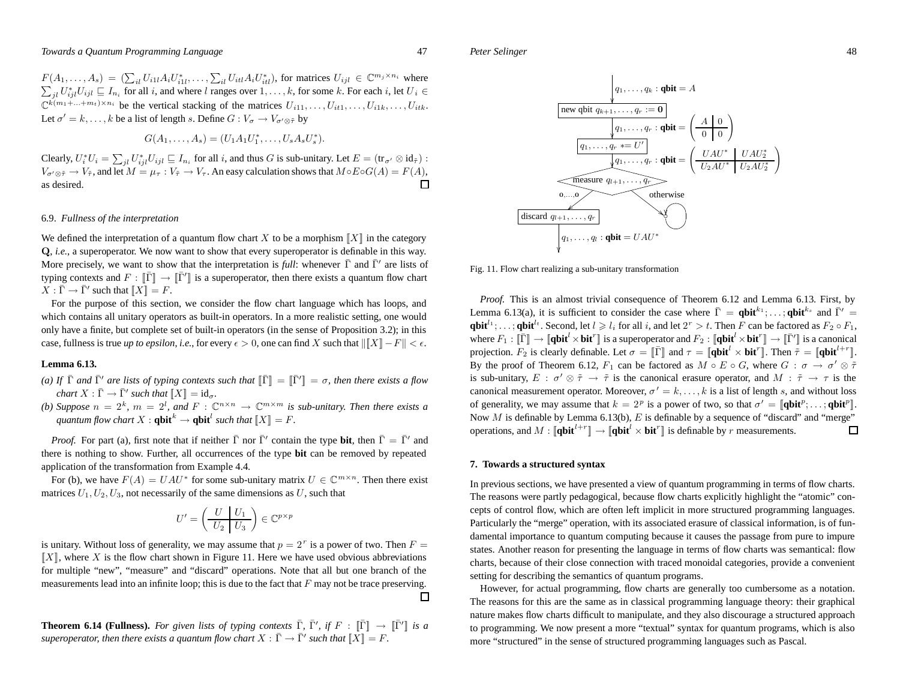$F(A_1, \ldots, A_s) = (\sum_{il} U_{i1l} A_i U_{i1l}^*, \ldots, \sum_{il} U_{itl} A_i U_{itl}^*)$ , for matrices  $U_{ijl} \in \mathbb{C}^{m_j \times n_i}$  where  $\sum_{i,l} U_{ijl}^* U_{ijl} \subseteq I_{n_i}$  for all i, and where l ranges over  $1, \ldots, k$ , for some k. For each i, let  $U_i \in I_{n_i}$  $\mathbb{C}^{k(m_1+\ldots+m_t)\times n_i}$  be the vertical stacking of the matrices  $U_{i11},\ldots,U_{it1},\ldots,U_{i1k},\ldots,U_{itk}$ . Let  $\sigma' = k, \ldots, k$  be a list of length s. Define  $G : V_{\sigma} \to V_{\sigma' \otimes \tilde{\tau}}$  by

$$
G(A_1, ..., A_s) = (U_1 A_1 U_1^*, ..., U_s A_s U_s^*).
$$

Clearly, U Clearly,  $U_i^* U_i = \sum_{jl} U_{ijl}^* U_{ijl} \sqsubseteq I_{n_i}$  for all *i*, and thus *G* is sub-unitary. Let  $E = (\text{tr}_{\sigma'} \otimes \text{id}_{\bar{\tau}}) :$ <br>  $V_{\sigma' \otimes \bar{\tau}} \to V_{\bar{\tau}}$ , and let  $M = \mu_{\tau} : V_{\bar{\tau}} \to V_{\tau}$ . An easy calculation shows that  $M \circ E \circ G(A) =$  $i^*U_i = \sum_{jl} U_j$  $\Box$ as desired.

## 6.9. *Fullness of the interpretation*

We defined the interpretation of a quantum flow chart X to be a morphism  $\llbracket X \rrbracket$  in the category Q, *i.e.*, <sup>a</sup> superoperator. We now want to show that every superoperator is definable in this way. More precisely, we want to show that the interpretation is  $full$ : whenever  $\bar{\Gamma}$  and  $\bar{\Gamma}'$  are lists of typing contexts and  $F : [\![\bar{\Gamma}]\!] \to [\![\bar{\Gamma}']\!]$  is a superoperator, then there exists a quantum flow chart  $V \cdot \bar{\Gamma} \cdot \bar{\Gamma}'$  such that  $\mathbb{I} \times \mathbb{I} \to F$  $X : \bar{\Gamma} \to \bar{\Gamma}'$  such that  $[[X]] = F$ .

 For the purpose of this section, we consider the flow chart language which has loops, and which contains all unitary operators as built-in operators. In <sup>a</sup> more realistic setting, one would only have <sup>a</sup> finite, but complete set of built-in operators (in the sense of Proposition 3.2); in thiscase, fullness is true *up* to *epsilon*, *i.e.*, for every  $\epsilon > 0$ , one can find X such that  $\left\| [X] - F \right\| < \epsilon$ .

## **Lemma 6.13.**

- (a) If  $\overline{\Gamma}$  and  $\overline{\Gamma}'$  are lists of typing contexts such that  $[\overline{\Gamma}] = [\overline{\Gamma}'] = \sigma$ , then there exists a flow *chart*  $X : \overline{\Gamma} \to \overline{\Gamma}'$  *such that*  $\llbracket X \rrbracket = \mathrm{id}_{\sigma}$ .
- *(b) Suppose*  $n = 2^k$ *,*  $m = 2^l$ *,* and  $F : \mathbb{C}^{n \times n} \to \mathbb{C}^{m \times m}$  *is sub-unitary. Then there exists a*  $q$  *auantum*  $f$ *low*  $chart X:$   $q$ **bit**<sup> $k$ </sup>  $\rightarrow$   $q$ **bit**<sup> $l$ </sup>  $such$   $that$   $[[X]] = F$ .

*Proof.* For part (a), first note that if neither  $\bar{\Gamma}$  nor  $\bar{\Gamma}'$  contain the type **bit**, then  $\bar{\Gamma} = \bar{\Gamma}'$  and there is nothing to show. Further, all occurrences of the type **bit** can be removed by repeatedapplication of the transformation from Example 4.4.

For (b), we have  $F(A) = UAU^*$  for some sub-unitary matrix  $U \in \mathbb{C}^{m \times n}$ . Then there exist matrices  $U_1, U_2, U_3$ , not necessarily of the same dimensions as U, such that

$$
U' = \left(\begin{array}{c|c} U & U_1 \\ \hline U_2 & U_3 \end{array}\right) \in \mathbb{C}^{p \times p}
$$

 $\overline{p}$ 

is unitary. Without loss of generality, we may assume that  $p = 2^r$  is a power of two. Then  $F =$  $[[X]]$ , where X is the flow chart shown in Figure 11. Here we have used obvious abbreviations for multiple "new", "measure" and "discard" operations. Note that all but one branch of themeasurements lead into an infinite loop; this is due to the fact that  $F$  may not be trace preserving.

**Theorem 6.14 (Fullness).** For given lists of typing contexts  $\overline{\Gamma}$ ,  $\overline{\Gamma}'$ , if  $F : [\overline{\Gamma}] \to [\overline{\Gamma}']$  is a sumproporator than there exists a quantum flow short  $Y : \overline{\Gamma} \to \overline{\Gamma}'$  such that  $\mathbb{F} \times \mathbb{F} = F$ superoperator, then there exists a quantum flow chart  $X : \overline{\Gamma} \to \overline{\Gamma}'$  such that  $\llbracket X \rrbracket = F$ .

*Peter Selinger*



Fig. 11. Flow chart realizing <sup>a</sup> sub-unitary transformation

*Proof.* This is an almost trivial consequence of Theorem 6.12 and Lemma 6.13. First, byLemma 6.13(a), it is sufficient to consider the case where  $\overline{\Gamma} = \mathbf{qbit}^{k_1}; \dots; \mathbf{qbit}^{k_s}$  and  $\overline{\Gamma}' = \mathbf{hitt}^{k_1}$ . ;**qbit**<sup>l<sub>1</sup></sub>; ...; **qbit**<sup>l<sub>1</sub></sub>... Second, let  $l \ge l_i$  for all i, and let  $2^r > t$ . Then F can be factored as  $F_2 \circ F_1$ ,</sup></sup> where  $F_1 : [\bar{\Gamma}] \to [\textbf{qbit}^l \times \textbf{bit}^r]$  is a superoperator and  $F_2 : [\textbf{qbit}^l \times \textbf{bit}^r] \to [\bar{\Gamma}^r]$  is a canonical<br>projection.  $F$  is also the defineble. Let  $\pi = [\bar{\Gamma}^l]$  and  $\pi = [\textbf{mbit}^l \times \textbf{bit}^r]$ . Then  $\tilde{\pi} = [\textbf{m$ ;projection.  $F_2$  is clearly definable. Let  $\sigma = [\![\bar{\Gamma}]\!]$  and  $\tau = [\![\text{qbit}^l \times \text{bit}^r]\!]$ . Then  $\tilde{\tau} = [\![\text{qbit}^{l+r}]\!]$ . By the proof of Theorem 6.12,  $F_1$  can be factored as  $M \circ E \circ G$ , where  $G : \sigma \to \sigma' \otimes \tilde{\tau}$ By the proof of Theorem 6.12,  $F_1$  can be factored as  $M \circ E \circ G$ , where  $G : \sigma \to \sigma' \otimes \tilde{\tau}$ <br>is sub-unitary,  $E : \sigma' \otimes \tilde{\tau} \to \tilde{\tau}$  is the canonical erasure operator, and  $M : \tilde{\tau} \to \tau$  is the<br>canonical massurement oper canonical measurement operator. Moreover,  $\sigma' = k, \dots, k$  is a list of length s, and without loss of generality, we may assume that  $k = 2^p$  is a power of two, so that  $\sigma' = [\phi\textbf{bit}^p; \dots; \phi\textbf{bit}^p]$ . Now M is definable by Lemma 6.13(b), E is definable by a sequence of "discard" and "merge" ;operations, and  $M : [\textbf{qbit}^{l+r}] \rightarrow [\textbf{qbit}^l \times \textbf{bit}^r]$  is definable by r measurements.

## **7. Towards <sup>a</sup> structured syntax**

In previous sections, we have presented <sup>a</sup> view of quantum programming in terms of flow charts. The reasons were partly pedagogical, because flow charts explicitly highlight the "atomic" concepts of control flow, which are often left implicit in more structured programming languages. Particularly the "merge" operation, with its associated erasure of classical information, is of fundamental importance to quantum computing because it causes the passage from pure to impure states. Another reason for presenting the language in terms of flow charts was semantical: flow charts, because of their close connection with traced monoidal categories, provide <sup>a</sup> convenientsetting for describing the semantics of quantum programs.

However, for actual programming, flow charts are generally too cumbersome as <sup>a</sup> notation. The reasons for this are the same as in classical programming language theory: their graphicalnature makes flow charts difficult to manipulate, and they also discourage <sup>a</sup> structured approach to programming. We now presen<sup>t</sup> <sup>a</sup> more "textual" syntax for quantum programs, which is alsomore "structured" in the sense of structured programming languages such as Pascal.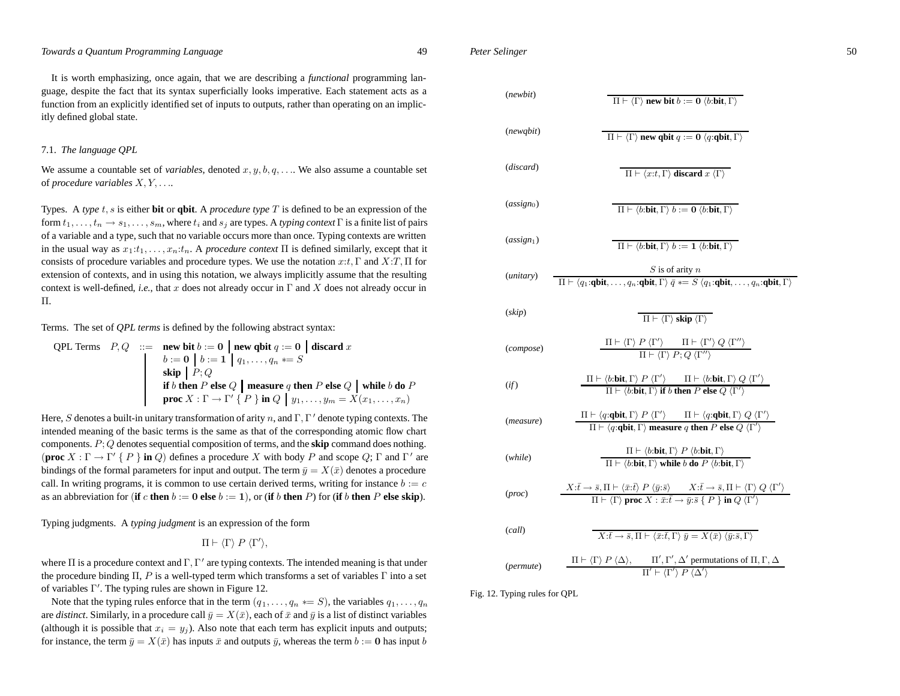$\epsilon$  49

It is worth emphasizing, once again, that we are describing <sup>a</sup> *functional* programming language, despite the fact that its syntax superficially looks imperative. Each statement acts as <sup>a</sup> function from an explicitly identified set of inputs to outputs, rather than operating on an implicitly defined global state.

## 7.1. *The language QPL*

We assume a countable set of *variables*, denoted  $x, y, b, q, \ldots$ . We also assume a countable set of *procedure variables* X, Y, . . ..

Types. A *type* t, <sup>s</sup> is either **bit** or **qbit**. <sup>A</sup> *procedure type* <sup>T</sup> is defined to be an expression of the form  $t_1, \ldots, t_n \to s_1, \ldots, s_m$ , where  $t_i$  and  $s_j$  are types. A *typing context*  $\Gamma$  is a finite list of pairs<br>of a variable and a time, such that no variable occurs more than once. Timing contexts are unitten of <sup>a</sup> variable and <sup>a</sup> type, such that no variable occurs more than once. Typing contexts are writtenin the usual way as  $x_1: t_1, \ldots, x_n: t_n$ . A *procedure context*  $\Pi$  is defined similarly, except that it consists of procedure variables and procedure types. We use the notation  $x:t$ ,  $\Gamma$  and  $X:T$ ,  $\Pi$  for extension of contexts, and in using this notation, we always implicitly assume that the resultingcontext is well-defined, *i.e.*, that x does not already occur in  $\Gamma$  and X does not already occur in Π.

Terms. The set of *QPL terms* is defined by the following abstract syntax:

$$
\begin{array}{lll}\n\text{QPL Terms} & P, Q & ::= & \text{new bit } b := 0 \mid \text{new qbit } q := 0 \mid \text{ discard } x \\
& b := 0 \mid b := 1 \mid q_1, \dots, q_n \mid x = S \\
& \text{skip } \mid P; Q \\
& \text{if } b \text{ then } P \text{ else } Q \mid \text{measure } q \text{ then } P \text{ else } Q \mid \text{while } b \text{ do } P \\
& \text{proc } X : \Gamma \to \Gamma' \{ P \} \text{ in } Q \mid y_1, \dots, y_m = X(x_1, \dots, x_n)\n\end{array}
$$

Here, S denotes a built-in unitary transformation of arity n, and  $\Gamma, \Gamma'$  denote typing contexts. The intended meaning of the basic terms is the same as that of the corresponding atomic flow chart components. P; Q denotes sequential composition of terms, and the **skip** command does nothing. (**proc**  $X : \Gamma \to \Gamma'$  {  $P$  } **in**  $Q$ ) defines a procedure X with body P and scope  $Q$ ;  $\Gamma$  and  $\Gamma'$  are bindings of the formal parameters for input and output. The term  $\overline{u} = X(\overline{u})$  denotes a procedure. bindings of the formal parameters for input and output. The term  $\bar{y} = X(\bar{x})$  denotes a procedure call. In writing programs, it is common to use certain derived terms, writing for instance  $b := c$ as an abbreviation for (**if** c **then**  $b := 0$  **else**  $b := 1$ ), or (**if**  $b$  **then**  $P$ ) for (**if**  $b$  **then**  $P$  **else skip**).

Typing judgments. A *typing judgment* is an expression of the form

$$
\Pi \vdash \langle \Gamma \rangle \, P \, \langle \Gamma' \rangle,
$$

where  $\Pi$  is a procedure context and  $\Gamma$ ,  $\Gamma'$  are typing contexts. The intended meaning is that under the procedure binding  $\Pi$ , P is a well-typed term which transforms a set of variables  $\Gamma$  into a set of variables <sup>Γ</sup>′. The typing rules are shown in Figure 12.

Note that the typing rules enforce that in the term  $(q_1, \ldots, q_n \ast = S)$ , the variables  $q_1, \ldots, q_n$ are *distinct*. Similarly, in a procedure call  $\bar{y} = X(\bar{x})$ , each of  $\bar{x}$  and  $\bar{y}$  is a list of distinct variables (although it is possible that  $x_i = y_j$ ). Also note that each term has explicit inputs and outputs; for instance, the term  $\bar{y} = X(\bar{x})$  has inputs  $\bar{x}$  and outputs  $\bar{y}$ , whereas the term  $b := 0$  has input b

| (newbit)               | $\Pi \vdash \langle \Gamma \rangle$ new bit $b := \mathbf{0} \langle b:\mathbf{bit}, \Gamma \rangle$                                                                                                                                                                                                                              |
|------------------------|-----------------------------------------------------------------------------------------------------------------------------------------------------------------------------------------------------------------------------------------------------------------------------------------------------------------------------------|
| (newqbit)              | $\Pi \vdash \langle \Gamma \rangle$ new qbit $q := \mathbf{0} \langle q : \mathbf{qbit}, \Gamma \rangle$                                                                                                                                                                                                                          |
| (discard)              | $\Pi \vdash \langle x:t, \Gamma \rangle$ discard $x \langle \Gamma \rangle$                                                                                                                                                                                                                                                       |
| $(assign_0)$           | $\Pi \vdash \langle b: \textbf{bit}, \Gamma \rangle b := \mathbf{0} \langle b: \textbf{bit}, \Gamma \rangle$                                                                                                                                                                                                                      |
| (assign <sub>1</sub> ) | $\Pi \vdash \langle b: \textbf{bit}, \Gamma \rangle b := \mathbf{1} \langle b: \textbf{bit}, \Gamma \rangle$                                                                                                                                                                                                                      |
| (unitary)              | S is of arity n<br>$\Pi \vdash \langle q_1:\text{qbit},\ldots,q_n:\text{qbit},\Gamma\rangle \bar{q} \equiv S \langle q_1:\text{qbit},\ldots,q_n:\text{qbit},\Gamma\rangle$                                                                                                                                                        |
| (skip)                 | $\Pi \vdash \langle \Gamma \rangle$ skip $\langle \Gamma \rangle$                                                                                                                                                                                                                                                                 |
| (compose)              | $\frac{\Pi \vdash \langle \Gamma \rangle \, P \, \langle \Gamma' \rangle \qquad \Pi \vdash \langle \Gamma' \rangle \, Q \, \langle \Gamma'' \rangle}{\Pi \vdash \langle \Gamma \rangle \, P \cdot O \, \langle \Gamma'' \rangle}$                                                                                                 |
| (if)                   | $\frac{\Pi \vdash \langle b:\mathbf{bit}, \Gamma \rangle \; P \; \langle \Gamma' \rangle \qquad \Pi \vdash \langle b:\mathbf{bit}, \Gamma \rangle \; Q \; \langle \Gamma' \rangle}{\Pi \vdash \langle b:\mathbf{bit}, \Gamma \rangle \; \mathbf{if} \; b \; \mathbf{then} \; P \; \mathbf{else} \; Q \; \langle \Gamma' \rangle}$ |
| (measure)              | $\frac{\Pi \vdash \langle q:\mathbf{qbit}, \Gamma \rangle \, P \, \langle \Gamma' \rangle \qquad \Pi \vdash \langle q:\mathbf{qbit}, \Gamma \rangle \, Q \, \langle \Gamma' \rangle}{\Pi \vdash \langle q:\mathbf{qbit}, \Gamma \rangle$ measure q then P else $Q \, \langle \Gamma' \rangle$                                     |
| (while)                | $\frac{\Pi \vdash \langle b:\textbf{bit}, \Gamma \rangle \ P \langle b:\textbf{bit}, \Gamma \rangle}{\Pi \vdash \langle b:\textbf{bit}, \Gamma \rangle \ \textbf{while } b \ \textbf{do } P \langle b:\textbf{bit}, \Gamma \rangle}$                                                                                              |
| $(proc)$               | $X:\bar{t}\to\bar{s}, \Pi\vdash \langle \bar{x}:\bar{t}\rangle P \langle \bar{y}:\bar{s}\rangle \qquad X:\bar{t}\to\bar{s}, \Pi\vdash \langle \Gamma\rangle Q \langle \Gamma'\rangle$<br>$\Pi\vdash \langle \Gamma\rangle \text{ proc } X:\bar{x}:\bar{t}\to\bar{y}:\bar{s}\nmid P \}\text{ in }Q\langle \Gamma'\rangle$          |
| (call)                 | $X:\bar{t}\to\bar{s},\Pi\vdash\langle\bar{x}:\bar{t},\Gamma\rangle\bar{y}=X(\bar{x})\langle\bar{y}:\bar{s},\Gamma\rangle$                                                                                                                                                                                                         |
| (permute)              | $\Pi \vdash \langle \Gamma \rangle \, P \, \langle \Delta \rangle, \qquad \Pi', \Gamma', \Delta' \text{ permutations of } \Pi, \Gamma, \Delta \text{ }$<br>$\Pi' \vdash \langle \Gamma' \rangle \, P \, \langle \Delta' \rangle$                                                                                                  |

Fig. 12. Typing rules for QPL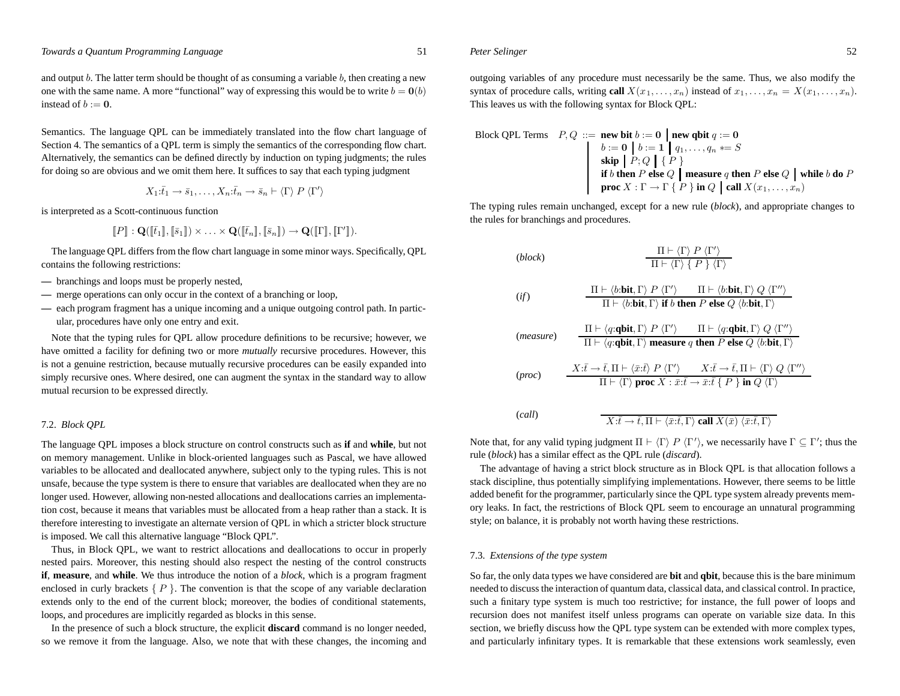and output  $b$ . The latter term should be thought of as consuming a variable  $b$ , then creating a new one with the same name. A more "functional" way of expressing this would be to write  $b = \mathbf{0}(b)$ instead of  $b := 0$ .

Semantics. The language QPL can be immediately translated into the flow chart language of Section 4. The semantics of <sup>a</sup> QPL term is simply the semantics of the corresponding flow chart. Alternatively, the semantics can be defined directly by induction on typing judgments; the rulesfor doing so are obvious and we omit them here. It suffices to say that each typing judgment

$$
X_1:\bar{t}_1 \to \bar{s}_1, \ldots, X_n:\bar{t}_n \to \bar{s}_n \vdash \langle \Gamma \rangle \, P \langle \Gamma' \rangle
$$

is interpreted as <sup>a</sup> Scott-continuous function

$$
\llbracket P \rrbracket : \mathbf{Q}(\llbracket \bar{t}_1 \rrbracket, \llbracket \bar{s}_1 \rrbracket) \times \ldots \times \mathbf{Q}(\llbracket \bar{t}_n \rrbracket, \llbracket \bar{s}_n \rrbracket) \to \mathbf{Q}(\llbracket \Gamma \rrbracket, \llbracket \Gamma' \rrbracket).
$$

The language QPL differs from the flow chart language in some minor ways. Specifically, QPLcontains the following restrictions:

- **—** branchings and loops must be properly nested,
- **—** merge operations can only occur in the context of <sup>a</sup> branching or loop,
- **—** each program fragment has <sup>a</sup> unique incoming and <sup>a</sup> unique outgoing control path. In particular, procedures have only one entry and exit.

Note that the typing rules for QPL allow procedure definitions to be recursive; however, we have omitted <sup>a</sup> facility for defining two or more *mutually* recursive procedures. However, this is not <sup>a</sup> genuine restriction, because mutually recursive procedures can be easily expanded into simply recursive ones. Where desired, one can augmen<sup>t</sup> the syntax in the standard way to allowmutual recursion to be expressed directly.

## 7.2. *Block QPL*

The language QPL imposes <sup>a</sup> block structure on control constructs such as **if** and **while**, but not on memory management. Unlike in block-oriented languages such as Pascal, we have allowed variables to be allocated and deallocated anywhere, subject only to the typing rules. This is not unsafe, because the type system is there to ensure that variables are deallocated when they are no longer used. However, allowing non-nested allocations and deallocations carries an implementation cost, because it means that variables must be allocated from <sup>a</sup> heap rather than <sup>a</sup> stack. It is therefore interesting to investigate an alternate version of QPL in which <sup>a</sup> stricter block structureis imposed. We call this alternative language "Block QPL".

Thus, in Block QPL, we want to restrict allocations and deallocations to occur in properly nested pairs. Moreover, this nesting should also respec<sup>t</sup> the nesting of the control constructs **if**, **measure**, and **while**. We thus introduce the notion of <sup>a</sup> *block*, which is <sup>a</sup> program fragment enclosed in curly brackets  $\{P\}$ . The convention is that the scope of any variable declaration extends only to the end of the current block; moreover, the bodies of conditional statements, loops, and procedures are implicitly regarded as blocks in this sense.

In the presence of such <sup>a</sup> block structure, the explicit **discard** command is no longer needed, so we remove it from the language. Also, we note that with these changes, the incoming and

## *Peter Selinger*

outgoing variables of any procedure must necessarily be the same. Thus, we also modify thesyntax of procedure calls, writing **call**  $X(x_1, \ldots, x_n)$  instead of  $x_1, \ldots, x_n = X(x_1, \ldots, x_n)$ . This leaves us with the following syntax for Block QPL:

Block QPL Terms

\n
$$
P, Q ::= \text{new bit } b := 0 \mid \text{new qbit } q := 0
$$
\n
$$
b := 0 \mid b := 1 \mid q_1, \ldots, q_n \mid x = S
$$
\nskip  $| P; Q | \{ P \}$ 

\nif  $b$  then  $P$  else  $Q \mid \text{measure } q$  then  $P$  else  $Q \mid \text{while } b \text{ do } P$ 

\nproc  $X : \Gamma \to \Gamma \{ P \} \text{ in } Q \mid \text{call } X(x_1, \ldots, x_n)$ 

The typing rules remain unchanged, excep<sup>t</sup> for <sup>a</sup> new rule (*block*), and appropriate changes tothe rules for branchings and procedures.

(block)

\n
$$
\frac{\Pi \vdash \langle \Gamma \rangle P \langle \Gamma' \rangle}{\Pi \vdash \langle \Gamma \rangle \{ P \} \langle \Gamma \rangle}
$$
\n(if)

\n
$$
\frac{\Pi \vdash \langle b:\text{bit}, \Gamma \rangle P \langle \Gamma' \rangle \qquad \Pi \vdash \langle b:\text{bit}, \Gamma \rangle Q \langle \Gamma'' \rangle}{\Pi \vdash \langle b:\text{bit}, \Gamma \rangle \text{ if } b \text{ then } P \text{ else } Q \langle b:\text{bit}, \Gamma \rangle}
$$
\n(measure)

\n
$$
\frac{\Pi \vdash \langle q:\text{qbit}, \Gamma \rangle P \langle \Gamma' \rangle \qquad \Pi \vdash \langle q:\text{qbit}, \Gamma \rangle Q \langle \Gamma'' \rangle}{\Pi \vdash \langle q:\text{qbit}, \Gamma \rangle \text{ measure } q \text{ then } P \text{ else } Q \langle b:\text{bit}, \Gamma \rangle}
$$
\n(proc)

\n
$$
\frac{X:\overline{t} \to \overline{t}, \Pi \vdash \langle \overline{x}:\overline{t} \rangle P \langle \Gamma' \rangle \qquad X:\overline{t} \to \overline{t}, \Pi \vdash \langle \Gamma \rangle Q \langle \Gamma'' \rangle}{\Pi \vdash \langle \Gamma \rangle \text{ proc } X:\overline{x}:\overline{t} \to \overline{x}:\overline{t} \{ P \} \text{ in } Q \langle \Gamma \rangle}
$$
\n(call)

\n
$$
\frac{X:\overline{t} \to \overline{t}, \Pi \vdash \langle \overline{x}:\overline{t}, \Gamma \rangle \text{ call } X(\overline{x}) \langle \overline{x}:\overline{t}, \Gamma \rangle}{\langle \overline{x}:\overline{t} \to \overline{t}, \Pi \vdash \langle \overline{x}:\overline{t}, \Gamma \rangle \text{ call } X(\overline{x}) \langle \overline{x}:\overline{t}, \Gamma \rangle}
$$

Note that, for any valid typing judgment  $\Pi \vdash \langle \Gamma \rangle P \langle \Gamma' \rangle$ , we necessarily have  $\Gamma \subseteq \Gamma'$ ; thus the rule (*block*) has <sup>a</sup> similar effect as the QPL rule (*discard*).

The advantage of having <sup>a</sup> strict block structure as in Block QPL is that allocation follows <sup>a</sup> stack discipline, thus potentially simplifying implementations. However, there seems to be little added benefit for the programmer, particularly since the QPL type system already prevents memory leaks. In fact, the restrictions of Block QPL seem to encourage an unnatural programmingstyle; on balance, it is probably not worth having these restrictions.

#### 7.3. *Extensions of the type system*

So far, the only data types we have considered are **bit** and **qbit**, because this is the bare minimum needed to discuss the interaction of quantum data, classical data, and classical control. In practice, such <sup>a</sup> finitary type system is much too restrictive; for instance, the full power of loops and recursion does not manifest itself unless programs can operate on variable size data. In this section, we briefly discuss how the QPL type system can be extended with more complex types, and particularly infinitary types. It is remarkable that these extensions work seamlessly, even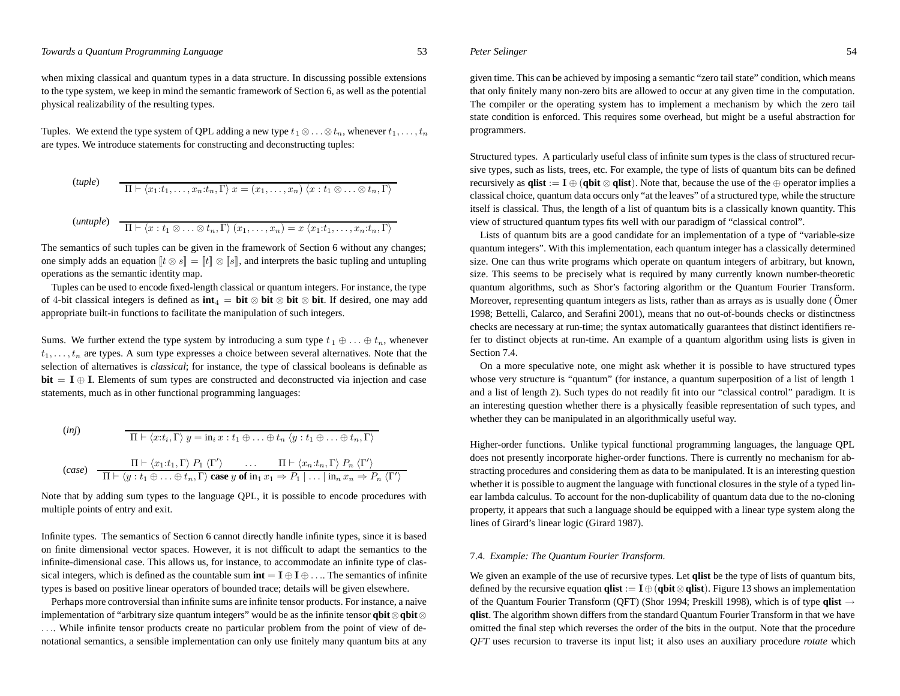#### *Towards <sup>a</sup> Quantum Programming Language* $\epsilon$  53

when mixing classical and quantum types in <sup>a</sup> data structure. In discussing possible extensions to the type system, we keep in mind the semantic framework of Section 6, as well as the potentialphysical realizability of the resulting types.

Tuples. We extend the type system of QPL adding a new type  $t_1 \otimes \ldots \otimes t_n$ , whenever  $t_1, \ldots, t_n$ are types. We introduce statements for constructing and deconstructing tuples:

$$
\begin{array}{ll}\n\text{(tuple)} & \overline{\Pi \vdash \langle x_1: t_1, \dots, x_n: t_n, \Gamma \rangle \ x = (x_1, \dots, x_n) \ \langle x: t_1 \otimes \dots \otimes t_n, \Gamma \rangle} \\
\text{(untuple)} & \overline{\Pi \vdash \langle x: t_1 \otimes \dots \otimes t_n, \Gamma \rangle \ (x_1, \dots, x_n) = x \ \langle x_1: t_1, \dots, x_n: t_n, \Gamma \rangle}\n\end{array}
$$

The semantics of such tuples can be given in the framework of Section 6 without any changes;one simply adds an equation  $[[t \otimes s]] = [[t]] \otimes [s]]$ , and interprets the basic tupling and untupling operations as the semantic identity map.

Tuples can be used to encode fixed-length classical or quantum integers. For instance, the typeof 4-bit classical integers is defined as  $int_4 = bit \otimes bit \otimes bit$ . If desired, one may add appropriate built-in functions to facilitate the manipulation of such integers.

Sums. We further extend the type system by introducing a sum type  $t_1 \oplus \ldots \oplus t_n$ , whenever  $t_1, \ldots, t_n$  are types. A sum type expresses a choice between several alternatives. Note that the selection of alternatives is *classical*; for instance, the type of classical booleans is definable as **bit** = **I** ⊕ **I**. Elements of sum types are constructed and deconstructed via injection and case statements, much as in other functional programming languages:

(*inj*)  
\n
$$
\overline{\Pi} \vdash \langle x:t_i, \Gamma \rangle \ y = \text{in}_i x : t_1 \oplus \ldots \oplus t_n \ \langle y : t_1 \oplus \ldots \oplus t_n, \Gamma \rangle
$$
\n
$$
\overline{\Pi} \vdash \langle x_1: t_1, \Gamma \rangle \ P_1 \ \langle \Gamma' \rangle \qquad \ldots \qquad \overline{\Pi} \vdash \langle x_n: t_n, \Gamma \rangle \ P_n \ \langle \Gamma' \rangle
$$
\n
$$
\overline{\Pi} \vdash \langle y : t_1 \oplus \ldots \oplus t_n, \Gamma \rangle \ \text{case } y \ \text{of in}_1 \ x_1 \Rightarrow P_1 \ | \ \ldots \ | \ \text{in}_n \ x_n \Rightarrow P_n \ \langle \Gamma' \rangle
$$

Note that by adding sum types to the language QPL, it is possible to encode procedures withmultiple points of entry and exit.

Infinite types. The semantics of Section 6 cannot directly handle infinite types, since it is based on finite dimensional vector spaces. However, it is not difficult to adapt the semantics to the infinite-dimensional case. This allows us, for instance, to accommodate an infinite type of classical integers, which is defined as the countable sum  $int = I \oplus I \oplus ...$  The semantics of infinite types is based on positive linear operators of bounded trace; details will be given elsewhere.

Perhaps more controversial than infinite sums are infinite tensor products. For instance, <sup>a</sup> naiveimplementation of "arbitrary size quantum integers" would be as the infinite tensor **qbit**⊗**qbit**<sup>⊗</sup>

 . . .. While infinite tensor products create no particular problem from the point of view of denotational semantics, <sup>a</sup> sensible implementation can only use finitely many quantum bits at any

## *Peter Selinger*

given time. This can be achieved by imposing <sup>a</sup> semantic "zero tail state" condition, which means that only finitely many non-zero bits are allowed to occur at any given time in the computation. The compiler or the operating system has to implement <sup>a</sup> mechanism by which the zero tail state condition is enforced. This requires some overhead, but might be <sup>a</sup> useful abstraction forprogrammers.

Structured types. A particularly useful class of infinite sum types is the class of structured recursive types, such as lists, trees, etc. For example, the type of lists of quantum bits can be definedrecursively as **qlist** :=  $I \oplus (\textbf{qbit} \otimes \textbf{qlist})$ . Note that, because the use of the  $\oplus$  operator implies a classical choice, quantum data occurs only "at the leaves" of <sup>a</sup> structured type, while the structure itself is classical. Thus, the length of <sup>a</sup> list of quantum bits is <sup>a</sup> classically known quantity. Thisview of structured quantum types fits well with our paradigm of "classical control".

Lists of quantum bits are <sup>a</sup> good candidate for an implementation of <sup>a</sup> type of "variable-size quantum integers". With this implementation, each quantum integer has <sup>a</sup> classically determined size. One can thus write programs which operate on quantum integers of arbitrary, but known, size. This seems to be precisely what is required by many currently known number-theoretic quantum algorithms, such as Shor's factoring algorithm or the Quantum Fourier Transform. Moreover, representing quantum integers as lists, rather than as arrays as is usually done (Ömer 1998; Bettelli, Calarco, and Serafini 2001), means that no out-of-bounds checks or distinctness checks are necessary at run-time; the syntax automatically guarantees that distinct identifiers refer to distinct objects at run-time. An example of <sup>a</sup> quantum algorithm using lists is given inSection 7.4.

On <sup>a</sup> more speculative note, one might ask whether it is possible to have structured types whose very structure is "quantum" (for instance, <sup>a</sup> quantum superposition of <sup>a</sup> list of length 1 and <sup>a</sup> list of length 2). Such types do not readily fit into our "classical control" paradigm. It is an interesting question whether there is <sup>a</sup> physically feasible representation of such types, andwhether they can be manipulated in an algorithmically useful way.

Higher-order functions. Unlike typical functional programming languages, the language QPL does not presently incorporate higher-order functions. There is currently no mechanism for abstracting procedures and considering them as data to be manipulated. It is an interesting question whether it is possible to augmen<sup>t</sup> the language with functional closures in the style of <sup>a</sup> typed linear lambda calculus. To account for the non-duplicability of quantum data due to the no-cloning property, it appears that such <sup>a</sup> language should be equipped with <sup>a</sup> linear type system along thelines of Girard's linear logic (Girard 1987).

## 7.4. *Example: The Quantum Fourier Transform.*

We given an example of the use of recursive types. Let **<sup>q</sup>list** be the type of lists of quantum bits, defined by the recursive equation **qlist**  $:= I ⊕ (qbit ⊗ qlist)$ . Figure 13 shows an implementation of the Quantum Fourier Transform (QFT) (Shor 1994; Preskill 1998), which is of type **<sup>q</sup>list** <sup>→</sup> **qlist**. The algorithm shown differs from the standard Quantum Fourier Transform in that we have omitted the final step which reverses the order of the bits in the output. Note that the procedure*QFT* uses recursion to traverse its input list; it also uses an auxiliary procedure *rotate* which